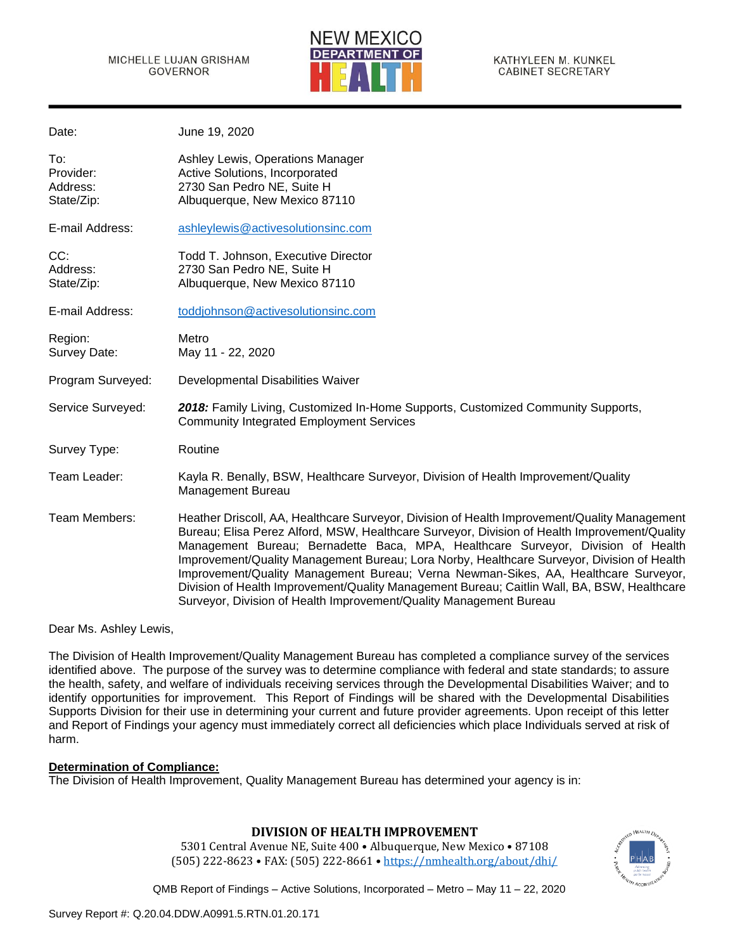Date: June 10, 2020



| υαισ.                                      | JUIIT IJ, ZUZU                                                                                                                                                                                                                                                                                                                                                                                                                                                                                                                                                                                                                             |
|--------------------------------------------|--------------------------------------------------------------------------------------------------------------------------------------------------------------------------------------------------------------------------------------------------------------------------------------------------------------------------------------------------------------------------------------------------------------------------------------------------------------------------------------------------------------------------------------------------------------------------------------------------------------------------------------------|
| To:<br>Provider:<br>Address:<br>State/Zip: | Ashley Lewis, Operations Manager<br>Active Solutions, Incorporated<br>2730 San Pedro NE, Suite H<br>Albuquerque, New Mexico 87110                                                                                                                                                                                                                                                                                                                                                                                                                                                                                                          |
| E-mail Address:                            | ashleylewis@activesolutionsinc.com                                                                                                                                                                                                                                                                                                                                                                                                                                                                                                                                                                                                         |
| CC:<br>Address:<br>State/Zip:              | Todd T. Johnson, Executive Director<br>2730 San Pedro NE, Suite H<br>Albuquerque, New Mexico 87110                                                                                                                                                                                                                                                                                                                                                                                                                                                                                                                                         |
| E-mail Address:                            | toddjohnson@activesolutionsinc.com                                                                                                                                                                                                                                                                                                                                                                                                                                                                                                                                                                                                         |
| Region:<br>Survey Date:                    | Metro<br>May 11 - 22, 2020                                                                                                                                                                                                                                                                                                                                                                                                                                                                                                                                                                                                                 |
| Program Surveyed:                          | Developmental Disabilities Waiver                                                                                                                                                                                                                                                                                                                                                                                                                                                                                                                                                                                                          |
| Service Surveyed:                          | 2018: Family Living, Customized In-Home Supports, Customized Community Supports,<br><b>Community Integrated Employment Services</b>                                                                                                                                                                                                                                                                                                                                                                                                                                                                                                        |
| Survey Type:                               | Routine                                                                                                                                                                                                                                                                                                                                                                                                                                                                                                                                                                                                                                    |
| Team Leader:                               | Kayla R. Benally, BSW, Healthcare Surveyor, Division of Health Improvement/Quality<br><b>Management Bureau</b>                                                                                                                                                                                                                                                                                                                                                                                                                                                                                                                             |
| Team Members:                              | Heather Driscoll, AA, Healthcare Surveyor, Division of Health Improvement/Quality Management<br>Bureau; Elisa Perez Alford, MSW, Healthcare Surveyor, Division of Health Improvement/Quality<br>Management Bureau; Bernadette Baca, MPA, Healthcare Surveyor, Division of Health<br>Improvement/Quality Management Bureau; Lora Norby, Healthcare Surveyor, Division of Health<br>Improvement/Quality Management Bureau; Verna Newman-Sikes, AA, Healthcare Surveyor,<br>Division of Health Improvement/Quality Management Bureau; Caitlin Wall, BA, BSW, Healthcare<br>Surveyor, Division of Health Improvement/Quality Management Bureau |

Dear Ms. Ashley Lewis,

The Division of Health Improvement/Quality Management Bureau has completed a compliance survey of the services identified above. The purpose of the survey was to determine compliance with federal and state standards; to assure the health, safety, and welfare of individuals receiving services through the Developmental Disabilities Waiver; and to identify opportunities for improvement. This Report of Findings will be shared with the Developmental Disabilities Supports Division for their use in determining your current and future provider agreements. Upon receipt of this letter and Report of Findings your agency must immediately correct all deficiencies which place Individuals served at risk of harm.

### **Determination of Compliance:**

The Division of Health Improvement, Quality Management Bureau has determined your agency is in:

### **DIVISION OF HEALTH IMPROVEMENT**

5301 Central Avenue NE, Suite 400 • Albuquerque, New Mexico • 87108 (505) 222-8623 • FAX: (505) 222-8661 • <https://nmhealth.org/about/dhi/>

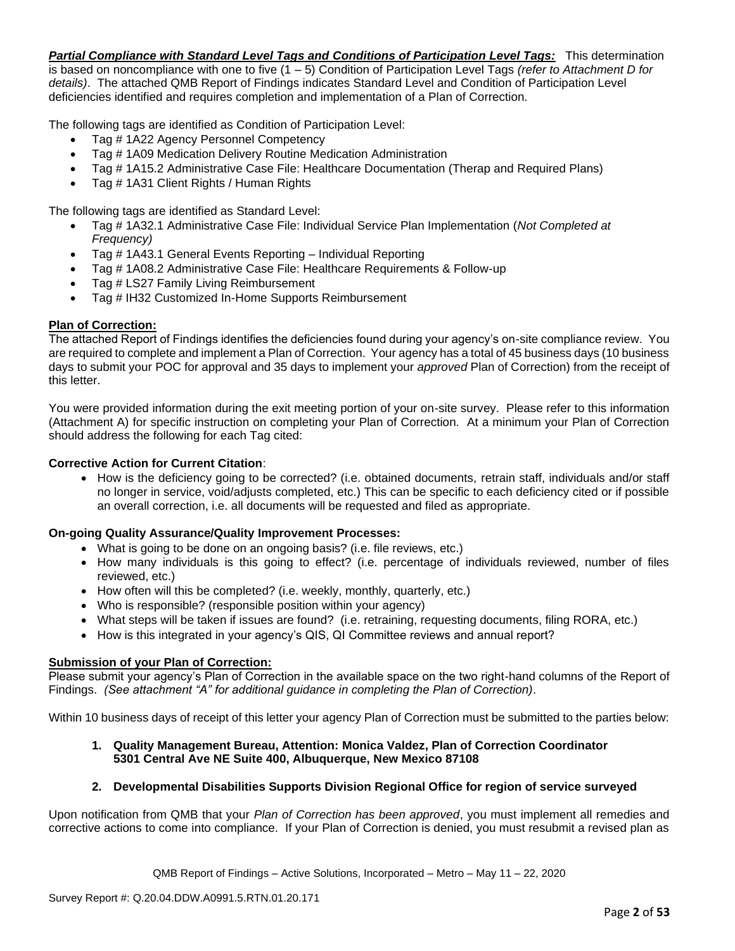*Partial Compliance with Standard Level Tags and Conditions of Participation Level Tags:* This determination is based on noncompliance with one to five (1 – 5) Condition of Participation Level Tags *(refer to Attachment D for details)*. The attached QMB Report of Findings indicates Standard Level and Condition of Participation Level deficiencies identified and requires completion and implementation of a Plan of Correction.

The following tags are identified as Condition of Participation Level:

- Tag # 1A22 Agency Personnel Competency
- Tag # 1A09 Medication Delivery Routine Medication Administration
- Tag # 1A15.2 Administrative Case File: Healthcare Documentation (Therap and Required Plans)
- Tag # 1A31 Client Rights / Human Rights

The following tags are identified as Standard Level:

- Tag # 1A32.1 Administrative Case File: Individual Service Plan Implementation (*Not Completed at Frequency)*
- Tag # 1A43.1 General Events Reporting Individual Reporting
- Tag # 1A08.2 Administrative Case File: Healthcare Requirements & Follow-up
- Tag # LS27 Family Living Reimbursement
- Tag # IH32 Customized In-Home Supports Reimbursement

### **Plan of Correction:**

The attached Report of Findings identifies the deficiencies found during your agency's on-site compliance review. You are required to complete and implement a Plan of Correction. Your agency has a total of 45 business days (10 business days to submit your POC for approval and 35 days to implement your *approved* Plan of Correction) from the receipt of this letter.

You were provided information during the exit meeting portion of your on-site survey. Please refer to this information (Attachment A) for specific instruction on completing your Plan of Correction. At a minimum your Plan of Correction should address the following for each Tag cited:

### **Corrective Action for Current Citation**:

• How is the deficiency going to be corrected? (i.e. obtained documents, retrain staff, individuals and/or staff no longer in service, void/adjusts completed, etc.) This can be specific to each deficiency cited or if possible an overall correction, i.e. all documents will be requested and filed as appropriate.

### **On-going Quality Assurance/Quality Improvement Processes:**

- What is going to be done on an ongoing basis? (i.e. file reviews, etc.)
- How many individuals is this going to effect? (i.e. percentage of individuals reviewed, number of files reviewed, etc.)
- How often will this be completed? (i.e. weekly, monthly, quarterly, etc.)
- Who is responsible? (responsible position within your agency)
- What steps will be taken if issues are found? (i.e. retraining, requesting documents, filing RORA, etc.)
- How is this integrated in your agency's QIS, QI Committee reviews and annual report?

#### **Submission of your Plan of Correction:**

Please submit your agency's Plan of Correction in the available space on the two right-hand columns of the Report of Findings. *(See attachment "A" for additional guidance in completing the Plan of Correction)*.

Within 10 business days of receipt of this letter your agency Plan of Correction must be submitted to the parties below:

### **1. Quality Management Bureau, Attention: Monica Valdez, Plan of Correction Coordinator 5301 Central Ave NE Suite 400, Albuquerque, New Mexico 87108**

### **2. Developmental Disabilities Supports Division Regional Office for region of service surveyed**

Upon notification from QMB that your *Plan of Correction has been approved*, you must implement all remedies and corrective actions to come into compliance. If your Plan of Correction is denied, you must resubmit a revised plan as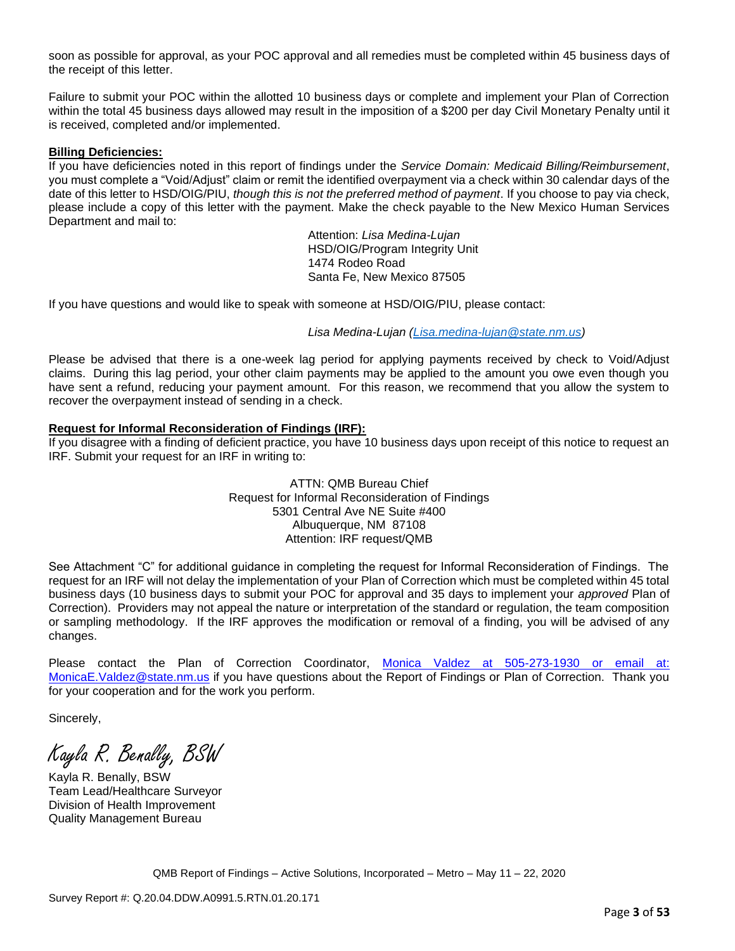soon as possible for approval, as your POC approval and all remedies must be completed within 45 business days of the receipt of this letter.

Failure to submit your POC within the allotted 10 business days or complete and implement your Plan of Correction within the total 45 business days allowed may result in the imposition of a \$200 per day Civil Monetary Penalty until it is received, completed and/or implemented.

#### **Billing Deficiencies:**

If you have deficiencies noted in this report of findings under the *Service Domain: Medicaid Billing/Reimbursement*, you must complete a "Void/Adjust" claim or remit the identified overpayment via a check within 30 calendar days of the date of this letter to HSD/OIG/PIU, *though this is not the preferred method of payment*. If you choose to pay via check, please include a copy of this letter with the payment. Make the check payable to the New Mexico Human Services Department and mail to:

> Attention: *Lisa Medina-Lujan* HSD/OIG/Program Integrity Unit 1474 Rodeo Road Santa Fe, New Mexico 87505

If you have questions and would like to speak with someone at HSD/OIG/PIU, please contact:

*Lisa Medina-Lujan [\(Lisa.medina-lujan@state.nm.us\)](mailto:Lisa.medina-lujan@state.nm.us)*

Please be advised that there is a one-week lag period for applying payments received by check to Void/Adjust claims. During this lag period, your other claim payments may be applied to the amount you owe even though you have sent a refund, reducing your payment amount. For this reason, we recommend that you allow the system to recover the overpayment instead of sending in a check.

#### **Request for Informal Reconsideration of Findings (IRF):**

If you disagree with a finding of deficient practice, you have 10 business days upon receipt of this notice to request an IRF. Submit your request for an IRF in writing to:

> ATTN: QMB Bureau Chief Request for Informal Reconsideration of Findings 5301 Central Ave NE Suite #400 Albuquerque, NM 87108 Attention: IRF request/QMB

See Attachment "C" for additional guidance in completing the request for Informal Reconsideration of Findings. The request for an IRF will not delay the implementation of your Plan of Correction which must be completed within 45 total business days (10 business days to submit your POC for approval and 35 days to implement your *approved* Plan of Correction). Providers may not appeal the nature or interpretation of the standard or regulation, the team composition or sampling methodology. If the IRF approves the modification or removal of a finding, you will be advised of any changes.

Please contact the Plan of Correction Coordinator, Monica Valdez at 505-273-1930 or email at: [MonicaE.Valdez@state.nm.us](mailto:MonicaE.Valdez@state.nm.us) if you have questions about the Report of Findings or Plan of Correction. Thank you for your cooperation and for the work you perform.

Sincerely,

Kayla R. Benally, BSW

Kayla R. Benally, BSW Team Lead/Healthcare Surveyor Division of Health Improvement Quality Management Bureau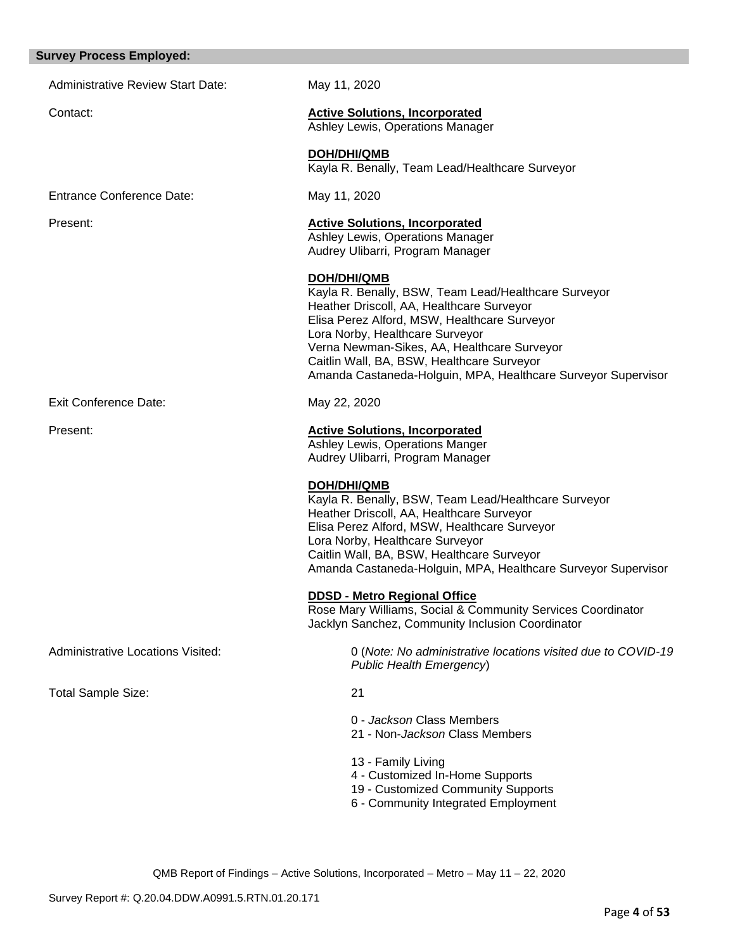# **Survey Process Employed:**

| ιινεγ Γιο <del>σε</del> ςς Επιρισγ <del>ε</del> α. |                                                                                                                                                                                                                                                                                                                                                                          |
|----------------------------------------------------|--------------------------------------------------------------------------------------------------------------------------------------------------------------------------------------------------------------------------------------------------------------------------------------------------------------------------------------------------------------------------|
| <b>Administrative Review Start Date:</b>           | May 11, 2020                                                                                                                                                                                                                                                                                                                                                             |
| Contact:                                           | <b>Active Solutions, Incorporated</b><br>Ashley Lewis, Operations Manager                                                                                                                                                                                                                                                                                                |
|                                                    | DOH/DHI/QMB<br>Kayla R. Benally, Team Lead/Healthcare Surveyor                                                                                                                                                                                                                                                                                                           |
| <b>Entrance Conference Date:</b>                   | May 11, 2020                                                                                                                                                                                                                                                                                                                                                             |
| Present:                                           | <b>Active Solutions, Incorporated</b><br>Ashley Lewis, Operations Manager<br>Audrey Ulibarri, Program Manager                                                                                                                                                                                                                                                            |
|                                                    | <b>DOH/DHI/QMB</b><br>Kayla R. Benally, BSW, Team Lead/Healthcare Surveyor<br>Heather Driscoll, AA, Healthcare Surveyor<br>Elisa Perez Alford, MSW, Healthcare Surveyor<br>Lora Norby, Healthcare Surveyor<br>Verna Newman-Sikes, AA, Healthcare Surveyor<br>Caitlin Wall, BA, BSW, Healthcare Surveyor<br>Amanda Castaneda-Holguin, MPA, Healthcare Surveyor Supervisor |
| <b>Exit Conference Date:</b>                       | May 22, 2020                                                                                                                                                                                                                                                                                                                                                             |
| Present:                                           | <b>Active Solutions, Incorporated</b><br>Ashley Lewis, Operations Manger<br>Audrey Ulibarri, Program Manager                                                                                                                                                                                                                                                             |
|                                                    | <b>DOH/DHI/QMB</b><br>Kayla R. Benally, BSW, Team Lead/Healthcare Surveyor<br>Heather Driscoll, AA, Healthcare Surveyor<br>Elisa Perez Alford, MSW, Healthcare Surveyor<br>Lora Norby, Healthcare Surveyor<br>Caitlin Wall, BA, BSW, Healthcare Surveyor<br>Amanda Castaneda-Holguin, MPA, Healthcare Surveyor Supervisor                                                |
|                                                    | <b>DDSD - Metro Regional Office</b><br>Rose Mary Williams, Social & Community Services Coordinator<br>Jacklyn Sanchez, Community Inclusion Coordinator                                                                                                                                                                                                                   |
| <b>Administrative Locations Visited:</b>           | 0 (Note: No administrative locations visited due to COVID-19<br>Public Health Emergency)                                                                                                                                                                                                                                                                                 |
| <b>Total Sample Size:</b>                          | 21                                                                                                                                                                                                                                                                                                                                                                       |
|                                                    | 0 - Jackson Class Members<br>21 - Non-Jackson Class Members                                                                                                                                                                                                                                                                                                              |
|                                                    | 13 - Family Living<br>4 - Customized In-Home Supports<br>19 - Customized Community Supports<br>6 - Community Integrated Employment                                                                                                                                                                                                                                       |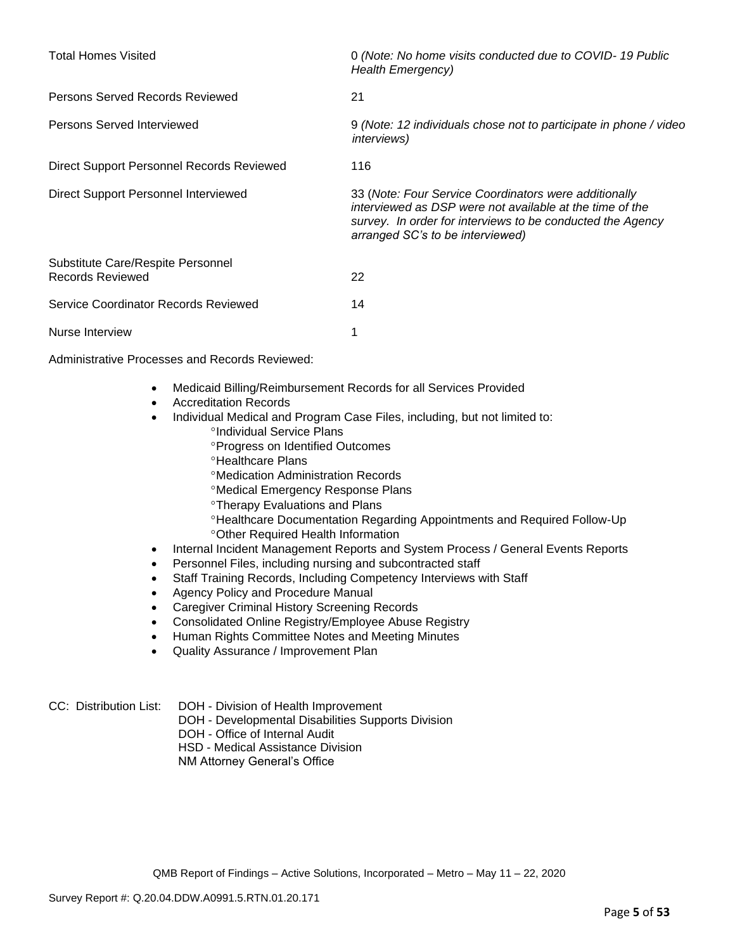| <b>Total Homes Visited</b>                            | 0 (Note: No home visits conducted due to COVID-19 Public<br><b>Health Emergency)</b>                                                                                                                                |
|-------------------------------------------------------|---------------------------------------------------------------------------------------------------------------------------------------------------------------------------------------------------------------------|
| Persons Served Records Reviewed                       | 21                                                                                                                                                                                                                  |
| Persons Served Interviewed                            | 9 (Note: 12 individuals chose not to participate in phone / video<br><i>interviews</i> )                                                                                                                            |
| Direct Support Personnel Records Reviewed             | 116                                                                                                                                                                                                                 |
| Direct Support Personnel Interviewed                  | 33 (Note: Four Service Coordinators were additionally<br>interviewed as DSP were not available at the time of the<br>survey. In order for interviews to be conducted the Agency<br>arranged SC's to be interviewed) |
| Substitute Care/Respite Personnel<br>Records Reviewed | 22                                                                                                                                                                                                                  |
| Service Coordinator Records Reviewed                  | 14                                                                                                                                                                                                                  |
| Nurse Interview                                       |                                                                                                                                                                                                                     |

Administrative Processes and Records Reviewed:

- Medicaid Billing/Reimbursement Records for all Services Provided
- Accreditation Records
- Individual Medical and Program Case Files, including, but not limited to:
	- *<sup>o</sup>Individual Service Plans*
	- **Progress on Identified Outcomes**
	- **<sup>o</sup>Healthcare Plans**
	- Medication Administration Records
	- Medical Emergency Response Plans
	- Therapy Evaluations and Plans
	- Healthcare Documentation Regarding Appointments and Required Follow-Up Other Required Health Information
- Internal Incident Management Reports and System Process / General Events Reports
- Personnel Files, including nursing and subcontracted staff
- Staff Training Records, Including Competency Interviews with Staff
- Agency Policy and Procedure Manual
- Caregiver Criminal History Screening Records
- Consolidated Online Registry/Employee Abuse Registry
- Human Rights Committee Notes and Meeting Minutes
- Quality Assurance / Improvement Plan

CC: Distribution List: DOH - Division of Health Improvement

- DOH Developmental Disabilities Supports Division
- DOH Office of Internal Audit
- HSD Medical Assistance Division
- NM Attorney General's Office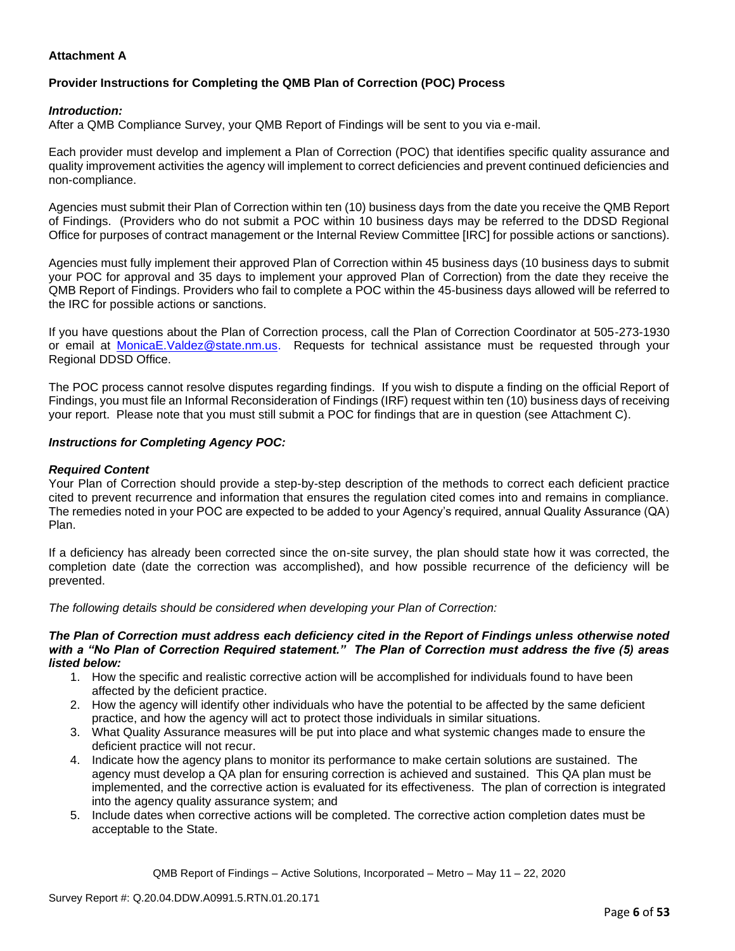### **Attachment A**

### **Provider Instructions for Completing the QMB Plan of Correction (POC) Process**

#### *Introduction:*

After a QMB Compliance Survey, your QMB Report of Findings will be sent to you via e-mail.

Each provider must develop and implement a Plan of Correction (POC) that identifies specific quality assurance and quality improvement activities the agency will implement to correct deficiencies and prevent continued deficiencies and non-compliance.

Agencies must submit their Plan of Correction within ten (10) business days from the date you receive the QMB Report of Findings. (Providers who do not submit a POC within 10 business days may be referred to the DDSD Regional Office for purposes of contract management or the Internal Review Committee [IRC] for possible actions or sanctions).

Agencies must fully implement their approved Plan of Correction within 45 business days (10 business days to submit your POC for approval and 35 days to implement your approved Plan of Correction) from the date they receive the QMB Report of Findings. Providers who fail to complete a POC within the 45-business days allowed will be referred to the IRC for possible actions or sanctions.

If you have questions about the Plan of Correction process, call the Plan of Correction Coordinator at 505-273-1930 or email at [MonicaE.Valdez@state.nm.us.](mailto:MonicaE.Valdez@state.nm.us) Requests for technical assistance must be requested through your Regional DDSD Office.

The POC process cannot resolve disputes regarding findings. If you wish to dispute a finding on the official Report of Findings, you must file an Informal Reconsideration of Findings (IRF) request within ten (10) business days of receiving your report. Please note that you must still submit a POC for findings that are in question (see Attachment C).

#### *Instructions for Completing Agency POC:*

#### *Required Content*

Your Plan of Correction should provide a step-by-step description of the methods to correct each deficient practice cited to prevent recurrence and information that ensures the regulation cited comes into and remains in compliance. The remedies noted in your POC are expected to be added to your Agency's required, annual Quality Assurance (QA) Plan.

If a deficiency has already been corrected since the on-site survey, the plan should state how it was corrected, the completion date (date the correction was accomplished), and how possible recurrence of the deficiency will be prevented.

*The following details should be considered when developing your Plan of Correction:*

#### *The Plan of Correction must address each deficiency cited in the Report of Findings unless otherwise noted with a "No Plan of Correction Required statement." The Plan of Correction must address the five (5) areas listed below:*

- 1. How the specific and realistic corrective action will be accomplished for individuals found to have been affected by the deficient practice.
- 2. How the agency will identify other individuals who have the potential to be affected by the same deficient practice, and how the agency will act to protect those individuals in similar situations.
- 3. What Quality Assurance measures will be put into place and what systemic changes made to ensure the deficient practice will not recur.
- 4. Indicate how the agency plans to monitor its performance to make certain solutions are sustained. The agency must develop a QA plan for ensuring correction is achieved and sustained. This QA plan must be implemented, and the corrective action is evaluated for its effectiveness. The plan of correction is integrated into the agency quality assurance system; and
- 5. Include dates when corrective actions will be completed. The corrective action completion dates must be acceptable to the State.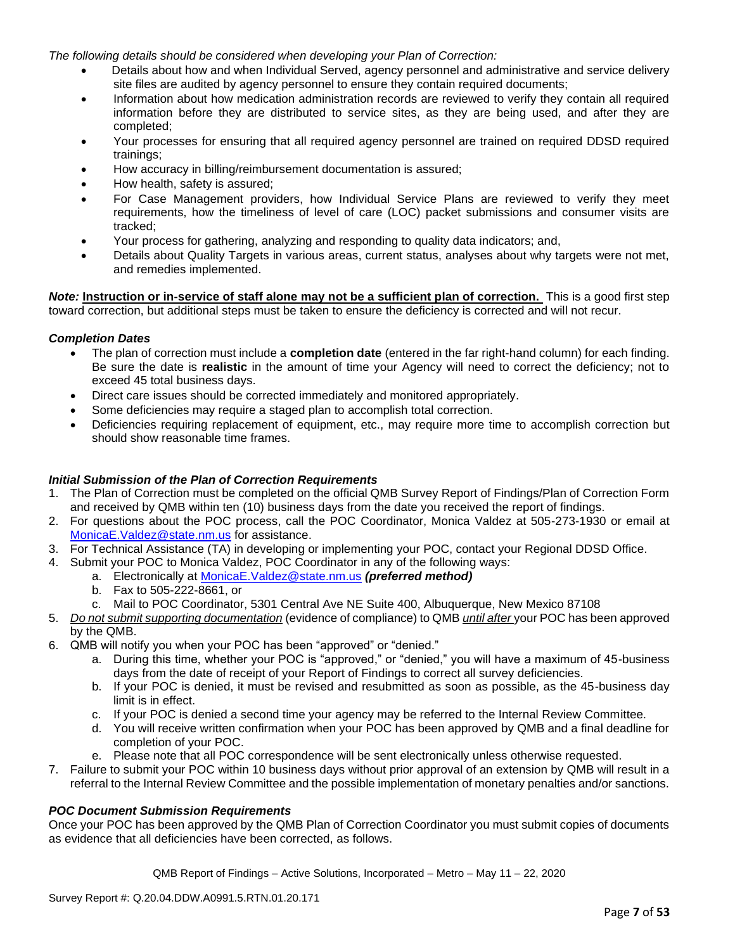*The following details should be considered when developing your Plan of Correction:*

- Details about how and when Individual Served, agency personnel and administrative and service delivery site files are audited by agency personnel to ensure they contain required documents;
- Information about how medication administration records are reviewed to verify they contain all required information before they are distributed to service sites, as they are being used, and after they are completed;
- Your processes for ensuring that all required agency personnel are trained on required DDSD required trainings;
- How accuracy in billing/reimbursement documentation is assured;
- How health, safety is assured;
- For Case Management providers, how Individual Service Plans are reviewed to verify they meet requirements, how the timeliness of level of care (LOC) packet submissions and consumer visits are tracked;
- Your process for gathering, analyzing and responding to quality data indicators; and,
- Details about Quality Targets in various areas, current status, analyses about why targets were not met, and remedies implemented.

*Note:* **Instruction or in-service of staff alone may not be a sufficient plan of correction.** This is a good first step toward correction, but additional steps must be taken to ensure the deficiency is corrected and will not recur.

#### *Completion Dates*

- The plan of correction must include a **completion date** (entered in the far right-hand column) for each finding. Be sure the date is **realistic** in the amount of time your Agency will need to correct the deficiency; not to exceed 45 total business days.
- Direct care issues should be corrected immediately and monitored appropriately.
- Some deficiencies may require a staged plan to accomplish total correction.
- Deficiencies requiring replacement of equipment, etc., may require more time to accomplish correction but should show reasonable time frames.

#### *Initial Submission of the Plan of Correction Requirements*

- 1. The Plan of Correction must be completed on the official QMB Survey Report of Findings/Plan of Correction Form and received by QMB within ten (10) business days from the date you received the report of findings.
- 2. For questions about the POC process, call the POC Coordinator, Monica Valdez at 505-273-1930 or email at [MonicaE.Valdez@state.nm.us](mailto:MonicaE.Valdez@state.nm.us) for assistance.
- 3. For Technical Assistance (TA) in developing or implementing your POC, contact your Regional DDSD Office.
- 4. Submit your POC to Monica Valdez, POC Coordinator in any of the following ways:
	- a. Electronically at [MonicaE.Valdez@state.nm.us](mailto:MonicaE.Valdez@state.nm.us) *(preferred method)*
	- b. Fax to 505-222-8661, or
	- c. Mail to POC Coordinator, 5301 Central Ave NE Suite 400, Albuquerque, New Mexico 87108
- 5. *Do not submit supporting documentation* (evidence of compliance) to QMB *until after* your POC has been approved by the QMB.
- 6. QMB will notify you when your POC has been "approved" or "denied."
	- a. During this time, whether your POC is "approved," or "denied," you will have a maximum of 45-business days from the date of receipt of your Report of Findings to correct all survey deficiencies.
	- b. If your POC is denied, it must be revised and resubmitted as soon as possible, as the 45-business day limit is in effect.
	- c. If your POC is denied a second time your agency may be referred to the Internal Review Committee.
	- d. You will receive written confirmation when your POC has been approved by QMB and a final deadline for completion of your POC.
	- e. Please note that all POC correspondence will be sent electronically unless otherwise requested.
- 7. Failure to submit your POC within 10 business days without prior approval of an extension by QMB will result in a referral to the Internal Review Committee and the possible implementation of monetary penalties and/or sanctions.

#### *POC Document Submission Requirements*

Once your POC has been approved by the QMB Plan of Correction Coordinator you must submit copies of documents as evidence that all deficiencies have been corrected, as follows.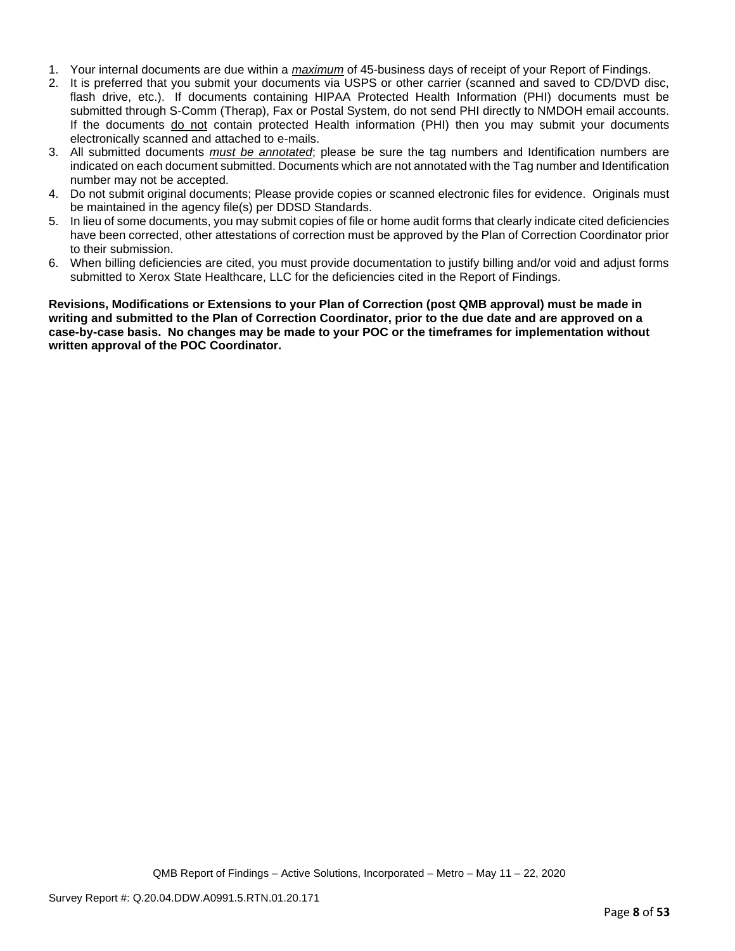- 1. Your internal documents are due within a *maximum* of 45-business days of receipt of your Report of Findings.
- 2. It is preferred that you submit your documents via USPS or other carrier (scanned and saved to CD/DVD disc, flash drive, etc.). If documents containing HIPAA Protected Health Information (PHI) documents must be submitted through S-Comm (Therap), Fax or Postal System, do not send PHI directly to NMDOH email accounts. If the documents do not contain protected Health information (PHI) then you may submit your documents electronically scanned and attached to e-mails.
- 3. All submitted documents *must be annotated*; please be sure the tag numbers and Identification numbers are indicated on each document submitted. Documents which are not annotated with the Tag number and Identification number may not be accepted.
- 4. Do not submit original documents; Please provide copies or scanned electronic files for evidence. Originals must be maintained in the agency file(s) per DDSD Standards.
- 5. In lieu of some documents, you may submit copies of file or home audit forms that clearly indicate cited deficiencies have been corrected, other attestations of correction must be approved by the Plan of Correction Coordinator prior to their submission.
- 6. When billing deficiencies are cited, you must provide documentation to justify billing and/or void and adjust forms submitted to Xerox State Healthcare, LLC for the deficiencies cited in the Report of Findings.

**Revisions, Modifications or Extensions to your Plan of Correction (post QMB approval) must be made in writing and submitted to the Plan of Correction Coordinator, prior to the due date and are approved on a case-by-case basis. No changes may be made to your POC or the timeframes for implementation without written approval of the POC Coordinator.**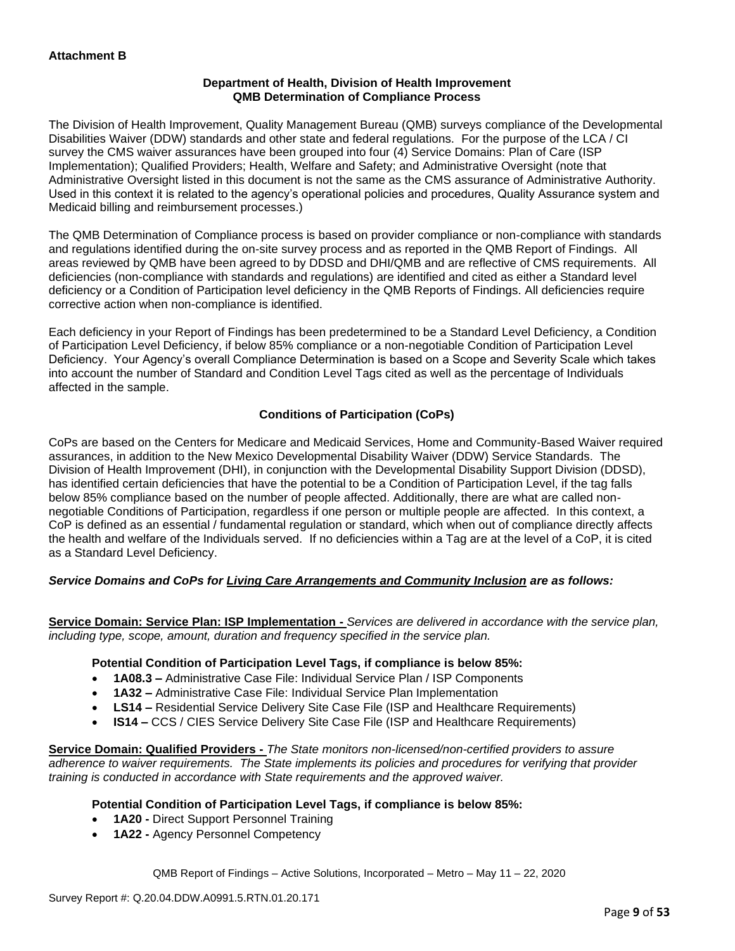### **Department of Health, Division of Health Improvement QMB Determination of Compliance Process**

The Division of Health Improvement, Quality Management Bureau (QMB) surveys compliance of the Developmental Disabilities Waiver (DDW) standards and other state and federal regulations. For the purpose of the LCA / CI survey the CMS waiver assurances have been grouped into four (4) Service Domains: Plan of Care (ISP Implementation); Qualified Providers; Health, Welfare and Safety; and Administrative Oversight (note that Administrative Oversight listed in this document is not the same as the CMS assurance of Administrative Authority. Used in this context it is related to the agency's operational policies and procedures, Quality Assurance system and Medicaid billing and reimbursement processes.)

The QMB Determination of Compliance process is based on provider compliance or non-compliance with standards and regulations identified during the on-site survey process and as reported in the QMB Report of Findings. All areas reviewed by QMB have been agreed to by DDSD and DHI/QMB and are reflective of CMS requirements. All deficiencies (non-compliance with standards and regulations) are identified and cited as either a Standard level deficiency or a Condition of Participation level deficiency in the QMB Reports of Findings. All deficiencies require corrective action when non-compliance is identified.

Each deficiency in your Report of Findings has been predetermined to be a Standard Level Deficiency, a Condition of Participation Level Deficiency, if below 85% compliance or a non-negotiable Condition of Participation Level Deficiency. Your Agency's overall Compliance Determination is based on a Scope and Severity Scale which takes into account the number of Standard and Condition Level Tags cited as well as the percentage of Individuals affected in the sample.

### **Conditions of Participation (CoPs)**

CoPs are based on the Centers for Medicare and Medicaid Services, Home and Community-Based Waiver required assurances, in addition to the New Mexico Developmental Disability Waiver (DDW) Service Standards. The Division of Health Improvement (DHI), in conjunction with the Developmental Disability Support Division (DDSD), has identified certain deficiencies that have the potential to be a Condition of Participation Level, if the tag falls below 85% compliance based on the number of people affected. Additionally, there are what are called nonnegotiable Conditions of Participation, regardless if one person or multiple people are affected. In this context, a CoP is defined as an essential / fundamental regulation or standard, which when out of compliance directly affects the health and welfare of the Individuals served. If no deficiencies within a Tag are at the level of a CoP, it is cited as a Standard Level Deficiency.

### *Service Domains and CoPs for Living Care Arrangements and Community Inclusion are as follows:*

**Service Domain: Service Plan: ISP Implementation -** *Services are delivered in accordance with the service plan, including type, scope, amount, duration and frequency specified in the service plan.*

#### **Potential Condition of Participation Level Tags, if compliance is below 85%:**

- **1A08.3 –** Administrative Case File: Individual Service Plan / ISP Components
- **1A32 –** Administrative Case File: Individual Service Plan Implementation
- **LS14 –** Residential Service Delivery Site Case File (ISP and Healthcare Requirements)
- **IS14 –** CCS / CIES Service Delivery Site Case File (ISP and Healthcare Requirements)

**Service Domain: Qualified Providers -** *The State monitors non-licensed/non-certified providers to assure adherence to waiver requirements. The State implements its policies and procedures for verifying that provider training is conducted in accordance with State requirements and the approved waiver.*

### **Potential Condition of Participation Level Tags, if compliance is below 85%:**

- **1A20 -** Direct Support Personnel Training
- **1A22 -** Agency Personnel Competency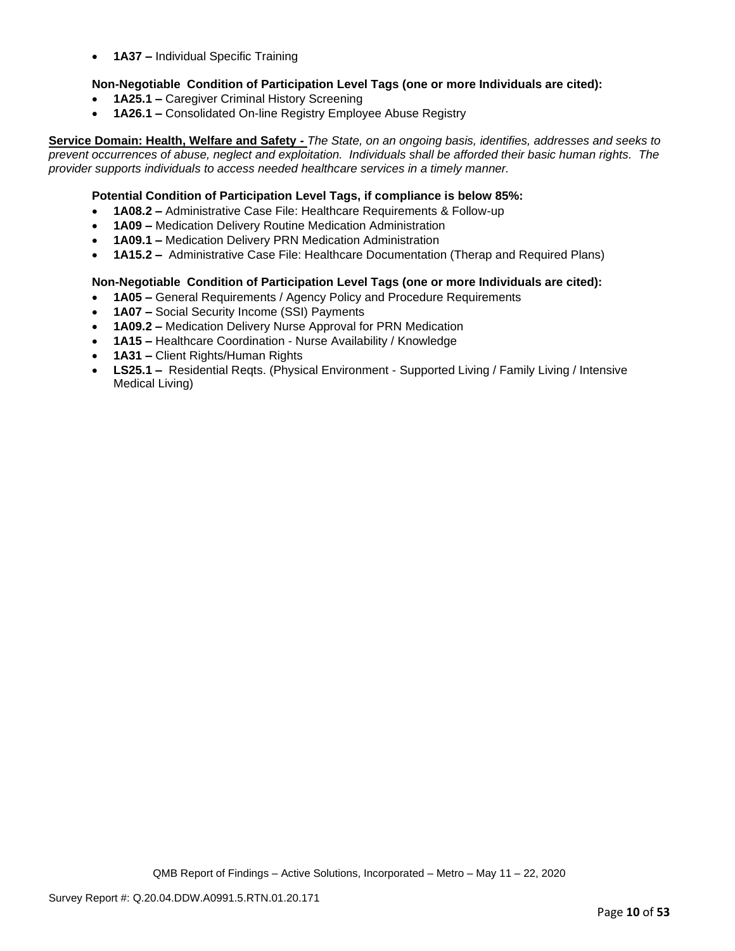• **1A37 –** Individual Specific Training

### **Non-Negotiable Condition of Participation Level Tags (one or more Individuals are cited):**

- **1A25.1 –** Caregiver Criminal History Screening
- **1A26.1 –** Consolidated On-line Registry Employee Abuse Registry

**Service Domain: Health, Welfare and Safety -** *The State, on an ongoing basis, identifies, addresses and seeks to prevent occurrences of abuse, neglect and exploitation. Individuals shall be afforded their basic human rights. The provider supports individuals to access needed healthcare services in a timely manner.*

#### **Potential Condition of Participation Level Tags, if compliance is below 85%:**

- **1A08.2 –** Administrative Case File: Healthcare Requirements & Follow-up
- **1A09 –** Medication Delivery Routine Medication Administration
- **1A09.1 –** Medication Delivery PRN Medication Administration
- **1A15.2 –** Administrative Case File: Healthcare Documentation (Therap and Required Plans)

#### **Non-Negotiable Condition of Participation Level Tags (one or more Individuals are cited):**

- **1A05 –** General Requirements / Agency Policy and Procedure Requirements
- **1A07 –** Social Security Income (SSI) Payments
- **1A09.2 –** Medication Delivery Nurse Approval for PRN Medication
- **1A15 –** Healthcare Coordination Nurse Availability / Knowledge
- **1A31 –** Client Rights/Human Rights
- **LS25.1 –** Residential Reqts. (Physical Environment Supported Living / Family Living / Intensive Medical Living)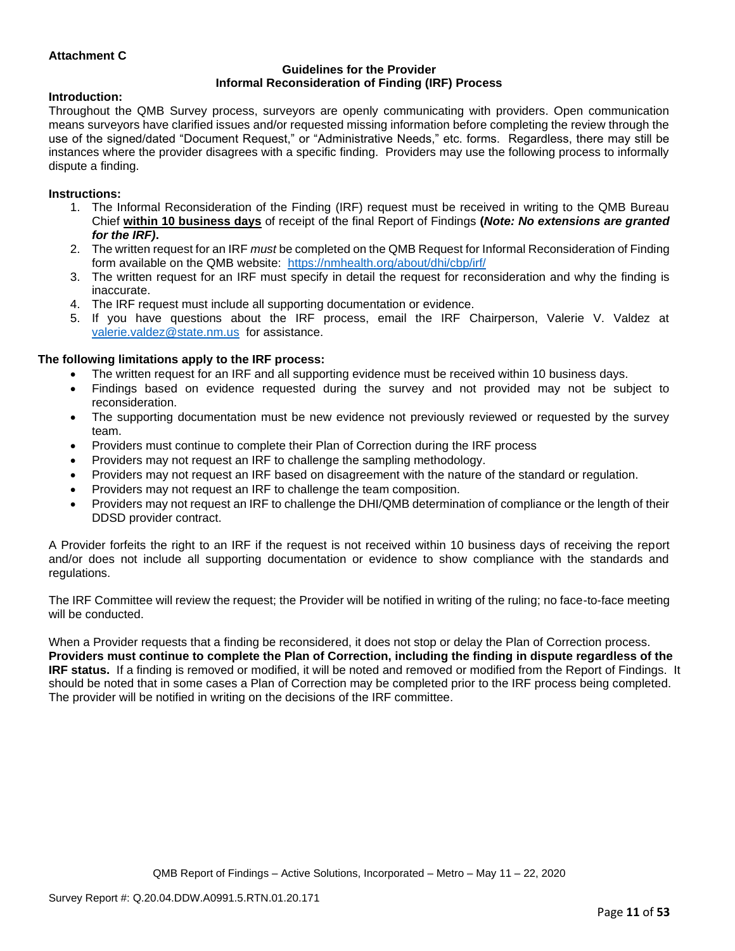### **Attachment C**

#### **Guidelines for the Provider Informal Reconsideration of Finding (IRF) Process**

#### **Introduction:**

Throughout the QMB Survey process, surveyors are openly communicating with providers. Open communication means surveyors have clarified issues and/or requested missing information before completing the review through the use of the signed/dated "Document Request," or "Administrative Needs," etc. forms. Regardless, there may still be instances where the provider disagrees with a specific finding. Providers may use the following process to informally dispute a finding.

#### **Instructions:**

- 1. The Informal Reconsideration of the Finding (IRF) request must be received in writing to the QMB Bureau Chief **within 10 business days** of receipt of the final Report of Findings **(***Note: No extensions are granted for the IRF)***.**
- 2. The written request for an IRF *must* be completed on the QMB Request for Informal Reconsideration of Finding form available on the QMB website: <https://nmhealth.org/about/dhi/cbp/irf/>
- 3. The written request for an IRF must specify in detail the request for reconsideration and why the finding is inaccurate.
- 4. The IRF request must include all supporting documentation or evidence.
- 5. If you have questions about the IRF process, email the IRF Chairperson, Valerie V. Valdez at [valerie.valdez@state.nm.us](mailto:valerie.valdez@state.nm.us) for assistance.

#### **The following limitations apply to the IRF process:**

- The written request for an IRF and all supporting evidence must be received within 10 business days.
- Findings based on evidence requested during the survey and not provided may not be subject to reconsideration.
- The supporting documentation must be new evidence not previously reviewed or requested by the survey team.
- Providers must continue to complete their Plan of Correction during the IRF process
- Providers may not request an IRF to challenge the sampling methodology.
- Providers may not request an IRF based on disagreement with the nature of the standard or regulation.
- Providers may not request an IRF to challenge the team composition.
- Providers may not request an IRF to challenge the DHI/QMB determination of compliance or the length of their DDSD provider contract.

A Provider forfeits the right to an IRF if the request is not received within 10 business days of receiving the report and/or does not include all supporting documentation or evidence to show compliance with the standards and regulations.

The IRF Committee will review the request; the Provider will be notified in writing of the ruling; no face-to-face meeting will be conducted.

When a Provider requests that a finding be reconsidered, it does not stop or delay the Plan of Correction process. **Providers must continue to complete the Plan of Correction, including the finding in dispute regardless of the IRF status.** If a finding is removed or modified, it will be noted and removed or modified from the Report of Findings. It should be noted that in some cases a Plan of Correction may be completed prior to the IRF process being completed. The provider will be notified in writing on the decisions of the IRF committee.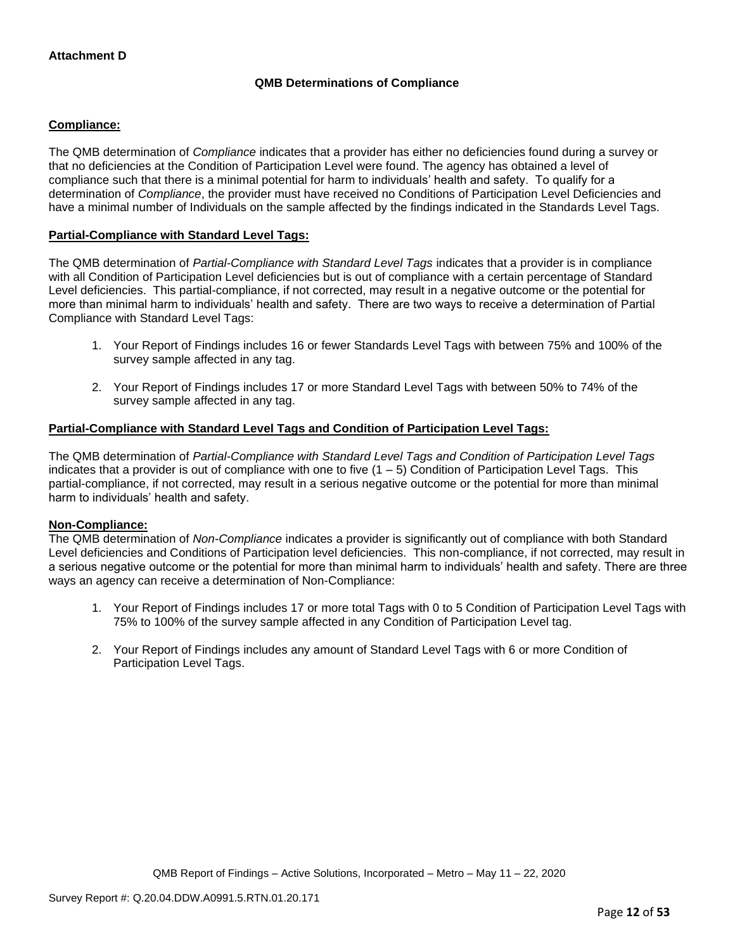### **QMB Determinations of Compliance**

### **Compliance:**

The QMB determination of *Compliance* indicates that a provider has either no deficiencies found during a survey or that no deficiencies at the Condition of Participation Level were found. The agency has obtained a level of compliance such that there is a minimal potential for harm to individuals' health and safety. To qualify for a determination of *Compliance*, the provider must have received no Conditions of Participation Level Deficiencies and have a minimal number of Individuals on the sample affected by the findings indicated in the Standards Level Tags.

#### **Partial-Compliance with Standard Level Tags:**

The QMB determination of *Partial-Compliance with Standard Level Tags* indicates that a provider is in compliance with all Condition of Participation Level deficiencies but is out of compliance with a certain percentage of Standard Level deficiencies. This partial-compliance, if not corrected, may result in a negative outcome or the potential for more than minimal harm to individuals' health and safety. There are two ways to receive a determination of Partial Compliance with Standard Level Tags:

- 1. Your Report of Findings includes 16 or fewer Standards Level Tags with between 75% and 100% of the survey sample affected in any tag.
- 2. Your Report of Findings includes 17 or more Standard Level Tags with between 50% to 74% of the survey sample affected in any tag.

### **Partial-Compliance with Standard Level Tags and Condition of Participation Level Tags:**

The QMB determination of *Partial-Compliance with Standard Level Tags and Condition of Participation Level Tags*  indicates that a provider is out of compliance with one to five (1 – 5) Condition of Participation Level Tags. This partial-compliance, if not corrected, may result in a serious negative outcome or the potential for more than minimal harm to individuals' health and safety.

#### **Non-Compliance:**

The QMB determination of *Non-Compliance* indicates a provider is significantly out of compliance with both Standard Level deficiencies and Conditions of Participation level deficiencies. This non-compliance, if not corrected, may result in a serious negative outcome or the potential for more than minimal harm to individuals' health and safety. There are three ways an agency can receive a determination of Non-Compliance:

- 1. Your Report of Findings includes 17 or more total Tags with 0 to 5 Condition of Participation Level Tags with 75% to 100% of the survey sample affected in any Condition of Participation Level tag.
- 2. Your Report of Findings includes any amount of Standard Level Tags with 6 or more Condition of Participation Level Tags.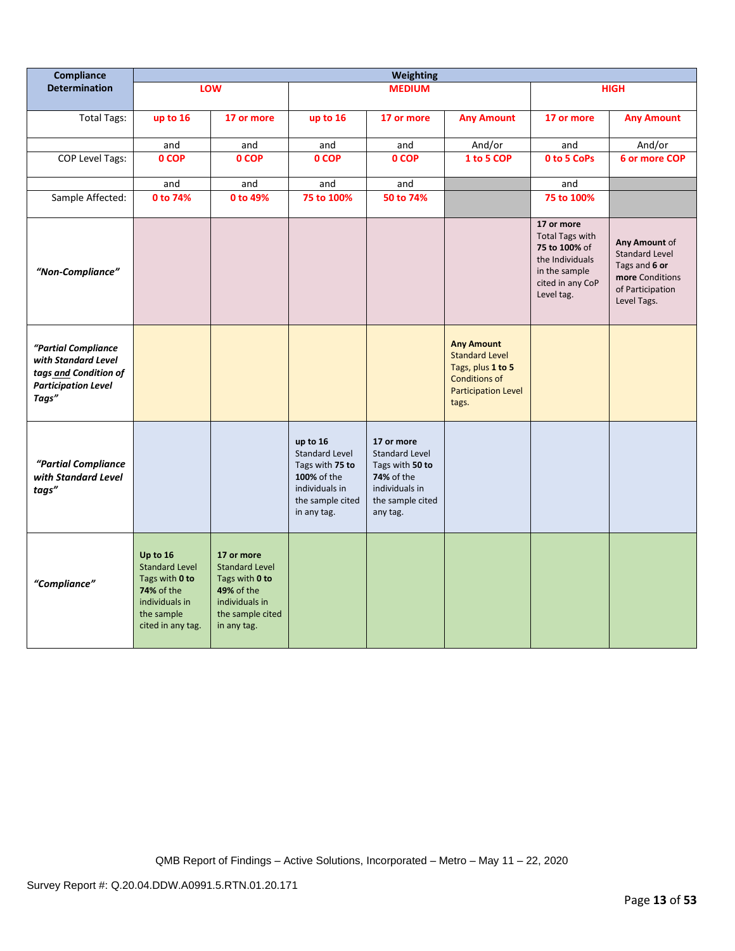| Compliance                                                                                                 | <b>Weighting</b>                                                                                                              |                                                                                                                                 |                                                                                                                          |                                                                                                                        |                                                                                                                                |                                                                                                                             |                                                                                                               |
|------------------------------------------------------------------------------------------------------------|-------------------------------------------------------------------------------------------------------------------------------|---------------------------------------------------------------------------------------------------------------------------------|--------------------------------------------------------------------------------------------------------------------------|------------------------------------------------------------------------------------------------------------------------|--------------------------------------------------------------------------------------------------------------------------------|-----------------------------------------------------------------------------------------------------------------------------|---------------------------------------------------------------------------------------------------------------|
| <b>Determination</b>                                                                                       |                                                                                                                               | LOW                                                                                                                             |                                                                                                                          | <b>MEDIUM</b>                                                                                                          |                                                                                                                                |                                                                                                                             | <b>HIGH</b>                                                                                                   |
| <b>Total Tags:</b>                                                                                         | up to 16                                                                                                                      | 17 or more                                                                                                                      | up to 16                                                                                                                 | 17 or more                                                                                                             | <b>Any Amount</b>                                                                                                              | 17 or more                                                                                                                  | <b>Any Amount</b>                                                                                             |
|                                                                                                            | and                                                                                                                           | and                                                                                                                             | and                                                                                                                      | and                                                                                                                    | And/or                                                                                                                         | and                                                                                                                         | And/or                                                                                                        |
| <b>COP Level Tags:</b>                                                                                     | 0 COP                                                                                                                         | 0 COP                                                                                                                           | 0 COP                                                                                                                    | 0 COP                                                                                                                  | 1 to 5 COP                                                                                                                     | 0 to 5 CoPs                                                                                                                 | 6 or more COP                                                                                                 |
|                                                                                                            | and                                                                                                                           | and                                                                                                                             | and                                                                                                                      | and                                                                                                                    |                                                                                                                                | and                                                                                                                         |                                                                                                               |
| Sample Affected:                                                                                           | 0 to 74%                                                                                                                      | 0 to 49%                                                                                                                        | 75 to 100%                                                                                                               | 50 to 74%                                                                                                              |                                                                                                                                | 75 to 100%                                                                                                                  |                                                                                                               |
| "Non-Compliance"                                                                                           |                                                                                                                               |                                                                                                                                 |                                                                                                                          |                                                                                                                        |                                                                                                                                | 17 or more<br><b>Total Tags with</b><br>75 to 100% of<br>the Individuals<br>in the sample<br>cited in any CoP<br>Level tag. | Any Amount of<br><b>Standard Level</b><br>Tags and 6 or<br>more Conditions<br>of Participation<br>Level Tags. |
| "Partial Compliance<br>with Standard Level<br>tags and Condition of<br><b>Participation Level</b><br>Tags" |                                                                                                                               |                                                                                                                                 |                                                                                                                          |                                                                                                                        | <b>Any Amount</b><br><b>Standard Level</b><br>Tags, plus 1 to 5<br><b>Conditions of</b><br><b>Participation Level</b><br>tags. |                                                                                                                             |                                                                                                               |
| "Partial Compliance<br>with Standard Level<br>tags"                                                        |                                                                                                                               |                                                                                                                                 | up to 16<br><b>Standard Level</b><br>Tags with 75 to<br>100% of the<br>individuals in<br>the sample cited<br>in any tag. | 17 or more<br><b>Standard Level</b><br>Tags with 50 to<br>74% of the<br>individuals in<br>the sample cited<br>any tag. |                                                                                                                                |                                                                                                                             |                                                                                                               |
| "Compliance"                                                                                               | Up to 16<br><b>Standard Level</b><br>Tags with 0 to<br><b>74% of the</b><br>individuals in<br>the sample<br>cited in any tag. | 17 or more<br><b>Standard Level</b><br>Tags with 0 to<br><b>49% of the</b><br>individuals in<br>the sample cited<br>in any tag. |                                                                                                                          |                                                                                                                        |                                                                                                                                |                                                                                                                             |                                                                                                               |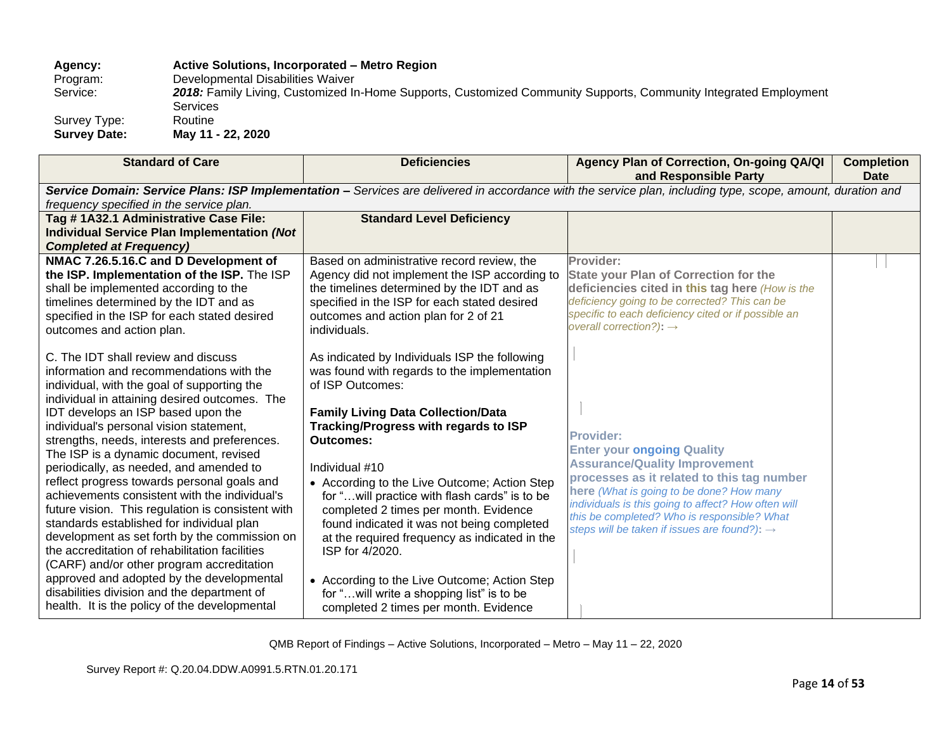### **Agency: Active Solutions, Incorporated – Metro Region** Program: Developmental Disabilities Waiver<br>Service: 2018: Family Living, Customized In 2018: Family Living, Customized In-Home Supports, Customized Community Supports, Community Integrated Employment Services Survey Type: Routine **Survey Date: May 11 - 22, 2020**

| <b>Standard of Care</b>                                                                                                                                                                                                                                                                                                                                                                                                                                                                                                                                                                                                                                                                                                                                                                                                                                                                                                                                                                                                                                                                                                                       | <b>Deficiencies</b>                                                                                                                                                                                                                                                                                                                                                                                                                                                                                                                                                                                                                                                                                                                                                                                                                                          | Agency Plan of Correction, On-going QA/QI<br>and Responsible Party                                                                                                                                                                                                                                                                                                                                                                                                                                                                                                                                                       | <b>Completion</b><br><b>Date</b> |
|-----------------------------------------------------------------------------------------------------------------------------------------------------------------------------------------------------------------------------------------------------------------------------------------------------------------------------------------------------------------------------------------------------------------------------------------------------------------------------------------------------------------------------------------------------------------------------------------------------------------------------------------------------------------------------------------------------------------------------------------------------------------------------------------------------------------------------------------------------------------------------------------------------------------------------------------------------------------------------------------------------------------------------------------------------------------------------------------------------------------------------------------------|--------------------------------------------------------------------------------------------------------------------------------------------------------------------------------------------------------------------------------------------------------------------------------------------------------------------------------------------------------------------------------------------------------------------------------------------------------------------------------------------------------------------------------------------------------------------------------------------------------------------------------------------------------------------------------------------------------------------------------------------------------------------------------------------------------------------------------------------------------------|--------------------------------------------------------------------------------------------------------------------------------------------------------------------------------------------------------------------------------------------------------------------------------------------------------------------------------------------------------------------------------------------------------------------------------------------------------------------------------------------------------------------------------------------------------------------------------------------------------------------------|----------------------------------|
|                                                                                                                                                                                                                                                                                                                                                                                                                                                                                                                                                                                                                                                                                                                                                                                                                                                                                                                                                                                                                                                                                                                                               |                                                                                                                                                                                                                                                                                                                                                                                                                                                                                                                                                                                                                                                                                                                                                                                                                                                              | Service Domain: Service Plans: ISP Implementation - Services are delivered in accordance with the service plan, including type, scope, amount, duration and                                                                                                                                                                                                                                                                                                                                                                                                                                                              |                                  |
| frequency specified in the service plan.<br>Tag #1A32.1 Administrative Case File:                                                                                                                                                                                                                                                                                                                                                                                                                                                                                                                                                                                                                                                                                                                                                                                                                                                                                                                                                                                                                                                             | <b>Standard Level Deficiency</b>                                                                                                                                                                                                                                                                                                                                                                                                                                                                                                                                                                                                                                                                                                                                                                                                                             |                                                                                                                                                                                                                                                                                                                                                                                                                                                                                                                                                                                                                          |                                  |
| <b>Individual Service Plan Implementation (Not</b>                                                                                                                                                                                                                                                                                                                                                                                                                                                                                                                                                                                                                                                                                                                                                                                                                                                                                                                                                                                                                                                                                            |                                                                                                                                                                                                                                                                                                                                                                                                                                                                                                                                                                                                                                                                                                                                                                                                                                                              |                                                                                                                                                                                                                                                                                                                                                                                                                                                                                                                                                                                                                          |                                  |
| <b>Completed at Frequency)</b><br>NMAC 7.26.5.16.C and D Development of<br>the ISP. Implementation of the ISP. The ISP<br>shall be implemented according to the<br>timelines determined by the IDT and as<br>specified in the ISP for each stated desired<br>outcomes and action plan.<br>C. The IDT shall review and discuss<br>information and recommendations with the<br>individual, with the goal of supporting the<br>individual in attaining desired outcomes. The<br>IDT develops an ISP based upon the<br>individual's personal vision statement,<br>strengths, needs, interests and preferences.<br>The ISP is a dynamic document, revised<br>periodically, as needed, and amended to<br>reflect progress towards personal goals and<br>achievements consistent with the individual's<br>future vision. This regulation is consistent with<br>standards established for individual plan<br>development as set forth by the commission on<br>the accreditation of rehabilitation facilities<br>(CARF) and/or other program accreditation<br>approved and adopted by the developmental<br>disabilities division and the department of | Based on administrative record review, the<br>Agency did not implement the ISP according to<br>the timelines determined by the IDT and as<br>specified in the ISP for each stated desired<br>outcomes and action plan for 2 of 21<br>individuals.<br>As indicated by Individuals ISP the following<br>was found with regards to the implementation<br>of ISP Outcomes:<br><b>Family Living Data Collection/Data</b><br>Tracking/Progress with regards to ISP<br><b>Outcomes:</b><br>Individual #10<br>• According to the Live Outcome; Action Step<br>for " will practice with flash cards" is to be<br>completed 2 times per month. Evidence<br>found indicated it was not being completed<br>at the required frequency as indicated in the<br>ISP for 4/2020.<br>• According to the Live Outcome; Action Step<br>for "will write a shopping list" is to be | Provider:<br><b>State your Plan of Correction for the</b><br>deficiencies cited in this tag here (How is the<br>deficiency going to be corrected? This can be<br>specific to each deficiency cited or if possible an<br>overall correction?): $\rightarrow$<br><b>Provider:</b><br><b>Enter your ongoing Quality</b><br><b>Assurance/Quality Improvement</b><br>processes as it related to this tag number<br>here (What is going to be done? How many<br>individuals is this going to affect? How often will<br>this be completed? Who is responsible? What<br>steps will be taken if issues are found?): $\rightarrow$ |                                  |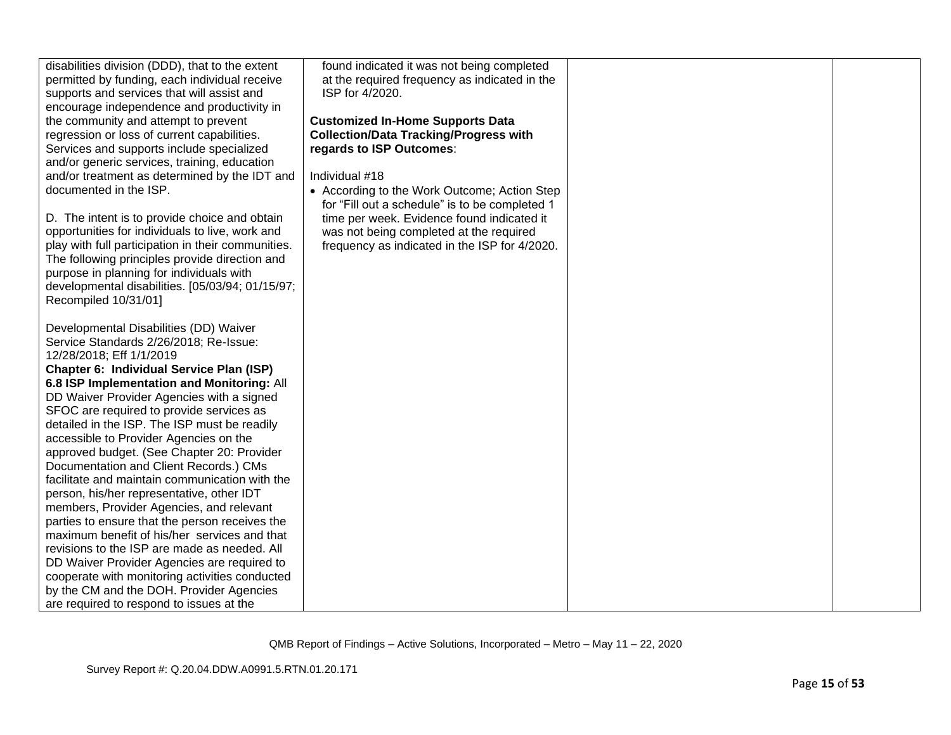| disabilities division (DDD), that to the extent<br>permitted by funding, each individual receive<br>supports and services that will assist and<br>encourage independence and productivity in<br>the community and attempt to prevent<br>regression or loss of current capabilities.<br>Services and supports include specialized<br>and/or generic services, training, education<br>and/or treatment as determined by the IDT and<br>documented in the ISP.<br>D. The intent is to provide choice and obtain<br>opportunities for individuals to live, work and<br>play with full participation in their communities.<br>The following principles provide direction and<br>purpose in planning for individuals with<br>developmental disabilities. [05/03/94; 01/15/97;<br>Recompiled 10/31/01]                                                                                                                                                                         | found indicated it was not being completed<br>at the required frequency as indicated in the<br>ISP for 4/2020.<br><b>Customized In-Home Supports Data</b><br><b>Collection/Data Tracking/Progress with</b><br>regards to ISP Outcomes:<br>Individual #18<br>• According to the Work Outcome; Action Step<br>for "Fill out a schedule" is to be completed 1<br>time per week. Evidence found indicated it<br>was not being completed at the required<br>frequency as indicated in the ISP for 4/2020. |  |
|-------------------------------------------------------------------------------------------------------------------------------------------------------------------------------------------------------------------------------------------------------------------------------------------------------------------------------------------------------------------------------------------------------------------------------------------------------------------------------------------------------------------------------------------------------------------------------------------------------------------------------------------------------------------------------------------------------------------------------------------------------------------------------------------------------------------------------------------------------------------------------------------------------------------------------------------------------------------------|------------------------------------------------------------------------------------------------------------------------------------------------------------------------------------------------------------------------------------------------------------------------------------------------------------------------------------------------------------------------------------------------------------------------------------------------------------------------------------------------------|--|
| Developmental Disabilities (DD) Waiver<br>Service Standards 2/26/2018; Re-Issue:<br>12/28/2018; Eff 1/1/2019<br>Chapter 6: Individual Service Plan (ISP)<br>6.8 ISP Implementation and Monitoring: All<br>DD Waiver Provider Agencies with a signed<br>SFOC are required to provide services as<br>detailed in the ISP. The ISP must be readily<br>accessible to Provider Agencies on the<br>approved budget. (See Chapter 20: Provider<br>Documentation and Client Records.) CMs<br>facilitate and maintain communication with the<br>person, his/her representative, other IDT<br>members, Provider Agencies, and relevant<br>parties to ensure that the person receives the<br>maximum benefit of his/her services and that<br>revisions to the ISP are made as needed. All<br>DD Waiver Provider Agencies are required to<br>cooperate with monitoring activities conducted<br>by the CM and the DOH. Provider Agencies<br>are required to respond to issues at the |                                                                                                                                                                                                                                                                                                                                                                                                                                                                                                      |  |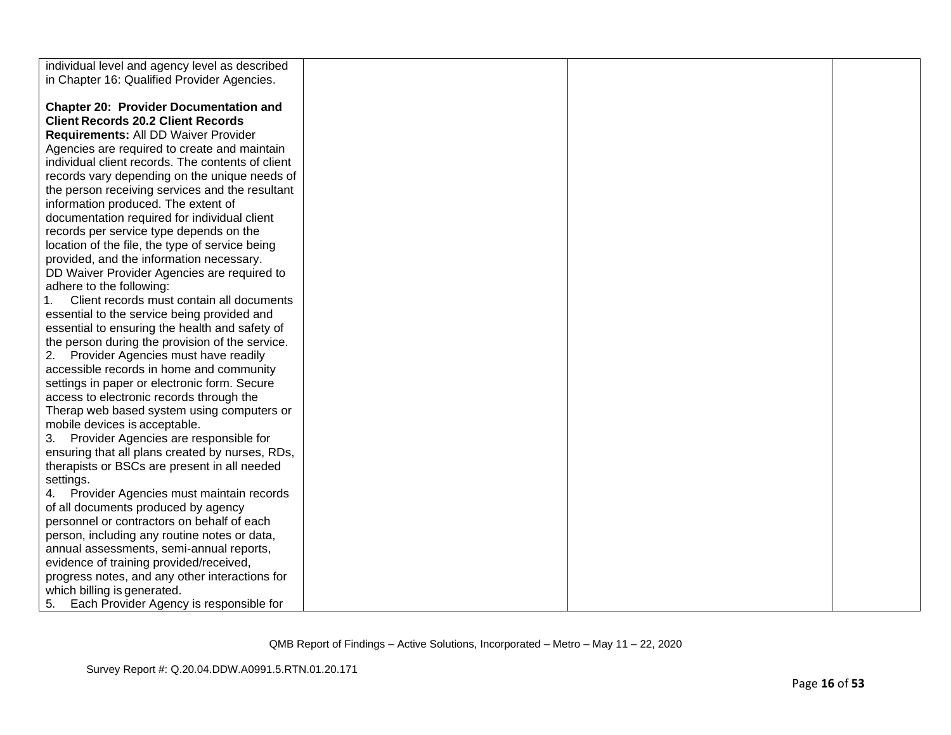| individual level and agency level as described    |  |
|---------------------------------------------------|--|
| in Chapter 16: Qualified Provider Agencies.       |  |
|                                                   |  |
| <b>Chapter 20: Provider Documentation and</b>     |  |
| <b>Client Records 20.2 Client Records</b>         |  |
| Requirements: All DD Waiver Provider              |  |
| Agencies are required to create and maintain      |  |
| individual client records. The contents of client |  |
| records vary depending on the unique needs of     |  |
| the person receiving services and the resultant   |  |
| information produced. The extent of               |  |
| documentation required for individual client      |  |
| records per service type depends on the           |  |
| location of the file, the type of service being   |  |
| provided, and the information necessary.          |  |
| DD Waiver Provider Agencies are required to       |  |
| adhere to the following:                          |  |
| Client records must contain all documents         |  |
| essential to the service being provided and       |  |
| essential to ensuring the health and safety of    |  |
| the person during the provision of the service.   |  |
| 2. Provider Agencies must have readily            |  |
| accessible records in home and community          |  |
|                                                   |  |
| settings in paper or electronic form. Secure      |  |
| access to electronic records through the          |  |
| Therap web based system using computers or        |  |
| mobile devices is acceptable.                     |  |
| 3. Provider Agencies are responsible for          |  |
| ensuring that all plans created by nurses, RDs,   |  |
| therapists or BSCs are present in all needed      |  |
| settings.                                         |  |
| Provider Agencies must maintain records<br>4.     |  |
| of all documents produced by agency               |  |
| personnel or contractors on behalf of each        |  |
| person, including any routine notes or data,      |  |
| annual assessments, semi-annual reports,          |  |
| evidence of training provided/received,           |  |
| progress notes, and any other interactions for    |  |
| which billing is generated.                       |  |
| Each Provider Agency is responsible for<br>5.     |  |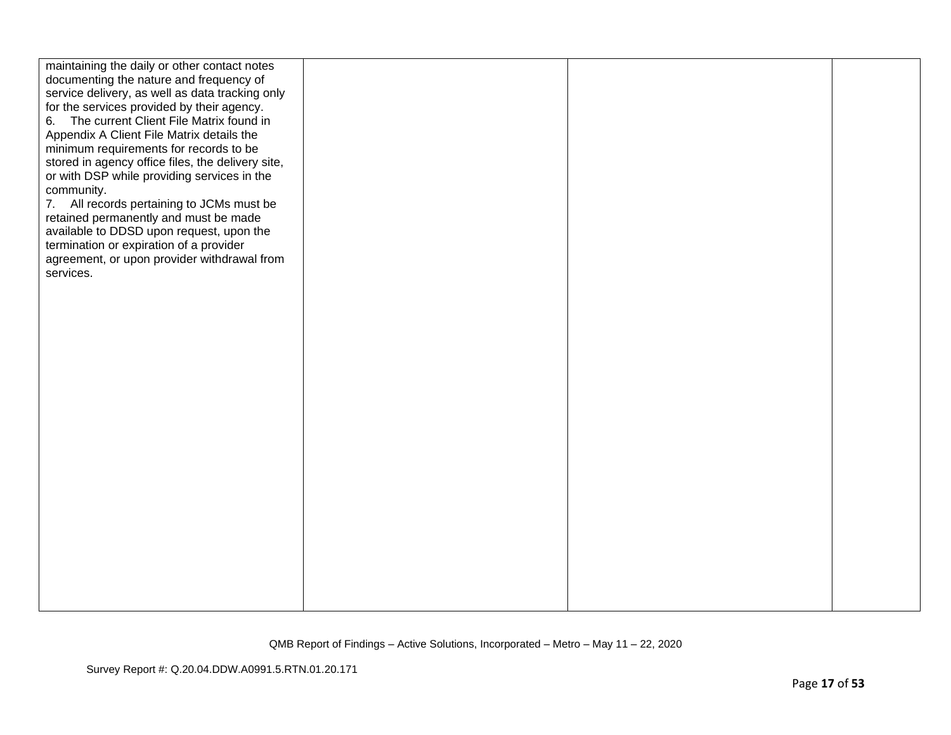| maintaining the daily or other contact notes<br>documenting the nature and frequency of<br>service delivery, as well as data tracking only<br>for the services provided by their agency.<br>The current Client File Matrix found in<br>6.<br>Appendix A Client File Matrix details the<br>minimum requirements for records to be<br>stored in agency office files, the delivery site,<br>or with DSP while providing services in the<br>community.<br>7. All records pertaining to JCMs must be<br>retained permanently and must be made<br>available to DDSD upon request, upon the<br>termination or expiration of a provider<br>agreement, or upon provider withdrawal from<br>services. |  |  |
|---------------------------------------------------------------------------------------------------------------------------------------------------------------------------------------------------------------------------------------------------------------------------------------------------------------------------------------------------------------------------------------------------------------------------------------------------------------------------------------------------------------------------------------------------------------------------------------------------------------------------------------------------------------------------------------------|--|--|
|                                                                                                                                                                                                                                                                                                                                                                                                                                                                                                                                                                                                                                                                                             |  |  |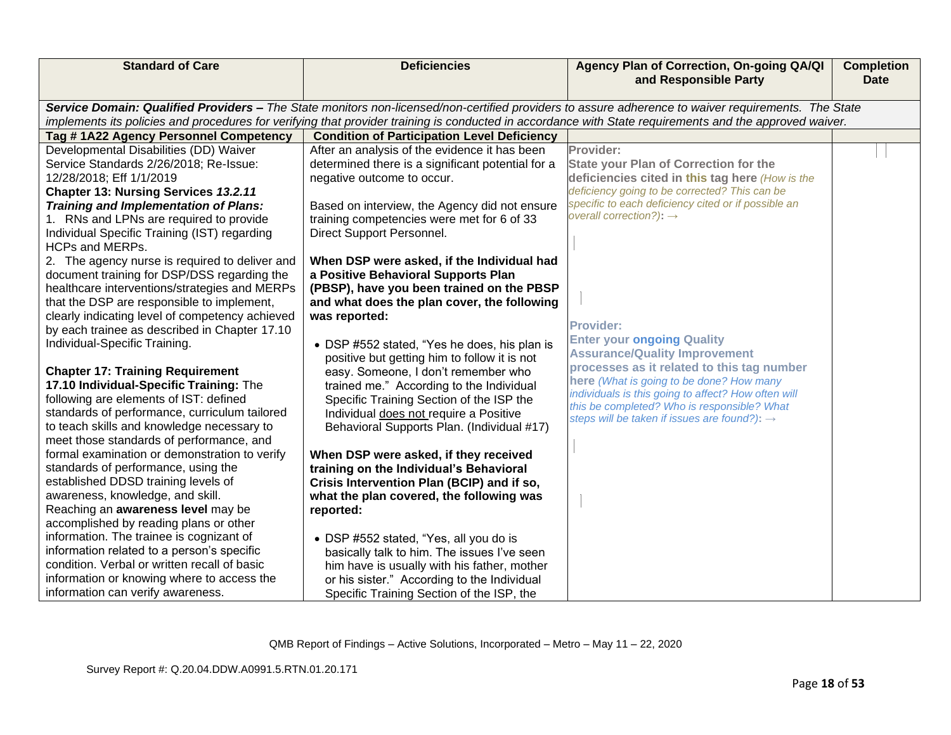| <b>Standard of Care</b>                                                                       | <b>Deficiencies</b>                                                               | Agency Plan of Correction, On-going QA/QI<br>and Responsible Party                                                                                                                                                                                                                                             | <b>Completion</b><br><b>Date</b> |
|-----------------------------------------------------------------------------------------------|-----------------------------------------------------------------------------------|----------------------------------------------------------------------------------------------------------------------------------------------------------------------------------------------------------------------------------------------------------------------------------------------------------------|----------------------------------|
|                                                                                               |                                                                                   |                                                                                                                                                                                                                                                                                                                |                                  |
|                                                                                               |                                                                                   | Service Domain: Qualified Providers - The State monitors non-licensed/non-certified providers to assure adherence to waiver requirements. The State<br>implements its policies and procedures for verifying that provider training is conducted in accordance with State requirements and the approved waiver. |                                  |
| Tag #1A22 Agency Personnel Competency                                                         | <b>Condition of Participation Level Deficiency</b>                                |                                                                                                                                                                                                                                                                                                                |                                  |
| Developmental Disabilities (DD) Waiver                                                        | After an analysis of the evidence it has been                                     | Provider:                                                                                                                                                                                                                                                                                                      |                                  |
| Service Standards 2/26/2018; Re-Issue:                                                        | determined there is a significant potential for a                                 | <b>State your Plan of Correction for the</b>                                                                                                                                                                                                                                                                   |                                  |
| 12/28/2018; Eff 1/1/2019                                                                      | negative outcome to occur.                                                        | deficiencies cited in this tag here (How is the                                                                                                                                                                                                                                                                |                                  |
| Chapter 13: Nursing Services 13.2.11                                                          |                                                                                   | deficiency going to be corrected? This can be                                                                                                                                                                                                                                                                  |                                  |
| <b>Training and Implementation of Plans:</b>                                                  | Based on interview, the Agency did not ensure                                     | specific to each deficiency cited or if possible an<br>overall correction?): $\rightarrow$                                                                                                                                                                                                                     |                                  |
| 1. RNs and LPNs are required to provide                                                       | training competencies were met for 6 of 33                                        |                                                                                                                                                                                                                                                                                                                |                                  |
| Individual Specific Training (IST) regarding                                                  | Direct Support Personnel.                                                         |                                                                                                                                                                                                                                                                                                                |                                  |
| <b>HCPs and MERPs.</b>                                                                        |                                                                                   |                                                                                                                                                                                                                                                                                                                |                                  |
| 2. The agency nurse is required to deliver and<br>document training for DSP/DSS regarding the | When DSP were asked, if the Individual had<br>a Positive Behavioral Supports Plan |                                                                                                                                                                                                                                                                                                                |                                  |
| healthcare interventions/strategies and MERPs                                                 | (PBSP), have you been trained on the PBSP                                         |                                                                                                                                                                                                                                                                                                                |                                  |
| that the DSP are responsible to implement,                                                    | and what does the plan cover, the following                                       |                                                                                                                                                                                                                                                                                                                |                                  |
| clearly indicating level of competency achieved                                               | was reported:                                                                     |                                                                                                                                                                                                                                                                                                                |                                  |
| by each trainee as described in Chapter 17.10                                                 |                                                                                   | <b>Provider:</b>                                                                                                                                                                                                                                                                                               |                                  |
| Individual-Specific Training.                                                                 | • DSP #552 stated, "Yes he does, his plan is                                      | <b>Enter your ongoing Quality</b>                                                                                                                                                                                                                                                                              |                                  |
|                                                                                               | positive but getting him to follow it is not                                      | <b>Assurance/Quality Improvement</b>                                                                                                                                                                                                                                                                           |                                  |
| <b>Chapter 17: Training Requirement</b>                                                       | easy. Someone, I don't remember who                                               | processes as it related to this tag number                                                                                                                                                                                                                                                                     |                                  |
| 17.10 Individual-Specific Training: The                                                       | trained me." According to the Individual                                          | here (What is going to be done? How many<br>individuals is this going to affect? How often will                                                                                                                                                                                                                |                                  |
| following are elements of IST: defined                                                        | Specific Training Section of the ISP the                                          | this be completed? Who is responsible? What                                                                                                                                                                                                                                                                    |                                  |
| standards of performance, curriculum tailored                                                 | Individual does not require a Positive                                            | steps will be taken if issues are found?): →                                                                                                                                                                                                                                                                   |                                  |
| to teach skills and knowledge necessary to                                                    | Behavioral Supports Plan. (Individual #17)                                        |                                                                                                                                                                                                                                                                                                                |                                  |
| meet those standards of performance, and<br>formal examination or demonstration to verify     | When DSP were asked, if they received                                             |                                                                                                                                                                                                                                                                                                                |                                  |
| standards of performance, using the                                                           | training on the Individual's Behavioral                                           |                                                                                                                                                                                                                                                                                                                |                                  |
| established DDSD training levels of                                                           | Crisis Intervention Plan (BCIP) and if so,                                        |                                                                                                                                                                                                                                                                                                                |                                  |
| awareness, knowledge, and skill.                                                              | what the plan covered, the following was                                          |                                                                                                                                                                                                                                                                                                                |                                  |
| Reaching an awareness level may be                                                            | reported:                                                                         |                                                                                                                                                                                                                                                                                                                |                                  |
| accomplished by reading plans or other                                                        |                                                                                   |                                                                                                                                                                                                                                                                                                                |                                  |
| information. The trainee is cognizant of                                                      | • DSP #552 stated, "Yes, all you do is                                            |                                                                                                                                                                                                                                                                                                                |                                  |
| information related to a person's specific                                                    | basically talk to him. The issues I've seen                                       |                                                                                                                                                                                                                                                                                                                |                                  |
| condition. Verbal or written recall of basic                                                  | him have is usually with his father, mother                                       |                                                                                                                                                                                                                                                                                                                |                                  |
| information or knowing where to access the                                                    | or his sister." According to the Individual                                       |                                                                                                                                                                                                                                                                                                                |                                  |
| information can verify awareness.                                                             | Specific Training Section of the ISP, the                                         |                                                                                                                                                                                                                                                                                                                |                                  |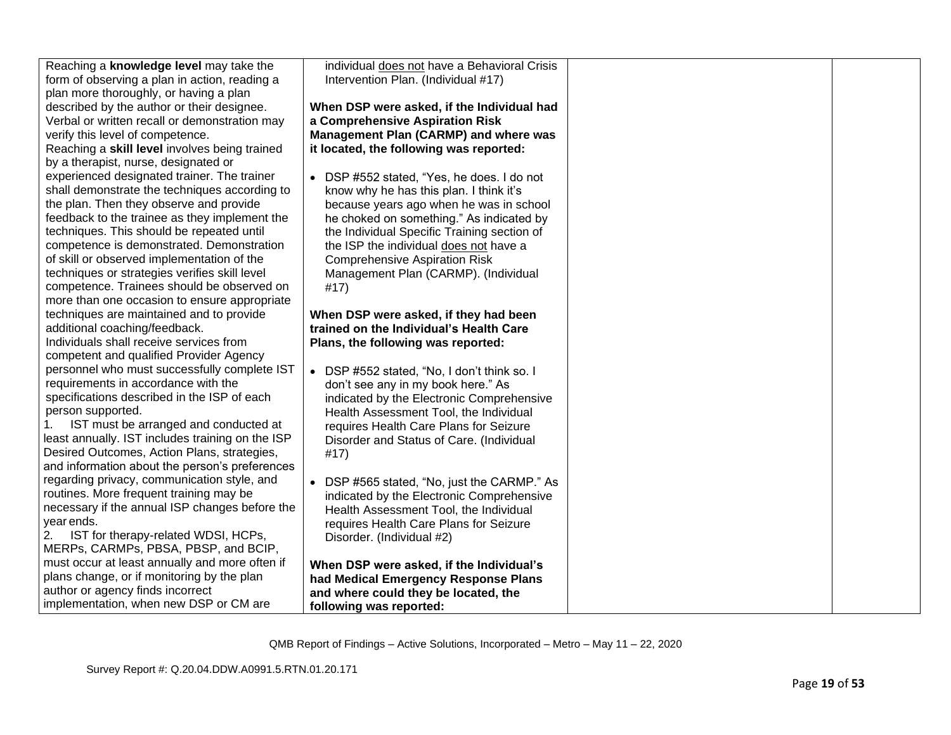| Intervention Plan. (Individual #17)<br>form of observing a plan in action, reading a<br>plan more thoroughly, or having a plan<br>described by the author or their designee.<br>When DSP were asked, if the Individual had<br>Verbal or written recall or demonstration may<br>a Comprehensive Aspiration Risk<br>Management Plan (CARMP) and where was<br>verify this level of competence.<br>Reaching a skill level involves being trained<br>it located, the following was reported:<br>by a therapist, nurse, designated or<br>experienced designated trainer. The trainer<br>• DSP #552 stated, "Yes, he does. I do not<br>shall demonstrate the techniques according to<br>know why he has this plan. I think it's<br>the plan. Then they observe and provide<br>because years ago when he was in school<br>feedback to the trainee as they implement the<br>he choked on something." As indicated by<br>techniques. This should be repeated until<br>the Individual Specific Training section of<br>competence is demonstrated. Demonstration<br>the ISP the individual does not have a<br>of skill or observed implementation of the<br><b>Comprehensive Aspiration Risk</b><br>techniques or strategies verifies skill level<br>Management Plan (CARMP). (Individual<br>competence. Trainees should be observed on<br>#17)<br>more than one occasion to ensure appropriate<br>techniques are maintained and to provide<br>When DSP were asked, if they had been<br>additional coaching/feedback.<br>trained on the Individual's Health Care<br>Individuals shall receive services from<br>Plans, the following was reported:<br>competent and qualified Provider Agency<br>personnel who must successfully complete IST<br>• DSP #552 stated, "No, I don't think so. I<br>requirements in accordance with the<br>don't see any in my book here." As<br>specifications described in the ISP of each<br>indicated by the Electronic Comprehensive<br>person supported.<br>Health Assessment Tool, the Individual<br>IST must be arranged and conducted at<br>requires Health Care Plans for Seizure<br>least annually. IST includes training on the ISP<br>Disorder and Status of Care. (Individual<br>Desired Outcomes, Action Plans, strategies,<br>#17)<br>and information about the person's preferences<br>regarding privacy, communication style, and<br>DSP #565 stated, "No, just the CARMP." As<br>routines. More frequent training may be<br>indicated by the Electronic Comprehensive<br>necessary if the annual ISP changes before the<br>Health Assessment Tool, the Individual<br>year ends.<br>requires Health Care Plans for Seizure<br>IST for therapy-related WDSI, HCPs,<br>2.<br>Disorder. (Individual #2)<br>MERPs, CARMPs, PBSA, PBSP, and BCIP,<br>must occur at least annually and more often if<br>When DSP were asked, if the Individual's<br>plans change, or if monitoring by the plan<br>had Medical Emergency Response Plans<br>author or agency finds incorrect<br>and where could they be located, the<br>implementation, when new DSP or CM are<br>following was reported: |                                         |                                              |  |
|--------------------------------------------------------------------------------------------------------------------------------------------------------------------------------------------------------------------------------------------------------------------------------------------------------------------------------------------------------------------------------------------------------------------------------------------------------------------------------------------------------------------------------------------------------------------------------------------------------------------------------------------------------------------------------------------------------------------------------------------------------------------------------------------------------------------------------------------------------------------------------------------------------------------------------------------------------------------------------------------------------------------------------------------------------------------------------------------------------------------------------------------------------------------------------------------------------------------------------------------------------------------------------------------------------------------------------------------------------------------------------------------------------------------------------------------------------------------------------------------------------------------------------------------------------------------------------------------------------------------------------------------------------------------------------------------------------------------------------------------------------------------------------------------------------------------------------------------------------------------------------------------------------------------------------------------------------------------------------------------------------------------------------------------------------------------------------------------------------------------------------------------------------------------------------------------------------------------------------------------------------------------------------------------------------------------------------------------------------------------------------------------------------------------------------------------------------------------------------------------------------------------------------------------------------------------------------------------------------------------------------------------------------------------------------------------------------------------------------------------------------------------------------------------------------------------------------------------------------------------------------------------------------------------------------------------------------------------------------------------------------------------------------------------------------------------------------------------------------------------|-----------------------------------------|----------------------------------------------|--|
|                                                                                                                                                                                                                                                                                                                                                                                                                                                                                                                                                                                                                                                                                                                                                                                                                                                                                                                                                                                                                                                                                                                                                                                                                                                                                                                                                                                                                                                                                                                                                                                                                                                                                                                                                                                                                                                                                                                                                                                                                                                                                                                                                                                                                                                                                                                                                                                                                                                                                                                                                                                                                                                                                                                                                                                                                                                                                                                                                                                                                                                                                                                    | Reaching a knowledge level may take the | individual does not have a Behavioral Crisis |  |
|                                                                                                                                                                                                                                                                                                                                                                                                                                                                                                                                                                                                                                                                                                                                                                                                                                                                                                                                                                                                                                                                                                                                                                                                                                                                                                                                                                                                                                                                                                                                                                                                                                                                                                                                                                                                                                                                                                                                                                                                                                                                                                                                                                                                                                                                                                                                                                                                                                                                                                                                                                                                                                                                                                                                                                                                                                                                                                                                                                                                                                                                                                                    |                                         |                                              |  |
|                                                                                                                                                                                                                                                                                                                                                                                                                                                                                                                                                                                                                                                                                                                                                                                                                                                                                                                                                                                                                                                                                                                                                                                                                                                                                                                                                                                                                                                                                                                                                                                                                                                                                                                                                                                                                                                                                                                                                                                                                                                                                                                                                                                                                                                                                                                                                                                                                                                                                                                                                                                                                                                                                                                                                                                                                                                                                                                                                                                                                                                                                                                    |                                         |                                              |  |
|                                                                                                                                                                                                                                                                                                                                                                                                                                                                                                                                                                                                                                                                                                                                                                                                                                                                                                                                                                                                                                                                                                                                                                                                                                                                                                                                                                                                                                                                                                                                                                                                                                                                                                                                                                                                                                                                                                                                                                                                                                                                                                                                                                                                                                                                                                                                                                                                                                                                                                                                                                                                                                                                                                                                                                                                                                                                                                                                                                                                                                                                                                                    |                                         |                                              |  |
|                                                                                                                                                                                                                                                                                                                                                                                                                                                                                                                                                                                                                                                                                                                                                                                                                                                                                                                                                                                                                                                                                                                                                                                                                                                                                                                                                                                                                                                                                                                                                                                                                                                                                                                                                                                                                                                                                                                                                                                                                                                                                                                                                                                                                                                                                                                                                                                                                                                                                                                                                                                                                                                                                                                                                                                                                                                                                                                                                                                                                                                                                                                    |                                         |                                              |  |
|                                                                                                                                                                                                                                                                                                                                                                                                                                                                                                                                                                                                                                                                                                                                                                                                                                                                                                                                                                                                                                                                                                                                                                                                                                                                                                                                                                                                                                                                                                                                                                                                                                                                                                                                                                                                                                                                                                                                                                                                                                                                                                                                                                                                                                                                                                                                                                                                                                                                                                                                                                                                                                                                                                                                                                                                                                                                                                                                                                                                                                                                                                                    |                                         |                                              |  |
|                                                                                                                                                                                                                                                                                                                                                                                                                                                                                                                                                                                                                                                                                                                                                                                                                                                                                                                                                                                                                                                                                                                                                                                                                                                                                                                                                                                                                                                                                                                                                                                                                                                                                                                                                                                                                                                                                                                                                                                                                                                                                                                                                                                                                                                                                                                                                                                                                                                                                                                                                                                                                                                                                                                                                                                                                                                                                                                                                                                                                                                                                                                    |                                         |                                              |  |
|                                                                                                                                                                                                                                                                                                                                                                                                                                                                                                                                                                                                                                                                                                                                                                                                                                                                                                                                                                                                                                                                                                                                                                                                                                                                                                                                                                                                                                                                                                                                                                                                                                                                                                                                                                                                                                                                                                                                                                                                                                                                                                                                                                                                                                                                                                                                                                                                                                                                                                                                                                                                                                                                                                                                                                                                                                                                                                                                                                                                                                                                                                                    |                                         |                                              |  |
|                                                                                                                                                                                                                                                                                                                                                                                                                                                                                                                                                                                                                                                                                                                                                                                                                                                                                                                                                                                                                                                                                                                                                                                                                                                                                                                                                                                                                                                                                                                                                                                                                                                                                                                                                                                                                                                                                                                                                                                                                                                                                                                                                                                                                                                                                                                                                                                                                                                                                                                                                                                                                                                                                                                                                                                                                                                                                                                                                                                                                                                                                                                    |                                         |                                              |  |
|                                                                                                                                                                                                                                                                                                                                                                                                                                                                                                                                                                                                                                                                                                                                                                                                                                                                                                                                                                                                                                                                                                                                                                                                                                                                                                                                                                                                                                                                                                                                                                                                                                                                                                                                                                                                                                                                                                                                                                                                                                                                                                                                                                                                                                                                                                                                                                                                                                                                                                                                                                                                                                                                                                                                                                                                                                                                                                                                                                                                                                                                                                                    |                                         |                                              |  |
|                                                                                                                                                                                                                                                                                                                                                                                                                                                                                                                                                                                                                                                                                                                                                                                                                                                                                                                                                                                                                                                                                                                                                                                                                                                                                                                                                                                                                                                                                                                                                                                                                                                                                                                                                                                                                                                                                                                                                                                                                                                                                                                                                                                                                                                                                                                                                                                                                                                                                                                                                                                                                                                                                                                                                                                                                                                                                                                                                                                                                                                                                                                    |                                         |                                              |  |
|                                                                                                                                                                                                                                                                                                                                                                                                                                                                                                                                                                                                                                                                                                                                                                                                                                                                                                                                                                                                                                                                                                                                                                                                                                                                                                                                                                                                                                                                                                                                                                                                                                                                                                                                                                                                                                                                                                                                                                                                                                                                                                                                                                                                                                                                                                                                                                                                                                                                                                                                                                                                                                                                                                                                                                                                                                                                                                                                                                                                                                                                                                                    |                                         |                                              |  |
|                                                                                                                                                                                                                                                                                                                                                                                                                                                                                                                                                                                                                                                                                                                                                                                                                                                                                                                                                                                                                                                                                                                                                                                                                                                                                                                                                                                                                                                                                                                                                                                                                                                                                                                                                                                                                                                                                                                                                                                                                                                                                                                                                                                                                                                                                                                                                                                                                                                                                                                                                                                                                                                                                                                                                                                                                                                                                                                                                                                                                                                                                                                    |                                         |                                              |  |
|                                                                                                                                                                                                                                                                                                                                                                                                                                                                                                                                                                                                                                                                                                                                                                                                                                                                                                                                                                                                                                                                                                                                                                                                                                                                                                                                                                                                                                                                                                                                                                                                                                                                                                                                                                                                                                                                                                                                                                                                                                                                                                                                                                                                                                                                                                                                                                                                                                                                                                                                                                                                                                                                                                                                                                                                                                                                                                                                                                                                                                                                                                                    |                                         |                                              |  |
|                                                                                                                                                                                                                                                                                                                                                                                                                                                                                                                                                                                                                                                                                                                                                                                                                                                                                                                                                                                                                                                                                                                                                                                                                                                                                                                                                                                                                                                                                                                                                                                                                                                                                                                                                                                                                                                                                                                                                                                                                                                                                                                                                                                                                                                                                                                                                                                                                                                                                                                                                                                                                                                                                                                                                                                                                                                                                                                                                                                                                                                                                                                    |                                         |                                              |  |
|                                                                                                                                                                                                                                                                                                                                                                                                                                                                                                                                                                                                                                                                                                                                                                                                                                                                                                                                                                                                                                                                                                                                                                                                                                                                                                                                                                                                                                                                                                                                                                                                                                                                                                                                                                                                                                                                                                                                                                                                                                                                                                                                                                                                                                                                                                                                                                                                                                                                                                                                                                                                                                                                                                                                                                                                                                                                                                                                                                                                                                                                                                                    |                                         |                                              |  |
|                                                                                                                                                                                                                                                                                                                                                                                                                                                                                                                                                                                                                                                                                                                                                                                                                                                                                                                                                                                                                                                                                                                                                                                                                                                                                                                                                                                                                                                                                                                                                                                                                                                                                                                                                                                                                                                                                                                                                                                                                                                                                                                                                                                                                                                                                                                                                                                                                                                                                                                                                                                                                                                                                                                                                                                                                                                                                                                                                                                                                                                                                                                    |                                         |                                              |  |
|                                                                                                                                                                                                                                                                                                                                                                                                                                                                                                                                                                                                                                                                                                                                                                                                                                                                                                                                                                                                                                                                                                                                                                                                                                                                                                                                                                                                                                                                                                                                                                                                                                                                                                                                                                                                                                                                                                                                                                                                                                                                                                                                                                                                                                                                                                                                                                                                                                                                                                                                                                                                                                                                                                                                                                                                                                                                                                                                                                                                                                                                                                                    |                                         |                                              |  |
|                                                                                                                                                                                                                                                                                                                                                                                                                                                                                                                                                                                                                                                                                                                                                                                                                                                                                                                                                                                                                                                                                                                                                                                                                                                                                                                                                                                                                                                                                                                                                                                                                                                                                                                                                                                                                                                                                                                                                                                                                                                                                                                                                                                                                                                                                                                                                                                                                                                                                                                                                                                                                                                                                                                                                                                                                                                                                                                                                                                                                                                                                                                    |                                         |                                              |  |
|                                                                                                                                                                                                                                                                                                                                                                                                                                                                                                                                                                                                                                                                                                                                                                                                                                                                                                                                                                                                                                                                                                                                                                                                                                                                                                                                                                                                                                                                                                                                                                                                                                                                                                                                                                                                                                                                                                                                                                                                                                                                                                                                                                                                                                                                                                                                                                                                                                                                                                                                                                                                                                                                                                                                                                                                                                                                                                                                                                                                                                                                                                                    |                                         |                                              |  |
|                                                                                                                                                                                                                                                                                                                                                                                                                                                                                                                                                                                                                                                                                                                                                                                                                                                                                                                                                                                                                                                                                                                                                                                                                                                                                                                                                                                                                                                                                                                                                                                                                                                                                                                                                                                                                                                                                                                                                                                                                                                                                                                                                                                                                                                                                                                                                                                                                                                                                                                                                                                                                                                                                                                                                                                                                                                                                                                                                                                                                                                                                                                    |                                         |                                              |  |
|                                                                                                                                                                                                                                                                                                                                                                                                                                                                                                                                                                                                                                                                                                                                                                                                                                                                                                                                                                                                                                                                                                                                                                                                                                                                                                                                                                                                                                                                                                                                                                                                                                                                                                                                                                                                                                                                                                                                                                                                                                                                                                                                                                                                                                                                                                                                                                                                                                                                                                                                                                                                                                                                                                                                                                                                                                                                                                                                                                                                                                                                                                                    |                                         |                                              |  |
|                                                                                                                                                                                                                                                                                                                                                                                                                                                                                                                                                                                                                                                                                                                                                                                                                                                                                                                                                                                                                                                                                                                                                                                                                                                                                                                                                                                                                                                                                                                                                                                                                                                                                                                                                                                                                                                                                                                                                                                                                                                                                                                                                                                                                                                                                                                                                                                                                                                                                                                                                                                                                                                                                                                                                                                                                                                                                                                                                                                                                                                                                                                    |                                         |                                              |  |
|                                                                                                                                                                                                                                                                                                                                                                                                                                                                                                                                                                                                                                                                                                                                                                                                                                                                                                                                                                                                                                                                                                                                                                                                                                                                                                                                                                                                                                                                                                                                                                                                                                                                                                                                                                                                                                                                                                                                                                                                                                                                                                                                                                                                                                                                                                                                                                                                                                                                                                                                                                                                                                                                                                                                                                                                                                                                                                                                                                                                                                                                                                                    |                                         |                                              |  |
|                                                                                                                                                                                                                                                                                                                                                                                                                                                                                                                                                                                                                                                                                                                                                                                                                                                                                                                                                                                                                                                                                                                                                                                                                                                                                                                                                                                                                                                                                                                                                                                                                                                                                                                                                                                                                                                                                                                                                                                                                                                                                                                                                                                                                                                                                                                                                                                                                                                                                                                                                                                                                                                                                                                                                                                                                                                                                                                                                                                                                                                                                                                    |                                         |                                              |  |
|                                                                                                                                                                                                                                                                                                                                                                                                                                                                                                                                                                                                                                                                                                                                                                                                                                                                                                                                                                                                                                                                                                                                                                                                                                                                                                                                                                                                                                                                                                                                                                                                                                                                                                                                                                                                                                                                                                                                                                                                                                                                                                                                                                                                                                                                                                                                                                                                                                                                                                                                                                                                                                                                                                                                                                                                                                                                                                                                                                                                                                                                                                                    |                                         |                                              |  |
|                                                                                                                                                                                                                                                                                                                                                                                                                                                                                                                                                                                                                                                                                                                                                                                                                                                                                                                                                                                                                                                                                                                                                                                                                                                                                                                                                                                                                                                                                                                                                                                                                                                                                                                                                                                                                                                                                                                                                                                                                                                                                                                                                                                                                                                                                                                                                                                                                                                                                                                                                                                                                                                                                                                                                                                                                                                                                                                                                                                                                                                                                                                    |                                         |                                              |  |
|                                                                                                                                                                                                                                                                                                                                                                                                                                                                                                                                                                                                                                                                                                                                                                                                                                                                                                                                                                                                                                                                                                                                                                                                                                                                                                                                                                                                                                                                                                                                                                                                                                                                                                                                                                                                                                                                                                                                                                                                                                                                                                                                                                                                                                                                                                                                                                                                                                                                                                                                                                                                                                                                                                                                                                                                                                                                                                                                                                                                                                                                                                                    |                                         |                                              |  |
|                                                                                                                                                                                                                                                                                                                                                                                                                                                                                                                                                                                                                                                                                                                                                                                                                                                                                                                                                                                                                                                                                                                                                                                                                                                                                                                                                                                                                                                                                                                                                                                                                                                                                                                                                                                                                                                                                                                                                                                                                                                                                                                                                                                                                                                                                                                                                                                                                                                                                                                                                                                                                                                                                                                                                                                                                                                                                                                                                                                                                                                                                                                    |                                         |                                              |  |
|                                                                                                                                                                                                                                                                                                                                                                                                                                                                                                                                                                                                                                                                                                                                                                                                                                                                                                                                                                                                                                                                                                                                                                                                                                                                                                                                                                                                                                                                                                                                                                                                                                                                                                                                                                                                                                                                                                                                                                                                                                                                                                                                                                                                                                                                                                                                                                                                                                                                                                                                                                                                                                                                                                                                                                                                                                                                                                                                                                                                                                                                                                                    |                                         |                                              |  |
|                                                                                                                                                                                                                                                                                                                                                                                                                                                                                                                                                                                                                                                                                                                                                                                                                                                                                                                                                                                                                                                                                                                                                                                                                                                                                                                                                                                                                                                                                                                                                                                                                                                                                                                                                                                                                                                                                                                                                                                                                                                                                                                                                                                                                                                                                                                                                                                                                                                                                                                                                                                                                                                                                                                                                                                                                                                                                                                                                                                                                                                                                                                    |                                         |                                              |  |
|                                                                                                                                                                                                                                                                                                                                                                                                                                                                                                                                                                                                                                                                                                                                                                                                                                                                                                                                                                                                                                                                                                                                                                                                                                                                                                                                                                                                                                                                                                                                                                                                                                                                                                                                                                                                                                                                                                                                                                                                                                                                                                                                                                                                                                                                                                                                                                                                                                                                                                                                                                                                                                                                                                                                                                                                                                                                                                                                                                                                                                                                                                                    |                                         |                                              |  |
|                                                                                                                                                                                                                                                                                                                                                                                                                                                                                                                                                                                                                                                                                                                                                                                                                                                                                                                                                                                                                                                                                                                                                                                                                                                                                                                                                                                                                                                                                                                                                                                                                                                                                                                                                                                                                                                                                                                                                                                                                                                                                                                                                                                                                                                                                                                                                                                                                                                                                                                                                                                                                                                                                                                                                                                                                                                                                                                                                                                                                                                                                                                    |                                         |                                              |  |
|                                                                                                                                                                                                                                                                                                                                                                                                                                                                                                                                                                                                                                                                                                                                                                                                                                                                                                                                                                                                                                                                                                                                                                                                                                                                                                                                                                                                                                                                                                                                                                                                                                                                                                                                                                                                                                                                                                                                                                                                                                                                                                                                                                                                                                                                                                                                                                                                                                                                                                                                                                                                                                                                                                                                                                                                                                                                                                                                                                                                                                                                                                                    |                                         |                                              |  |
|                                                                                                                                                                                                                                                                                                                                                                                                                                                                                                                                                                                                                                                                                                                                                                                                                                                                                                                                                                                                                                                                                                                                                                                                                                                                                                                                                                                                                                                                                                                                                                                                                                                                                                                                                                                                                                                                                                                                                                                                                                                                                                                                                                                                                                                                                                                                                                                                                                                                                                                                                                                                                                                                                                                                                                                                                                                                                                                                                                                                                                                                                                                    |                                         |                                              |  |
|                                                                                                                                                                                                                                                                                                                                                                                                                                                                                                                                                                                                                                                                                                                                                                                                                                                                                                                                                                                                                                                                                                                                                                                                                                                                                                                                                                                                                                                                                                                                                                                                                                                                                                                                                                                                                                                                                                                                                                                                                                                                                                                                                                                                                                                                                                                                                                                                                                                                                                                                                                                                                                                                                                                                                                                                                                                                                                                                                                                                                                                                                                                    |                                         |                                              |  |
|                                                                                                                                                                                                                                                                                                                                                                                                                                                                                                                                                                                                                                                                                                                                                                                                                                                                                                                                                                                                                                                                                                                                                                                                                                                                                                                                                                                                                                                                                                                                                                                                                                                                                                                                                                                                                                                                                                                                                                                                                                                                                                                                                                                                                                                                                                                                                                                                                                                                                                                                                                                                                                                                                                                                                                                                                                                                                                                                                                                                                                                                                                                    |                                         |                                              |  |
|                                                                                                                                                                                                                                                                                                                                                                                                                                                                                                                                                                                                                                                                                                                                                                                                                                                                                                                                                                                                                                                                                                                                                                                                                                                                                                                                                                                                                                                                                                                                                                                                                                                                                                                                                                                                                                                                                                                                                                                                                                                                                                                                                                                                                                                                                                                                                                                                                                                                                                                                                                                                                                                                                                                                                                                                                                                                                                                                                                                                                                                                                                                    |                                         |                                              |  |
|                                                                                                                                                                                                                                                                                                                                                                                                                                                                                                                                                                                                                                                                                                                                                                                                                                                                                                                                                                                                                                                                                                                                                                                                                                                                                                                                                                                                                                                                                                                                                                                                                                                                                                                                                                                                                                                                                                                                                                                                                                                                                                                                                                                                                                                                                                                                                                                                                                                                                                                                                                                                                                                                                                                                                                                                                                                                                                                                                                                                                                                                                                                    |                                         |                                              |  |
|                                                                                                                                                                                                                                                                                                                                                                                                                                                                                                                                                                                                                                                                                                                                                                                                                                                                                                                                                                                                                                                                                                                                                                                                                                                                                                                                                                                                                                                                                                                                                                                                                                                                                                                                                                                                                                                                                                                                                                                                                                                                                                                                                                                                                                                                                                                                                                                                                                                                                                                                                                                                                                                                                                                                                                                                                                                                                                                                                                                                                                                                                                                    |                                         |                                              |  |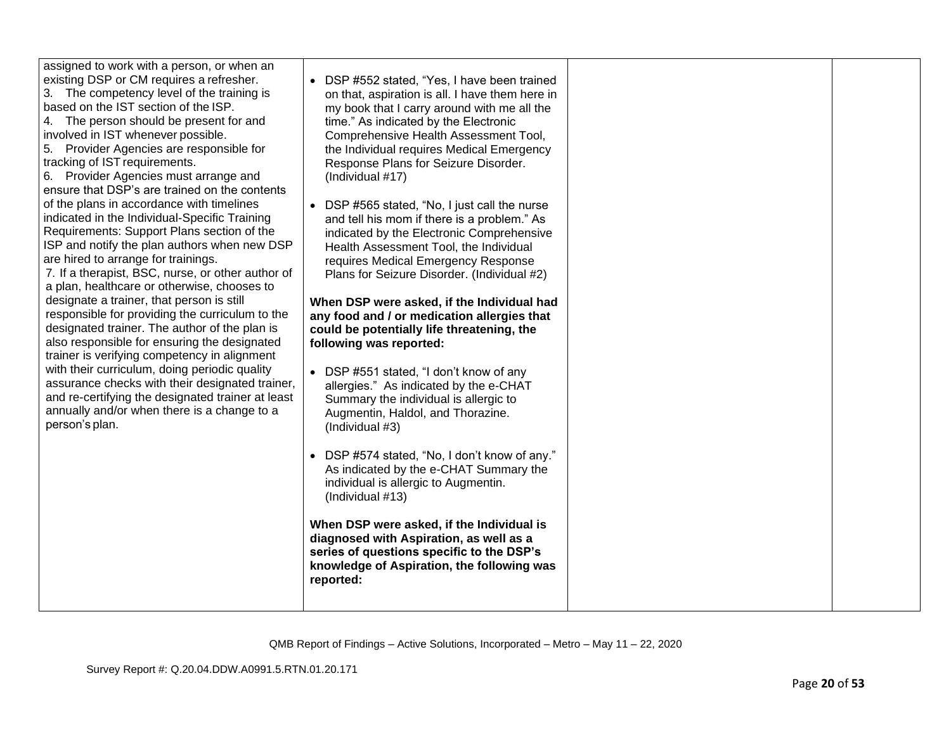| assigned to work with a person, or when an<br>existing DSP or CM requires a refresher.<br>3. The competency level of the training is<br>based on the IST section of the ISP.<br>4. The person should be present for and<br>involved in IST whenever possible.<br>5. Provider Agencies are responsible for<br>tracking of IST requirements.<br>6. Provider Agencies must arrange and<br>ensure that DSP's are trained on the contents<br>of the plans in accordance with timelines<br>indicated in the Individual-Specific Training<br>Requirements: Support Plans section of the<br>ISP and notify the plan authors when new DSP<br>are hired to arrange for trainings.<br>7. If a therapist, BSC, nurse, or other author of<br>a plan, healthcare or otherwise, chooses to<br>designate a trainer, that person is still<br>responsible for providing the curriculum to the<br>designated trainer. The author of the plan is<br>also responsible for ensuring the designated<br>trainer is verifying competency in alignment<br>with their curriculum, doing periodic quality<br>assurance checks with their designated trainer,<br>and re-certifying the designated trainer at least<br>annually and/or when there is a change to a<br>person's plan. | DSP #552 stated, "Yes, I have been trained<br>on that, aspiration is all. I have them here in<br>my book that I carry around with me all the<br>time." As indicated by the Electronic<br>Comprehensive Health Assessment Tool,<br>the Individual requires Medical Emergency<br>Response Plans for Seizure Disorder.<br>(Individual #17)<br>DSP #565 stated, "No, I just call the nurse<br>$\bullet$<br>and tell his mom if there is a problem." As<br>indicated by the Electronic Comprehensive<br>Health Assessment Tool, the Individual<br>requires Medical Emergency Response<br>Plans for Seizure Disorder. (Individual #2)<br>When DSP were asked, if the Individual had<br>any food and / or medication allergies that<br>could be potentially life threatening, the<br>following was reported:<br>• DSP #551 stated, "I don't know of any<br>allergies." As indicated by the e-CHAT<br>Summary the individual is allergic to<br>Augmentin, Haldol, and Thorazine.<br>(Individual #3)<br>DSP #574 stated, "No, I don't know of any."<br>As indicated by the e-CHAT Summary the<br>individual is allergic to Augmentin.<br>(Individual #13)<br>When DSP were asked, if the Individual is<br>diagnosed with Aspiration, as well as a<br>series of questions specific to the DSP's<br>knowledge of Aspiration, the following was<br>reported: |  |
|--------------------------------------------------------------------------------------------------------------------------------------------------------------------------------------------------------------------------------------------------------------------------------------------------------------------------------------------------------------------------------------------------------------------------------------------------------------------------------------------------------------------------------------------------------------------------------------------------------------------------------------------------------------------------------------------------------------------------------------------------------------------------------------------------------------------------------------------------------------------------------------------------------------------------------------------------------------------------------------------------------------------------------------------------------------------------------------------------------------------------------------------------------------------------------------------------------------------------------------------------------|--------------------------------------------------------------------------------------------------------------------------------------------------------------------------------------------------------------------------------------------------------------------------------------------------------------------------------------------------------------------------------------------------------------------------------------------------------------------------------------------------------------------------------------------------------------------------------------------------------------------------------------------------------------------------------------------------------------------------------------------------------------------------------------------------------------------------------------------------------------------------------------------------------------------------------------------------------------------------------------------------------------------------------------------------------------------------------------------------------------------------------------------------------------------------------------------------------------------------------------------------------------------------------------------------------------------------------------------------|--|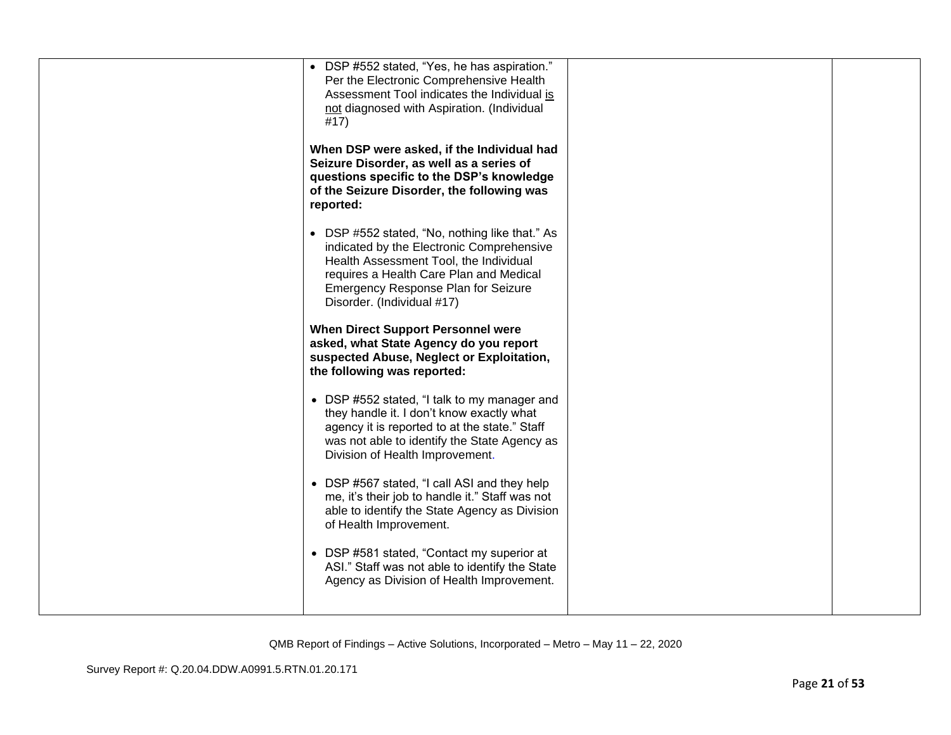| • DSP #552 stated, "Yes, he has aspiration."<br>Per the Electronic Comprehensive Health<br>Assessment Tool indicates the Individual is<br>not diagnosed with Aspiration. (Individual<br>#17)<br>When DSP were asked, if the Individual had            |  |
|-------------------------------------------------------------------------------------------------------------------------------------------------------------------------------------------------------------------------------------------------------|--|
| Seizure Disorder, as well as a series of<br>questions specific to the DSP's knowledge<br>of the Seizure Disorder, the following was<br>reported:                                                                                                      |  |
| • DSP #552 stated, "No, nothing like that." As<br>indicated by the Electronic Comprehensive<br>Health Assessment Tool, the Individual<br>requires a Health Care Plan and Medical<br>Emergency Response Plan for Seizure<br>Disorder. (Individual #17) |  |
| <b>When Direct Support Personnel were</b><br>asked, what State Agency do you report<br>suspected Abuse, Neglect or Exploitation,<br>the following was reported:                                                                                       |  |
| • DSP #552 stated, "I talk to my manager and<br>they handle it. I don't know exactly what<br>agency it is reported to at the state." Staff<br>was not able to identify the State Agency as<br>Division of Health Improvement.                         |  |
| • DSP #567 stated, "I call ASI and they help<br>me, it's their job to handle it." Staff was not<br>able to identify the State Agency as Division<br>of Health Improvement.                                                                            |  |
| • DSP #581 stated, "Contact my superior at<br>ASI." Staff was not able to identify the State<br>Agency as Division of Health Improvement.                                                                                                             |  |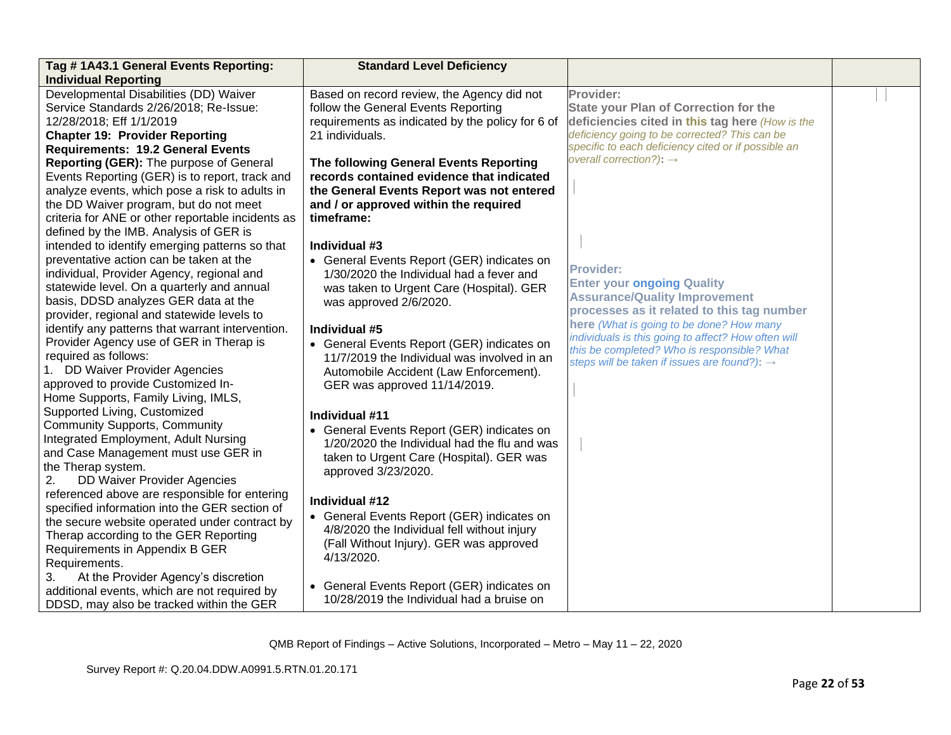| Tag #1A43.1 General Events Reporting:                                                          | <b>Standard Level Deficiency</b>                 |                                                          |  |
|------------------------------------------------------------------------------------------------|--------------------------------------------------|----------------------------------------------------------|--|
| <b>Individual Reporting</b>                                                                    |                                                  |                                                          |  |
| Developmental Disabilities (DD) Waiver                                                         | Based on record review, the Agency did not       | Provider:                                                |  |
| Service Standards 2/26/2018; Re-Issue:                                                         | follow the General Events Reporting              | <b>State your Plan of Correction for the</b>             |  |
| 12/28/2018; Eff 1/1/2019                                                                       | requirements as indicated by the policy for 6 of | deficiencies cited in this tag here (How is the          |  |
| <b>Chapter 19: Provider Reporting</b>                                                          | 21 individuals.                                  | deficiency going to be corrected? This can be            |  |
| <b>Requirements: 19.2 General Events</b>                                                       |                                                  | specific to each deficiency cited or if possible an      |  |
| Reporting (GER): The purpose of General                                                        | The following General Events Reporting           | overall correction?): $\rightarrow$                      |  |
| Events Reporting (GER) is to report, track and                                                 | records contained evidence that indicated        |                                                          |  |
| analyze events, which pose a risk to adults in                                                 | the General Events Report was not entered        |                                                          |  |
| the DD Waiver program, but do not meet                                                         | and / or approved within the required            |                                                          |  |
| criteria for ANE or other reportable incidents as                                              | timeframe:                                       |                                                          |  |
| defined by the IMB. Analysis of GER is                                                         |                                                  |                                                          |  |
| intended to identify emerging patterns so that                                                 | Individual #3                                    |                                                          |  |
| preventative action can be taken at the                                                        | • General Events Report (GER) indicates on       | <b>Provider:</b>                                         |  |
| individual, Provider Agency, regional and                                                      | 1/30/2020 the Individual had a fever and         | <b>Enter your ongoing Quality</b>                        |  |
| statewide level. On a quarterly and annual                                                     | was taken to Urgent Care (Hospital). GER         | <b>Assurance/Quality Improvement</b>                     |  |
| basis, DDSD analyzes GER data at the                                                           | was approved 2/6/2020.                           | processes as it related to this tag number               |  |
| provider, regional and statewide levels to                                                     |                                                  | here (What is going to be done? How many                 |  |
| identify any patterns that warrant intervention.                                               | Individual #5                                    | individuals is this going to affect? How often will      |  |
| Provider Agency use of GER in Therap is                                                        | • General Events Report (GER) indicates on       | this be completed? Who is responsible? What              |  |
| required as follows:                                                                           | 11/7/2019 the Individual was involved in an      | steps will be taken if issues are found?): $\rightarrow$ |  |
| 1. DD Waiver Provider Agencies                                                                 | Automobile Accident (Law Enforcement).           |                                                          |  |
| approved to provide Customized In-                                                             | GER was approved 11/14/2019.                     |                                                          |  |
| Home Supports, Family Living, IMLS,                                                            |                                                  |                                                          |  |
| Supported Living, Customized                                                                   | Individual #11                                   |                                                          |  |
| <b>Community Supports, Community</b>                                                           | • General Events Report (GER) indicates on       |                                                          |  |
| Integrated Employment, Adult Nursing                                                           | 1/20/2020 the Individual had the flu and was     |                                                          |  |
| and Case Management must use GER in                                                            | taken to Urgent Care (Hospital). GER was         |                                                          |  |
| the Therap system.                                                                             | approved 3/23/2020.                              |                                                          |  |
| <b>DD Waiver Provider Agencies</b><br>2.                                                       |                                                  |                                                          |  |
| referenced above are responsible for entering<br>specified information into the GER section of | Individual #12                                   |                                                          |  |
| the secure website operated under contract by                                                  | • General Events Report (GER) indicates on       |                                                          |  |
| Therap according to the GER Reporting                                                          | 4/8/2020 the Individual fell without injury      |                                                          |  |
| Requirements in Appendix B GER                                                                 | (Fall Without Injury). GER was approved          |                                                          |  |
| Requirements.                                                                                  | 4/13/2020.                                       |                                                          |  |
| At the Provider Agency's discretion<br>3.                                                      |                                                  |                                                          |  |
| additional events, which are not required by                                                   | • General Events Report (GER) indicates on       |                                                          |  |
| DDSD, may also be tracked within the GER                                                       | 10/28/2019 the Individual had a bruise on        |                                                          |  |
|                                                                                                |                                                  |                                                          |  |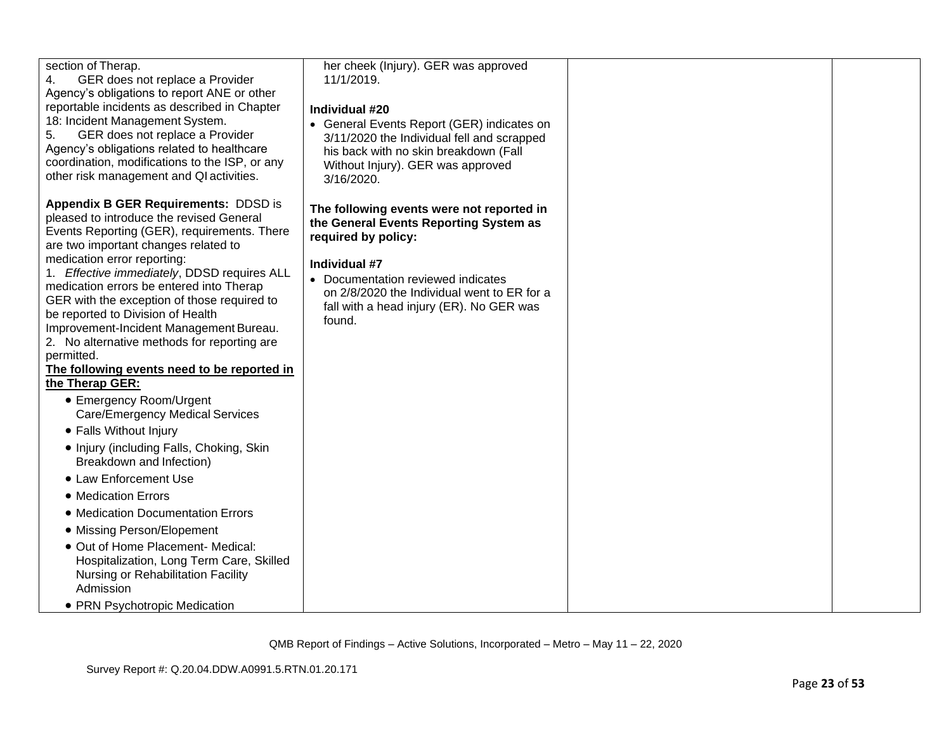| section of Therap.<br>GER does not replace a Provider<br>4.<br>Agency's obligations to report ANE or other<br>reportable incidents as described in Chapter<br>18: Incident Management System.<br>GER does not replace a Provider<br>5.<br>Agency's obligations related to healthcare<br>coordination, modifications to the ISP, or any<br>other risk management and QI activities.                                                                                                                                                                                                                                                                                                                                                                                                                                                                                                                                                                                                                                                    | her cheek (Injury). GER was approved<br>11/1/2019.<br>Individual #20<br>• General Events Report (GER) indicates on<br>3/11/2020 the Individual fell and scrapped<br>his back with no skin breakdown (Fall<br>Without Injury). GER was approved<br>3/16/2020.           |  |
|---------------------------------------------------------------------------------------------------------------------------------------------------------------------------------------------------------------------------------------------------------------------------------------------------------------------------------------------------------------------------------------------------------------------------------------------------------------------------------------------------------------------------------------------------------------------------------------------------------------------------------------------------------------------------------------------------------------------------------------------------------------------------------------------------------------------------------------------------------------------------------------------------------------------------------------------------------------------------------------------------------------------------------------|------------------------------------------------------------------------------------------------------------------------------------------------------------------------------------------------------------------------------------------------------------------------|--|
| <b>Appendix B GER Requirements: DDSD is</b><br>pleased to introduce the revised General<br>Events Reporting (GER), requirements. There<br>are two important changes related to<br>medication error reporting:<br>1. Effective immediately, DDSD requires ALL<br>medication errors be entered into Therap<br>GER with the exception of those required to<br>be reported to Division of Health<br>Improvement-Incident Management Bureau.<br>2. No alternative methods for reporting are<br>permitted.<br>The following events need to be reported in<br>the Therap GER:<br>• Emergency Room/Urgent<br><b>Care/Emergency Medical Services</b><br>• Falls Without Injury<br>• Injury (including Falls, Choking, Skin<br>Breakdown and Infection)<br>• Law Enforcement Use<br>• Medication Errors<br>• Medication Documentation Errors<br>• Missing Person/Elopement<br>· Out of Home Placement- Medical:<br>Hospitalization, Long Term Care, Skilled<br>Nursing or Rehabilitation Facility<br>Admission<br>• PRN Psychotropic Medication | The following events were not reported in<br>the General Events Reporting System as<br>required by policy:<br>Individual #7<br>• Documentation reviewed indicates<br>on 2/8/2020 the Individual went to ER for a<br>fall with a head injury (ER). No GER was<br>found. |  |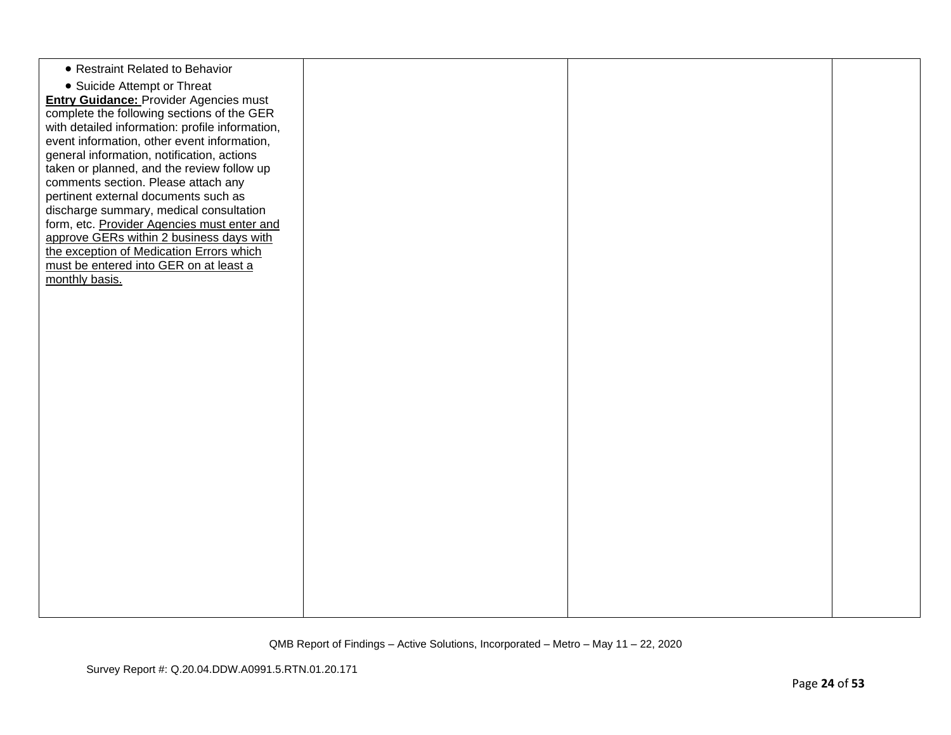| • Restraint Related to Behavior<br>• Suicide Attempt or Threat<br><b>Entry Guidance: Provider Agencies must</b><br>complete the following sections of the GER<br>with detailed information: profile information,<br>event information, other event information,<br>general information, notification, actions<br>taken or planned, and the review follow up<br>comments section. Please attach any<br>pertinent external documents such as<br>discharge summary, medical consultation<br>form, etc. Provider Agencies must enter and<br>approve GERs within 2 business days with<br>the exception of Medication Errors which<br>must be entered into GER on at least a<br>monthly basis. |  |  |
|------------------------------------------------------------------------------------------------------------------------------------------------------------------------------------------------------------------------------------------------------------------------------------------------------------------------------------------------------------------------------------------------------------------------------------------------------------------------------------------------------------------------------------------------------------------------------------------------------------------------------------------------------------------------------------------|--|--|
|                                                                                                                                                                                                                                                                                                                                                                                                                                                                                                                                                                                                                                                                                          |  |  |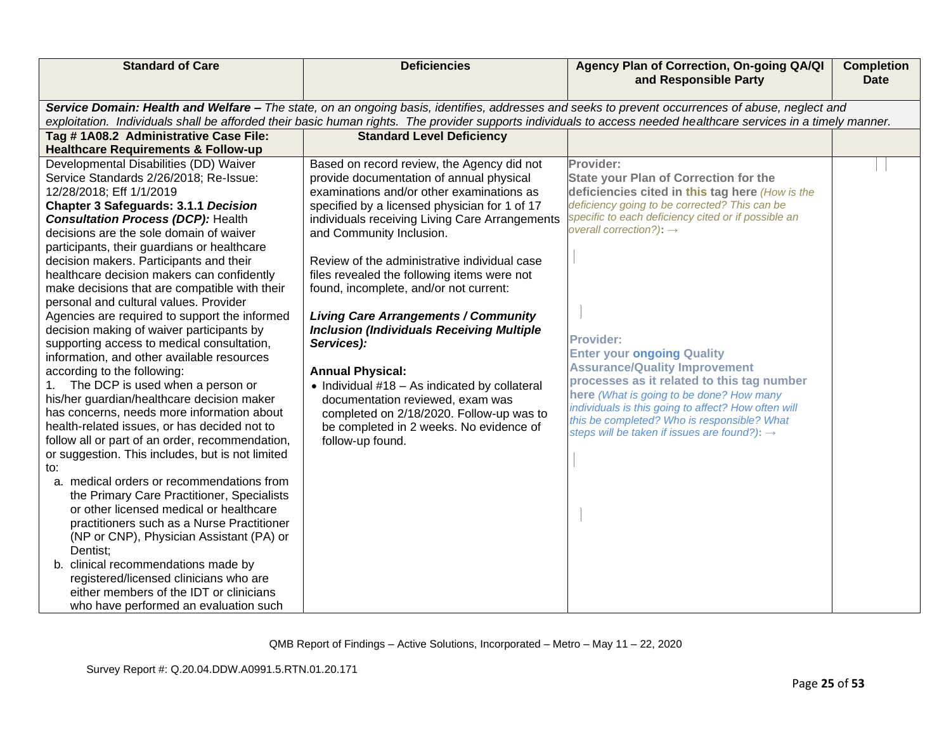| <b>Standard of Care</b>                                                                                                                                                                                                                                                                                                                                                                                                                                                                                                                                                                                                                                                                                                                                                                                                                                                                                                                                                                                                                                                                                                                                                                                                                                                                                                                                                                                                        | <b>Deficiencies</b>                                                                                                                                                                                                                                                                                                                                                                                                                                                                                                                                                                                                                                                                                                                                             | Agency Plan of Correction, On-going QA/QI<br>and Responsible Party                                                                                                                                                                                                                                                                                                                                                                                                                                                                                                                                                       | <b>Completion</b><br><b>Date</b> |
|--------------------------------------------------------------------------------------------------------------------------------------------------------------------------------------------------------------------------------------------------------------------------------------------------------------------------------------------------------------------------------------------------------------------------------------------------------------------------------------------------------------------------------------------------------------------------------------------------------------------------------------------------------------------------------------------------------------------------------------------------------------------------------------------------------------------------------------------------------------------------------------------------------------------------------------------------------------------------------------------------------------------------------------------------------------------------------------------------------------------------------------------------------------------------------------------------------------------------------------------------------------------------------------------------------------------------------------------------------------------------------------------------------------------------------|-----------------------------------------------------------------------------------------------------------------------------------------------------------------------------------------------------------------------------------------------------------------------------------------------------------------------------------------------------------------------------------------------------------------------------------------------------------------------------------------------------------------------------------------------------------------------------------------------------------------------------------------------------------------------------------------------------------------------------------------------------------------|--------------------------------------------------------------------------------------------------------------------------------------------------------------------------------------------------------------------------------------------------------------------------------------------------------------------------------------------------------------------------------------------------------------------------------------------------------------------------------------------------------------------------------------------------------------------------------------------------------------------------|----------------------------------|
|                                                                                                                                                                                                                                                                                                                                                                                                                                                                                                                                                                                                                                                                                                                                                                                                                                                                                                                                                                                                                                                                                                                                                                                                                                                                                                                                                                                                                                |                                                                                                                                                                                                                                                                                                                                                                                                                                                                                                                                                                                                                                                                                                                                                                 | Service Domain: Health and Welfare - The state, on an ongoing basis, identifies, addresses and seeks to prevent occurrences of abuse, neglect and<br>exploitation. Individuals shall be afforded their basic human rights. The provider supports individuals to access needed healthcare services in a timely manner.                                                                                                                                                                                                                                                                                                    |                                  |
| Tag # 1A08.2 Administrative Case File:<br><b>Healthcare Requirements &amp; Follow-up</b>                                                                                                                                                                                                                                                                                                                                                                                                                                                                                                                                                                                                                                                                                                                                                                                                                                                                                                                                                                                                                                                                                                                                                                                                                                                                                                                                       | <b>Standard Level Deficiency</b>                                                                                                                                                                                                                                                                                                                                                                                                                                                                                                                                                                                                                                                                                                                                |                                                                                                                                                                                                                                                                                                                                                                                                                                                                                                                                                                                                                          |                                  |
| Developmental Disabilities (DD) Waiver<br>Service Standards 2/26/2018; Re-Issue:<br>12/28/2018; Eff 1/1/2019<br><b>Chapter 3 Safeguards: 3.1.1 Decision</b><br><b>Consultation Process (DCP): Health</b><br>decisions are the sole domain of waiver<br>participants, their guardians or healthcare<br>decision makers. Participants and their<br>healthcare decision makers can confidently<br>make decisions that are compatible with their<br>personal and cultural values. Provider<br>Agencies are required to support the informed<br>decision making of waiver participants by<br>supporting access to medical consultation,<br>information, and other available resources<br>according to the following:<br>The DCP is used when a person or<br>his/her guardian/healthcare decision maker<br>has concerns, needs more information about<br>health-related issues, or has decided not to<br>follow all or part of an order, recommendation,<br>or suggestion. This includes, but is not limited<br>to:<br>a. medical orders or recommendations from<br>the Primary Care Practitioner, Specialists<br>or other licensed medical or healthcare<br>practitioners such as a Nurse Practitioner<br>(NP or CNP), Physician Assistant (PA) or<br>Dentist;<br>b. clinical recommendations made by<br>registered/licensed clinicians who are<br>either members of the IDT or clinicians<br>who have performed an evaluation such | Based on record review, the Agency did not<br>provide documentation of annual physical<br>examinations and/or other examinations as<br>specified by a licensed physician for 1 of 17<br>individuals receiving Living Care Arrangements<br>and Community Inclusion.<br>Review of the administrative individual case<br>files revealed the following items were not<br>found, incomplete, and/or not current:<br><b>Living Care Arrangements / Community</b><br><b>Inclusion (Individuals Receiving Multiple</b><br>Services):<br><b>Annual Physical:</b><br>$\bullet$ Individual #18 - As indicated by collateral<br>documentation reviewed, exam was<br>completed on 2/18/2020. Follow-up was to<br>be completed in 2 weeks. No evidence of<br>follow-up found. | Provider:<br><b>State your Plan of Correction for the</b><br>deficiencies cited in this tag here (How is the<br>deficiency going to be corrected? This can be<br>specific to each deficiency cited or if possible an<br>overall correction?): $\rightarrow$<br><b>Provider:</b><br><b>Enter your ongoing Quality</b><br><b>Assurance/Quality Improvement</b><br>processes as it related to this tag number<br>here (What is going to be done? How many<br>individuals is this going to affect? How often will<br>this be completed? Who is responsible? What<br>steps will be taken if issues are found?): $\rightarrow$ |                                  |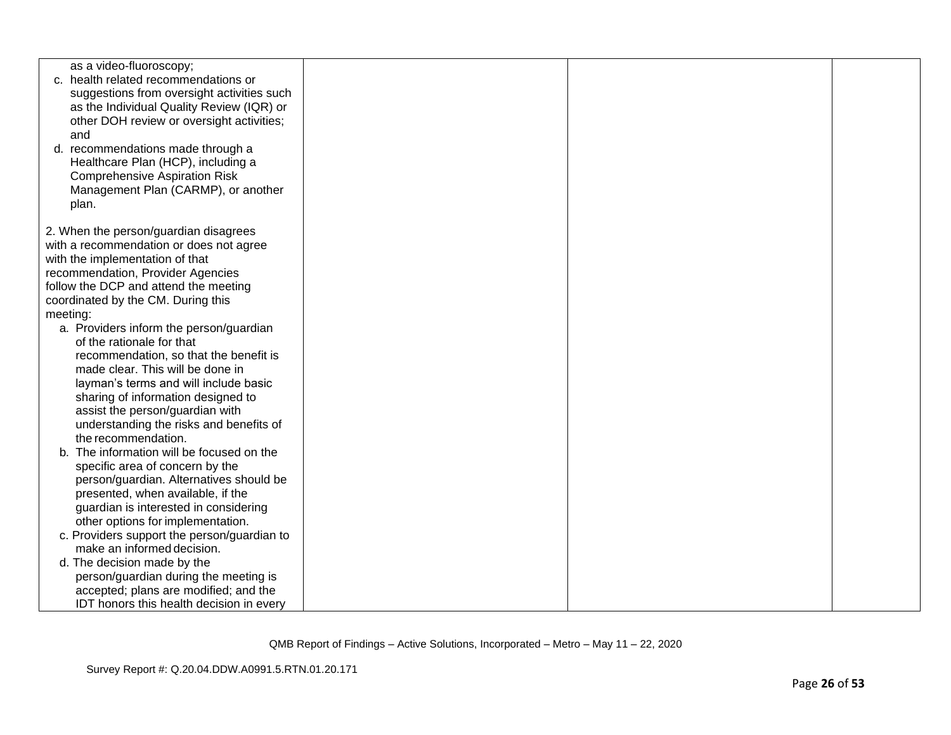|          | as a video-fluoroscopy;<br>c. health related recommendations or                  |  |  |
|----------|----------------------------------------------------------------------------------|--|--|
|          | suggestions from oversight activities such                                       |  |  |
|          | as the Individual Quality Review (IQR) or                                        |  |  |
|          | other DOH review or oversight activities;                                        |  |  |
| and      |                                                                                  |  |  |
|          | d. recommendations made through a                                                |  |  |
|          | Healthcare Plan (HCP), including a                                               |  |  |
|          | <b>Comprehensive Aspiration Risk</b>                                             |  |  |
|          | Management Plan (CARMP), or another                                              |  |  |
| plan.    |                                                                                  |  |  |
|          |                                                                                  |  |  |
|          | 2. When the person/guardian disagrees                                            |  |  |
|          | with a recommendation or does not agree<br>with the implementation of that       |  |  |
|          | recommendation, Provider Agencies                                                |  |  |
|          | follow the DCP and attend the meeting                                            |  |  |
|          | coordinated by the CM. During this                                               |  |  |
| meeting: |                                                                                  |  |  |
|          | a. Providers inform the person/guardian                                          |  |  |
|          | of the rationale for that                                                        |  |  |
|          | recommendation, so that the benefit is                                           |  |  |
|          | made clear. This will be done in                                                 |  |  |
|          | layman's terms and will include basic                                            |  |  |
|          | sharing of information designed to                                               |  |  |
|          | assist the person/guardian with                                                  |  |  |
|          | understanding the risks and benefits of                                          |  |  |
|          | the recommendation.                                                              |  |  |
|          | b. The information will be focused on the                                        |  |  |
|          | specific area of concern by the                                                  |  |  |
|          | person/guardian. Alternatives should be                                          |  |  |
|          | presented, when available, if the                                                |  |  |
|          | guardian is interested in considering                                            |  |  |
|          | other options for implementation.<br>c. Providers support the person/guardian to |  |  |
|          | make an informed decision.                                                       |  |  |
|          | d. The decision made by the                                                      |  |  |
|          | person/guardian during the meeting is                                            |  |  |
|          | accepted; plans are modified; and the                                            |  |  |
|          | IDT honors this health decision in every                                         |  |  |
|          |                                                                                  |  |  |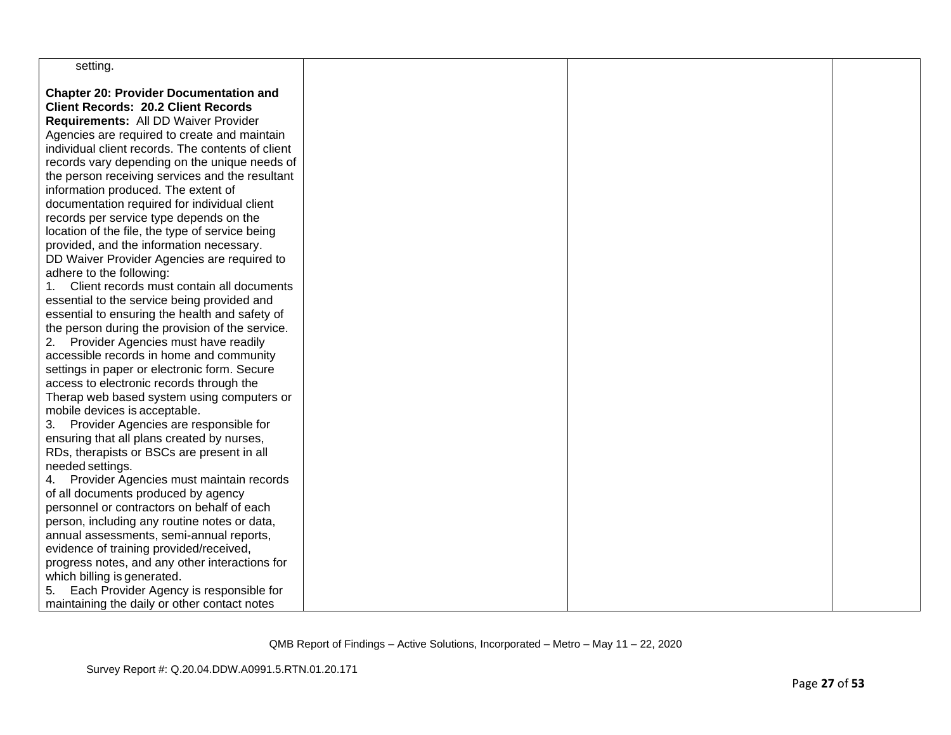| setting.                                                                                 |  |  |
|------------------------------------------------------------------------------------------|--|--|
| <b>Chapter 20: Provider Documentation and</b>                                            |  |  |
| <b>Client Records: 20.2 Client Records</b>                                               |  |  |
| Requirements: All DD Waiver Provider                                                     |  |  |
| Agencies are required to create and maintain                                             |  |  |
| individual client records. The contents of client                                        |  |  |
| records vary depending on the unique needs of                                            |  |  |
| the person receiving services and the resultant                                          |  |  |
| information produced. The extent of                                                      |  |  |
| documentation required for individual client                                             |  |  |
| records per service type depends on the                                                  |  |  |
| location of the file, the type of service being                                          |  |  |
| provided, and the information necessary.                                                 |  |  |
| DD Waiver Provider Agencies are required to                                              |  |  |
| adhere to the following:                                                                 |  |  |
| 1. Client records must contain all documents                                             |  |  |
| essential to the service being provided and                                              |  |  |
| essential to ensuring the health and safety of                                           |  |  |
| the person during the provision of the service.                                          |  |  |
| Provider Agencies must have readily<br>2.                                                |  |  |
| accessible records in home and community                                                 |  |  |
| settings in paper or electronic form. Secure                                             |  |  |
| access to electronic records through the                                                 |  |  |
| Therap web based system using computers or                                               |  |  |
| mobile devices is acceptable.                                                            |  |  |
| 3. Provider Agencies are responsible for                                                 |  |  |
| ensuring that all plans created by nurses,                                               |  |  |
| RDs, therapists or BSCs are present in all                                               |  |  |
| needed settings.                                                                         |  |  |
| 4. Provider Agencies must maintain records                                               |  |  |
| of all documents produced by agency<br>personnel or contractors on behalf of each        |  |  |
|                                                                                          |  |  |
| person, including any routine notes or data,<br>annual assessments, semi-annual reports, |  |  |
| evidence of training provided/received,                                                  |  |  |
| progress notes, and any other interactions for                                           |  |  |
| which billing is generated.                                                              |  |  |
| Each Provider Agency is responsible for<br>5.                                            |  |  |
| maintaining the daily or other contact notes                                             |  |  |
|                                                                                          |  |  |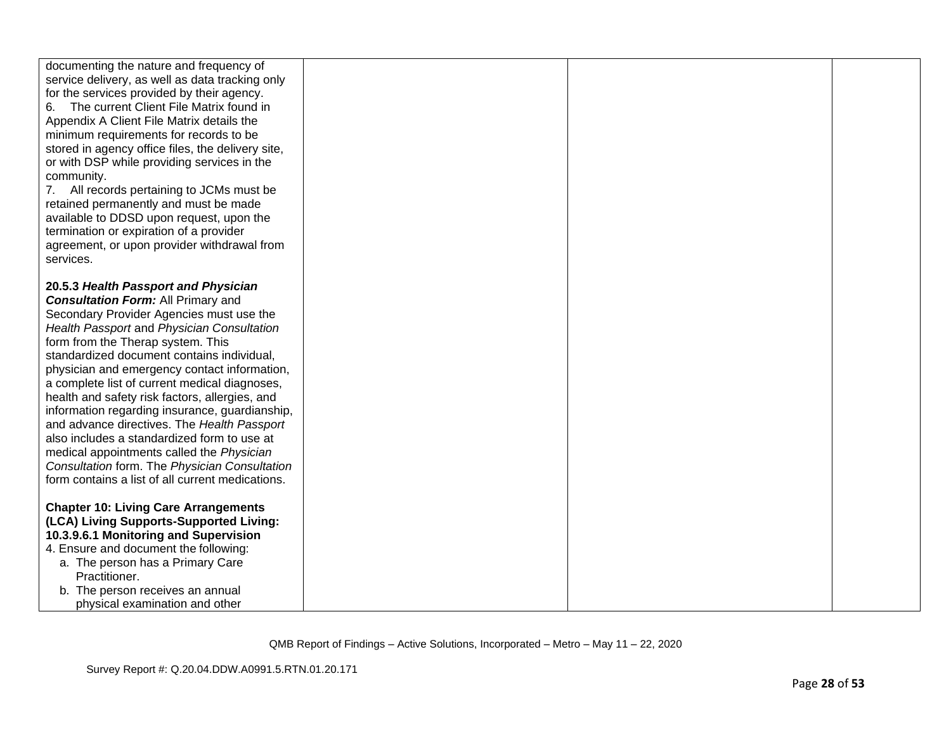| documenting the nature and frequency of<br>service delivery, as well as data tracking only<br>for the services provided by their agency.<br>The current Client File Matrix found in<br>6.<br>Appendix A Client File Matrix details the<br>minimum requirements for records to be<br>stored in agency office files, the delivery site,<br>or with DSP while providing services in the<br>community.<br>7. All records pertaining to JCMs must be<br>retained permanently and must be made<br>available to DDSD upon request, upon the<br>termination or expiration of a provider<br>agreement, or upon provider withdrawal from<br>services.                                                                         |  |  |
|---------------------------------------------------------------------------------------------------------------------------------------------------------------------------------------------------------------------------------------------------------------------------------------------------------------------------------------------------------------------------------------------------------------------------------------------------------------------------------------------------------------------------------------------------------------------------------------------------------------------------------------------------------------------------------------------------------------------|--|--|
| 20.5.3 Health Passport and Physician<br><b>Consultation Form: All Primary and</b><br>Secondary Provider Agencies must use the<br>Health Passport and Physician Consultation<br>form from the Therap system. This<br>standardized document contains individual,<br>physician and emergency contact information,<br>a complete list of current medical diagnoses,<br>health and safety risk factors, allergies, and<br>information regarding insurance, guardianship,<br>and advance directives. The Health Passport<br>also includes a standardized form to use at<br>medical appointments called the Physician<br>Consultation form. The Physician Consultation<br>form contains a list of all current medications. |  |  |
| <b>Chapter 10: Living Care Arrangements</b><br>(LCA) Living Supports-Supported Living:<br>10.3.9.6.1 Monitoring and Supervision<br>4. Ensure and document the following:<br>a. The person has a Primary Care<br>Practitioner.<br>b. The person receives an annual<br>physical examination and other                                                                                                                                                                                                                                                                                                                                                                                                                 |  |  |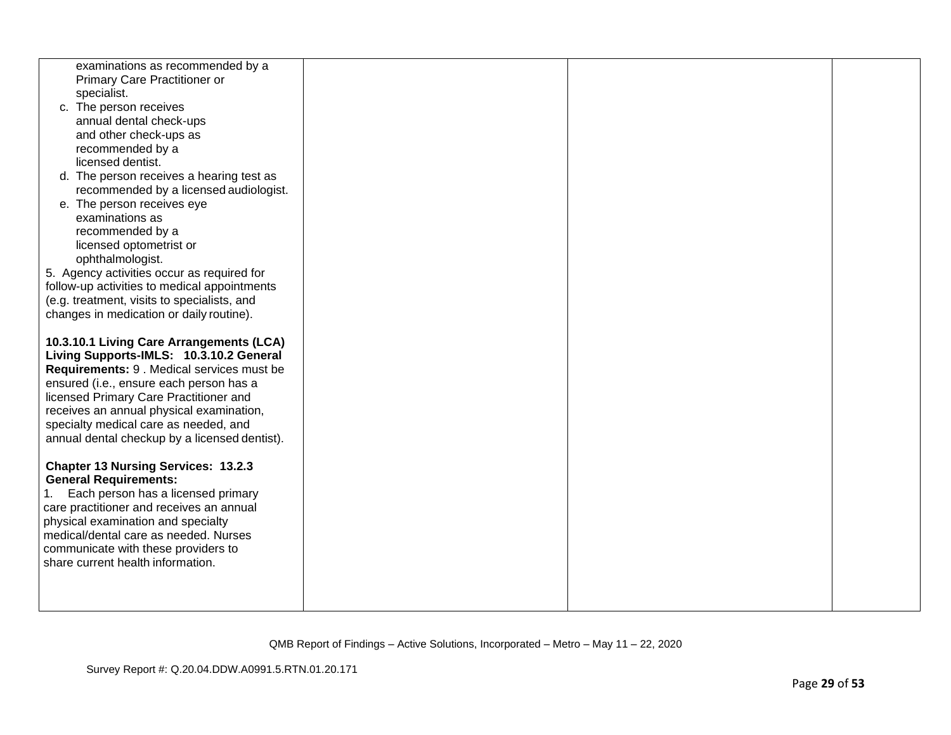| examinations as recommended by a              |  |  |
|-----------------------------------------------|--|--|
| Primary Care Practitioner or                  |  |  |
| specialist.                                   |  |  |
| c. The person receives                        |  |  |
| annual dental check-ups                       |  |  |
| and other check-ups as                        |  |  |
| recommended by a                              |  |  |
| licensed dentist.                             |  |  |
| d. The person receives a hearing test as      |  |  |
| recommended by a licensed audiologist.        |  |  |
| e. The person receives eye                    |  |  |
| examinations as                               |  |  |
| recommended by a                              |  |  |
| licensed optometrist or                       |  |  |
| ophthalmologist.                              |  |  |
| 5. Agency activities occur as required for    |  |  |
| follow-up activities to medical appointments  |  |  |
| (e.g. treatment, visits to specialists, and   |  |  |
| changes in medication or daily routine).      |  |  |
|                                               |  |  |
| 10.3.10.1 Living Care Arrangements (LCA)      |  |  |
| Living Supports-IMLS: 10.3.10.2 General       |  |  |
| Requirements: 9 . Medical services must be    |  |  |
| ensured (i.e., ensure each person has a       |  |  |
| licensed Primary Care Practitioner and        |  |  |
| receives an annual physical examination,      |  |  |
| specialty medical care as needed, and         |  |  |
| annual dental checkup by a licensed dentist). |  |  |
|                                               |  |  |
| <b>Chapter 13 Nursing Services: 13.2.3</b>    |  |  |
| <b>General Requirements:</b>                  |  |  |
| 1. Each person has a licensed primary         |  |  |
| care practitioner and receives an annual      |  |  |
| physical examination and specialty            |  |  |
| medical/dental care as needed. Nurses         |  |  |
| communicate with these providers to           |  |  |
| share current health information.             |  |  |
|                                               |  |  |
|                                               |  |  |
|                                               |  |  |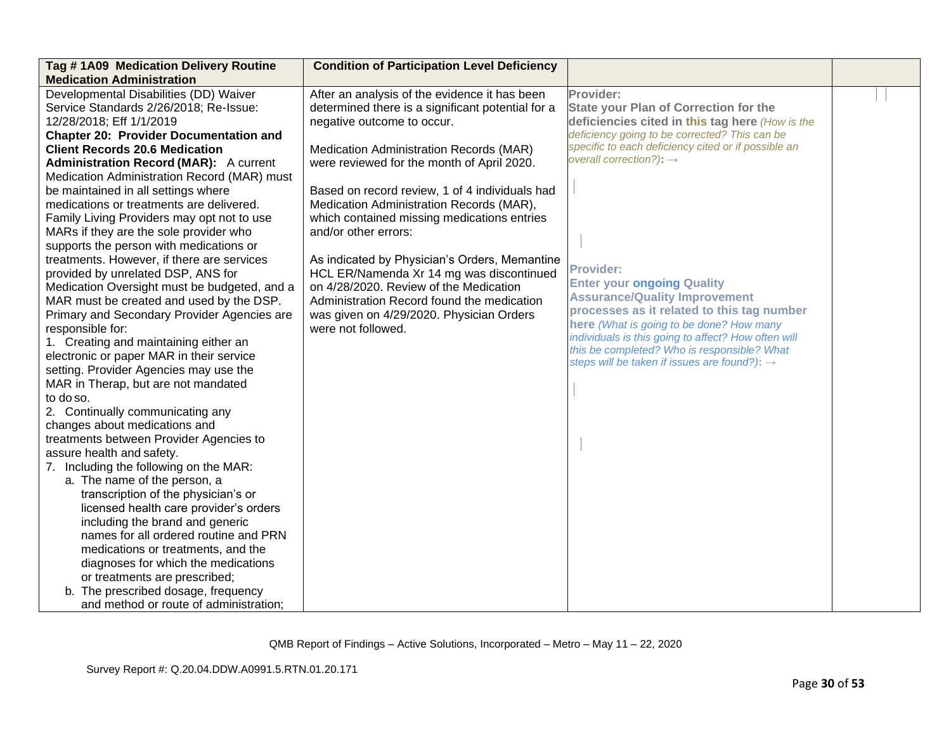| Tag #1A09 Medication Delivery Routine         | <b>Condition of Participation Level Deficiency</b> |                                                                                                    |  |
|-----------------------------------------------|----------------------------------------------------|----------------------------------------------------------------------------------------------------|--|
| <b>Medication Administration</b>              |                                                    |                                                                                                    |  |
| Developmental Disabilities (DD) Waiver        | After an analysis of the evidence it has been      | Provider:                                                                                          |  |
| Service Standards 2/26/2018; Re-Issue:        | determined there is a significant potential for a  | <b>State your Plan of Correction for the</b>                                                       |  |
| 12/28/2018; Eff 1/1/2019                      | negative outcome to occur.                         | deficiencies cited in this tag here (How is the                                                    |  |
| <b>Chapter 20: Provider Documentation and</b> |                                                    | deficiency going to be corrected? This can be                                                      |  |
| <b>Client Records 20.6 Medication</b>         | Medication Administration Records (MAR)            | specific to each deficiency cited or if possible an                                                |  |
| <b>Administration Record (MAR):</b> A current | were reviewed for the month of April 2020.         | overall correction?): $\rightarrow$                                                                |  |
| Medication Administration Record (MAR) must   |                                                    |                                                                                                    |  |
| be maintained in all settings where           | Based on record review, 1 of 4 individuals had     |                                                                                                    |  |
| medications or treatments are delivered.      | Medication Administration Records (MAR),           |                                                                                                    |  |
| Family Living Providers may opt not to use    | which contained missing medications entries        |                                                                                                    |  |
| MARs if they are the sole provider who        | and/or other errors:                               |                                                                                                    |  |
| supports the person with medications or       |                                                    |                                                                                                    |  |
| treatments. However, if there are services    | As indicated by Physician's Orders, Memantine      |                                                                                                    |  |
| provided by unrelated DSP, ANS for            | HCL ER/Namenda Xr 14 mg was discontinued           | <b>Provider:</b>                                                                                   |  |
| Medication Oversight must be budgeted, and a  | on 4/28/2020. Review of the Medication             | <b>Enter your ongoing Quality</b>                                                                  |  |
| MAR must be created and used by the DSP.      | Administration Record found the medication         | <b>Assurance/Quality Improvement</b>                                                               |  |
| Primary and Secondary Provider Agencies are   | was given on 4/29/2020. Physician Orders           | processes as it related to this tag number                                                         |  |
| responsible for:                              | were not followed.                                 | here (What is going to be done? How many                                                           |  |
| 1. Creating and maintaining either an         |                                                    | individuals is this going to affect? How often will<br>this be completed? Who is responsible? What |  |
| electronic or paper MAR in their service      |                                                    | steps will be taken if issues are found?): $\rightarrow$                                           |  |
| setting. Provider Agencies may use the        |                                                    |                                                                                                    |  |
| MAR in Therap, but are not mandated           |                                                    |                                                                                                    |  |
| to do so.                                     |                                                    |                                                                                                    |  |
| 2. Continually communicating any              |                                                    |                                                                                                    |  |
| changes about medications and                 |                                                    |                                                                                                    |  |
| treatments between Provider Agencies to       |                                                    |                                                                                                    |  |
| assure health and safety.                     |                                                    |                                                                                                    |  |
| 7. Including the following on the MAR:        |                                                    |                                                                                                    |  |
| a. The name of the person, a                  |                                                    |                                                                                                    |  |
| transcription of the physician's or           |                                                    |                                                                                                    |  |
| licensed health care provider's orders        |                                                    |                                                                                                    |  |
| including the brand and generic               |                                                    |                                                                                                    |  |
| names for all ordered routine and PRN         |                                                    |                                                                                                    |  |
| medications or treatments, and the            |                                                    |                                                                                                    |  |
| diagnoses for which the medications           |                                                    |                                                                                                    |  |
| or treatments are prescribed;                 |                                                    |                                                                                                    |  |
| b. The prescribed dosage, frequency           |                                                    |                                                                                                    |  |
| and method or route of administration;        |                                                    |                                                                                                    |  |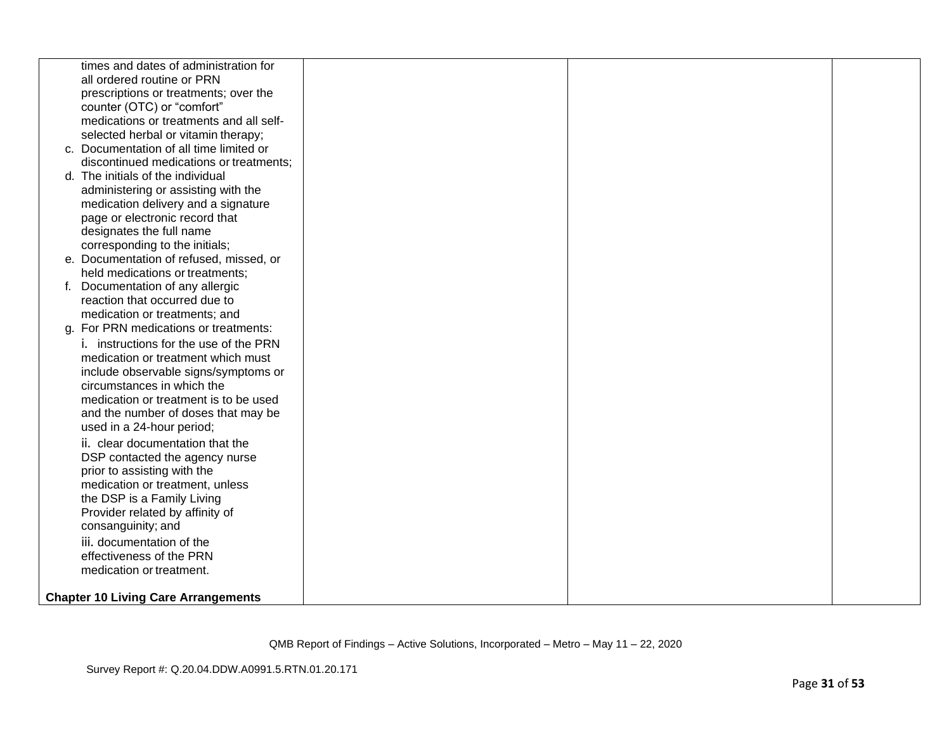| times and dates of administration for         |  |  |
|-----------------------------------------------|--|--|
| all ordered routine or PRN                    |  |  |
| prescriptions or treatments; over the         |  |  |
| counter (OTC) or "comfort"                    |  |  |
| medications or treatments and all self-       |  |  |
| selected herbal or vitamin therapy;           |  |  |
| c. Documentation of all time limited or       |  |  |
| discontinued medications or treatments;       |  |  |
| d. The initials of the individual             |  |  |
| administering or assisting with the           |  |  |
| medication delivery and a signature           |  |  |
| page or electronic record that                |  |  |
| designates the full name                      |  |  |
| corresponding to the initials;                |  |  |
| e. Documentation of refused, missed, or       |  |  |
| held medications or treatments;               |  |  |
| Documentation of any allergic                 |  |  |
| reaction that occurred due to                 |  |  |
| medication or treatments; and                 |  |  |
| g. For PRN medications or treatments:         |  |  |
| <i>i.</i> instructions for the use of the PRN |  |  |
| medication or treatment which must            |  |  |
| include observable signs/symptoms or          |  |  |
| circumstances in which the                    |  |  |
| medication or treatment is to be used         |  |  |
| and the number of doses that may be           |  |  |
| used in a 24-hour period;                     |  |  |
| ii. clear documentation that the              |  |  |
| DSP contacted the agency nurse                |  |  |
| prior to assisting with the                   |  |  |
| medication or treatment, unless               |  |  |
| the DSP is a Family Living                    |  |  |
| Provider related by affinity of               |  |  |
| consanguinity; and                            |  |  |
| iii. documentation of the                     |  |  |
| effectiveness of the PRN                      |  |  |
| medication or treatment.                      |  |  |
|                                               |  |  |
| <b>Chapter 10 Living Care Arrangements</b>    |  |  |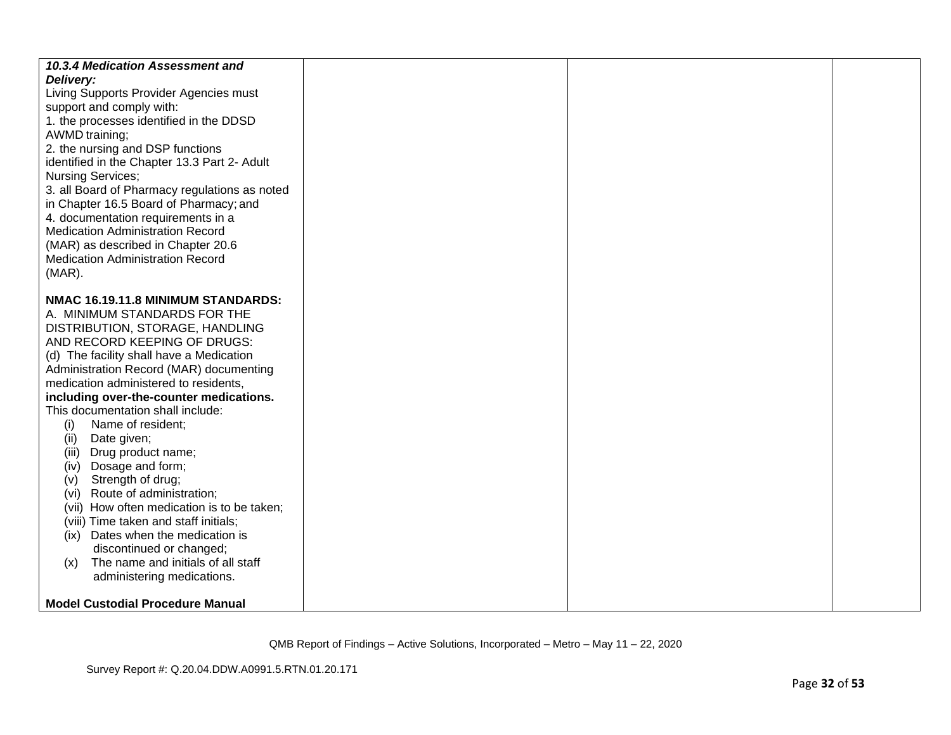| 10.3.4 Medication Assessment and              |  |  |
|-----------------------------------------------|--|--|
| Delivery:                                     |  |  |
| Living Supports Provider Agencies must        |  |  |
| support and comply with:                      |  |  |
| 1. the processes identified in the DDSD       |  |  |
| AWMD training;                                |  |  |
| 2. the nursing and DSP functions              |  |  |
| identified in the Chapter 13.3 Part 2- Adult  |  |  |
| Nursing Services;                             |  |  |
| 3. all Board of Pharmacy regulations as noted |  |  |
| in Chapter 16.5 Board of Pharmacy; and        |  |  |
| 4. documentation requirements in a            |  |  |
| <b>Medication Administration Record</b>       |  |  |
| (MAR) as described in Chapter 20.6            |  |  |
| <b>Medication Administration Record</b>       |  |  |
| $(MAR)$ .                                     |  |  |
|                                               |  |  |
| NMAC 16.19.11.8 MINIMUM STANDARDS:            |  |  |
| A. MINIMUM STANDARDS FOR THE                  |  |  |
| DISTRIBUTION, STORAGE, HANDLING               |  |  |
| AND RECORD KEEPING OF DRUGS:                  |  |  |
| (d) The facility shall have a Medication      |  |  |
| Administration Record (MAR) documenting       |  |  |
| medication administered to residents,         |  |  |
| including over-the-counter medications.       |  |  |
| This documentation shall include:             |  |  |
| Name of resident;<br>(i)                      |  |  |
| Date given;<br>(ii)                           |  |  |
| Drug product name;<br>(III)                   |  |  |
| Dosage and form;<br>(iv)                      |  |  |
| Strength of drug;<br>(v)                      |  |  |
| (vi) Route of administration;                 |  |  |
| (vii) How often medication is to be taken;    |  |  |
| (viii) Time taken and staff initials;         |  |  |
| (ix) Dates when the medication is             |  |  |
| discontinued or changed;                      |  |  |
| The name and initials of all staff<br>(x)     |  |  |
| administering medications.                    |  |  |
|                                               |  |  |
| <b>Model Custodial Procedure Manual</b>       |  |  |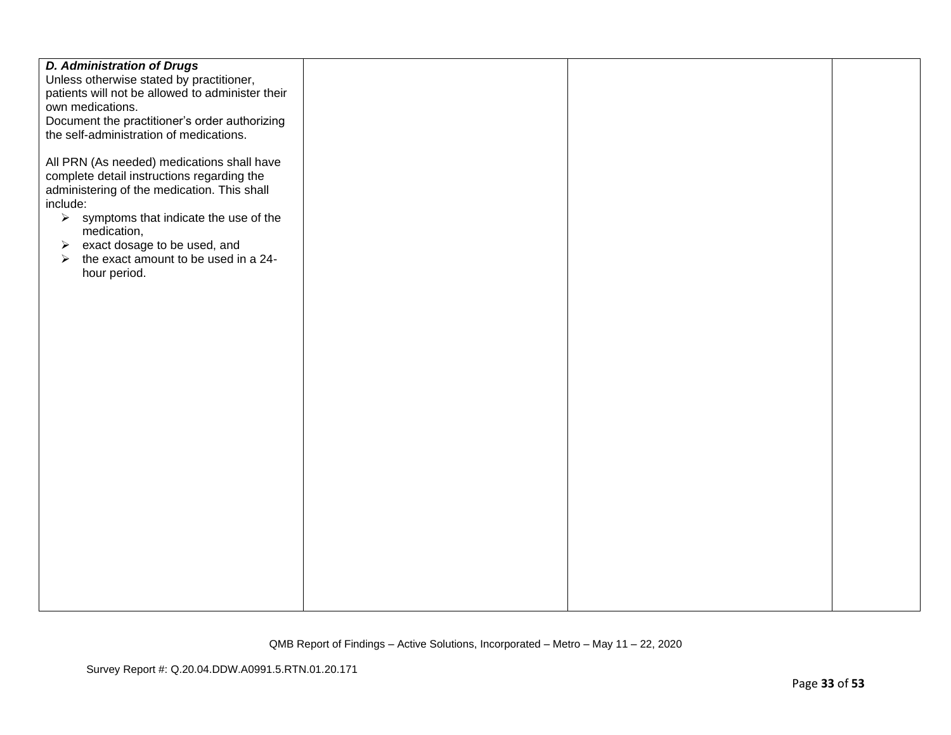| <b>D. Administration of Drugs</b>                                                                                                                                                                                                                                                                                                                                                             |  |  |
|-----------------------------------------------------------------------------------------------------------------------------------------------------------------------------------------------------------------------------------------------------------------------------------------------------------------------------------------------------------------------------------------------|--|--|
| Unless otherwise stated by practitioner,                                                                                                                                                                                                                                                                                                                                                      |  |  |
| patients will not be allowed to administer their                                                                                                                                                                                                                                                                                                                                              |  |  |
| own medications.                                                                                                                                                                                                                                                                                                                                                                              |  |  |
| Document the practitioner's order authorizing                                                                                                                                                                                                                                                                                                                                                 |  |  |
|                                                                                                                                                                                                                                                                                                                                                                                               |  |  |
| the self-administration of medications.<br>All PRN (As needed) medications shall have<br>complete detail instructions regarding the<br>administering of the medication. This shall<br>include:<br>$\triangleright$ symptoms that indicate the use of the<br>medication,<br>exact dosage to be used, and<br>➤<br>the exact amount to be used in a 24-<br>$\blacktriangleright$<br>hour period. |  |  |
|                                                                                                                                                                                                                                                                                                                                                                                               |  |  |
|                                                                                                                                                                                                                                                                                                                                                                                               |  |  |
|                                                                                                                                                                                                                                                                                                                                                                                               |  |  |
|                                                                                                                                                                                                                                                                                                                                                                                               |  |  |
|                                                                                                                                                                                                                                                                                                                                                                                               |  |  |
|                                                                                                                                                                                                                                                                                                                                                                                               |  |  |
|                                                                                                                                                                                                                                                                                                                                                                                               |  |  |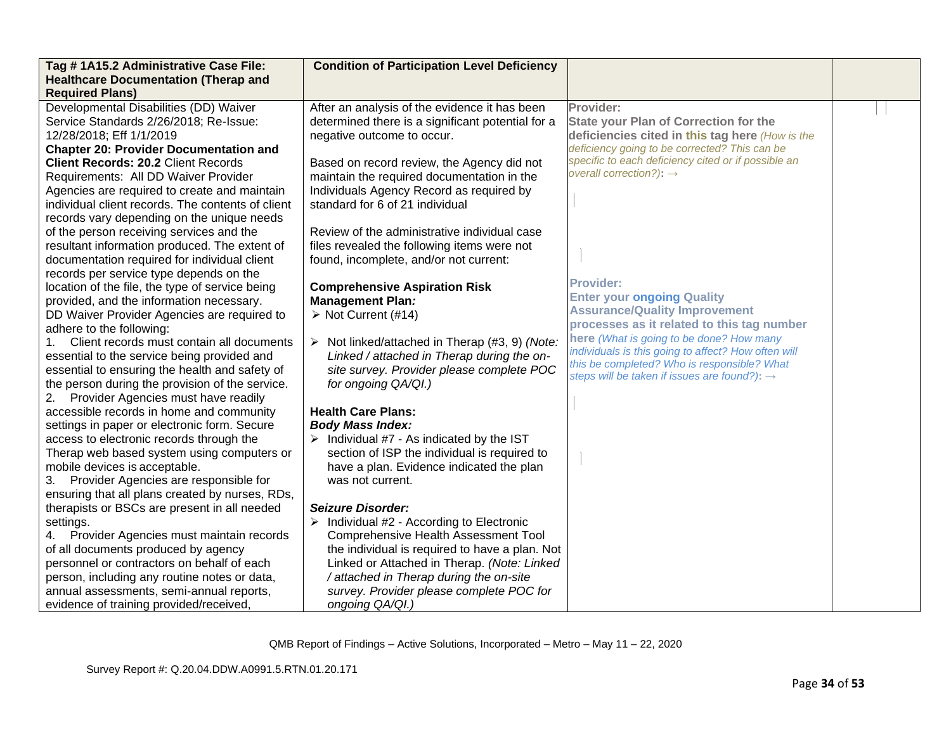| Tag #1A15.2 Administrative Case File:                                                         | <b>Condition of Participation Level Deficiency</b>                                              |                                                          |  |
|-----------------------------------------------------------------------------------------------|-------------------------------------------------------------------------------------------------|----------------------------------------------------------|--|
| <b>Healthcare Documentation (Therap and</b><br><b>Required Plans)</b>                         |                                                                                                 |                                                          |  |
| Developmental Disabilities (DD) Waiver                                                        | After an analysis of the evidence it has been                                                   | Provider:                                                |  |
| Service Standards 2/26/2018; Re-Issue:                                                        | determined there is a significant potential for a                                               | <b>State your Plan of Correction for the</b>             |  |
| 12/28/2018; Eff 1/1/2019                                                                      | negative outcome to occur.                                                                      | deficiencies cited in this tag here (How is the          |  |
| <b>Chapter 20: Provider Documentation and</b>                                                 |                                                                                                 | deficiency going to be corrected? This can be            |  |
| <b>Client Records: 20.2 Client Records</b>                                                    | Based on record review, the Agency did not                                                      | specific to each deficiency cited or if possible an      |  |
| Requirements: All DD Waiver Provider                                                          | maintain the required documentation in the                                                      | overall correction?): $\rightarrow$                      |  |
| Agencies are required to create and maintain                                                  | Individuals Agency Record as required by                                                        |                                                          |  |
| individual client records. The contents of client                                             | standard for 6 of 21 individual                                                                 |                                                          |  |
| records vary depending on the unique needs                                                    |                                                                                                 |                                                          |  |
| of the person receiving services and the                                                      | Review of the administrative individual case                                                    |                                                          |  |
| resultant information produced. The extent of                                                 | files revealed the following items were not                                                     |                                                          |  |
| documentation required for individual client                                                  | found, incomplete, and/or not current:                                                          |                                                          |  |
| records per service type depends on the                                                       |                                                                                                 | <b>Provider:</b>                                         |  |
| location of the file, the type of service being                                               | <b>Comprehensive Aspiration Risk</b>                                                            | <b>Enter your ongoing Quality</b>                        |  |
| provided, and the information necessary.                                                      | <b>Management Plan:</b>                                                                         | <b>Assurance/Quality Improvement</b>                     |  |
| DD Waiver Provider Agencies are required to                                                   | > Not Current (#14)                                                                             | processes as it related to this tag number               |  |
| adhere to the following:<br>Client records must contain all documents                         |                                                                                                 | here (What is going to be done? How many                 |  |
|                                                                                               | Not linked/attached in Therap (#3, 9) (Note:<br>➤<br>Linked / attached in Therap during the on- | individuals is this going to affect? How often will      |  |
| essential to the service being provided and<br>essential to ensuring the health and safety of | site survey. Provider please complete POC                                                       | this be completed? Who is responsible? What              |  |
| the person during the provision of the service.                                               | for ongoing QA/QI.)                                                                             | steps will be taken if issues are found?): $\rightarrow$ |  |
| 2. Provider Agencies must have readily                                                        |                                                                                                 |                                                          |  |
| accessible records in home and community                                                      | <b>Health Care Plans:</b>                                                                       |                                                          |  |
| settings in paper or electronic form. Secure                                                  | <b>Body Mass Index:</b>                                                                         |                                                          |  |
| access to electronic records through the                                                      | $\triangleright$ Individual #7 - As indicated by the IST                                        |                                                          |  |
| Therap web based system using computers or                                                    | section of ISP the individual is required to                                                    |                                                          |  |
| mobile devices is acceptable.                                                                 | have a plan. Evidence indicated the plan                                                        |                                                          |  |
| 3. Provider Agencies are responsible for                                                      | was not current.                                                                                |                                                          |  |
| ensuring that all plans created by nurses, RDs,                                               |                                                                                                 |                                                          |  |
| therapists or BSCs are present in all needed                                                  | <b>Seizure Disorder:</b>                                                                        |                                                          |  |
| settings.                                                                                     | Individual #2 - According to Electronic<br>➤                                                    |                                                          |  |
| 4. Provider Agencies must maintain records                                                    | Comprehensive Health Assessment Tool                                                            |                                                          |  |
| of all documents produced by agency                                                           | the individual is required to have a plan. Not                                                  |                                                          |  |
| personnel or contractors on behalf of each                                                    | Linked or Attached in Therap. (Note: Linked                                                     |                                                          |  |
| person, including any routine notes or data,                                                  | / attached in Therap during the on-site                                                         |                                                          |  |
| annual assessments, semi-annual reports,                                                      | survey. Provider please complete POC for                                                        |                                                          |  |
| evidence of training provided/received,                                                       | ongoing QA/QI.)                                                                                 |                                                          |  |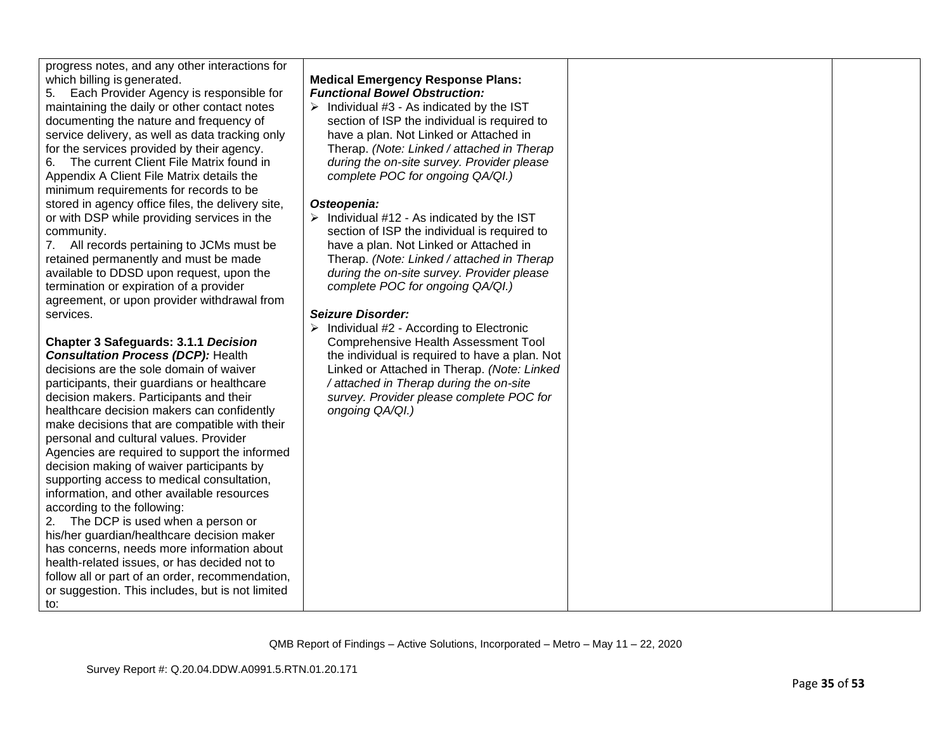progress notes, and any other interactions for which billing is generated.

5. Each Provider Agency is responsible for maintaining the daily or other contact notes documenting the nature and frequency of service delivery, as well as data tracking only for the services provided by their agency.

6. The current Client File Matrix found in Appendix A Client File Matrix details the minimum requirements for records to be stored in agency office files, the delivery site, or with DSP while providing services in the community.

7. All records pertaining to JCMs must be retained permanently and must be made available to DDSD upon request, upon the termination or expiration of a provider agreement, or upon provider withdrawal from services.

**Chapter 3 Safeguards: 3.1.1** *Decision Consultation Process (DCP):* Health

decisions are the sole domain of waiver participants, their guardians or healthcare decision makers. Participants and their healthcare decision makers can confidently make decisions that are compatible with their personal and cultural values. Provider Agencies are required to support the informed decision making of waiver participants by supporting access to medical consultation, information, and other available resources according to the following:

2. The DCP is used when a person or his/her guardian/healthcare decision maker has concerns, needs more information about health-related issues, or has decided not to follow all or part of an order, recommendation, or suggestion. This includes, but is not limited to:

### **Medical Emergency Response Plans:** *Functional Bowel Obstruction:*

 $\triangleright$  Individual #3 - As indicated by the IST section of ISP the individual is required to have a plan. Not Linked or Attached in Therap. *(Note: Linked / attached in Therap during the on-site survey. Provider please complete POC for ongoing QA/QI.)*

### *Osteopenia:*

 $\triangleright$  Individual #12 - As indicated by the IST section of ISP the individual is required to have a plan. Not Linked or Attached in Therap. *(Note: Linked / attached in Therap during the on-site survey. Provider please complete POC for ongoing QA/QI.)*

## *Seizure Disorder:*

➢ Individual #2 - According to Electronic Comprehensive Health Assessment Tool the individual is required to have a plan. Not Linked or Attached in Therap. *(Note: Linked / attached in Therap during the on-site survey. Provider please complete POC for ongoing QA/QI.)*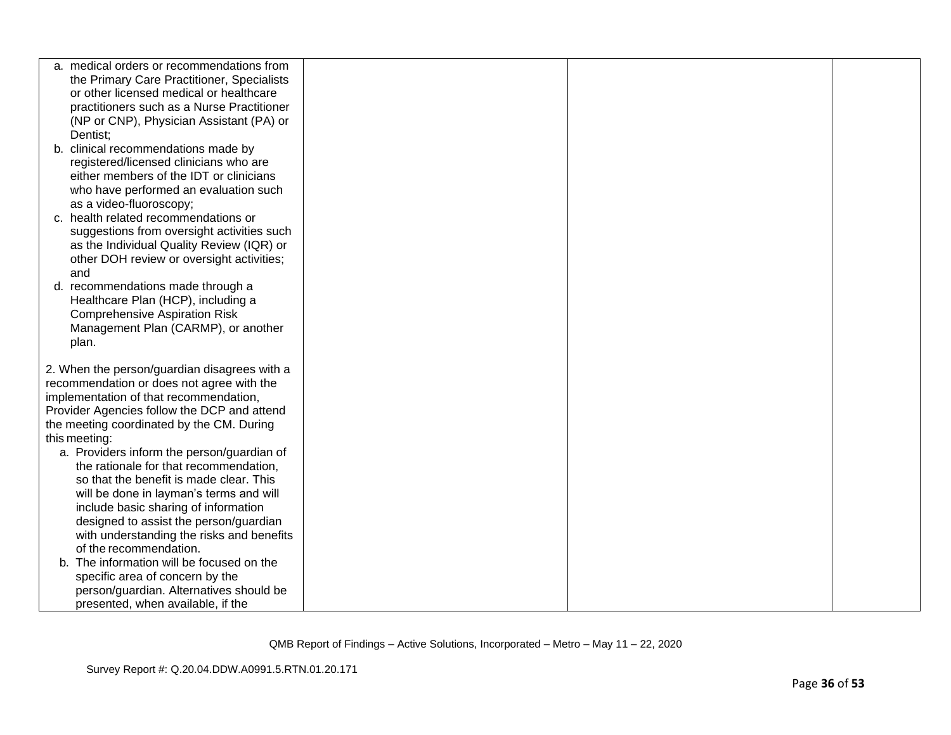| a. medical orders or recommendations from<br>the Primary Care Practitioner, Specialists<br>or other licensed medical or healthcare<br>practitioners such as a Nurse Practitioner<br>(NP or CNP), Physician Assistant (PA) or<br>Dentist;<br>b. clinical recommendations made by<br>registered/licensed clinicians who are<br>either members of the IDT or clinicians<br>who have performed an evaluation such<br>as a video-fluoroscopy;<br>c. health related recommendations or<br>suggestions from oversight activities such<br>as the Individual Quality Review (IQR) or<br>other DOH review or oversight activities;<br>and<br>d. recommendations made through a<br>Healthcare Plan (HCP), including a<br><b>Comprehensive Aspiration Risk</b><br>Management Plan (CARMP), or another<br>plan.<br>2. When the person/guardian disagrees with a<br>recommendation or does not agree with the<br>implementation of that recommendation,<br>Provider Agencies follow the DCP and attend<br>the meeting coordinated by the CM. During<br>this meeting:<br>a. Providers inform the person/guardian of<br>the rationale for that recommendation,<br>so that the benefit is made clear. This<br>will be done in layman's terms and will<br>include basic sharing of information<br>designed to assist the person/guardian<br>with understanding the risks and benefits<br>of the recommendation.<br>b. The information will be focused on the<br>specific area of concern by the<br>person/guardian. Alternatives should be<br>presented, when available, if the |  |  |
|---------------------------------------------------------------------------------------------------------------------------------------------------------------------------------------------------------------------------------------------------------------------------------------------------------------------------------------------------------------------------------------------------------------------------------------------------------------------------------------------------------------------------------------------------------------------------------------------------------------------------------------------------------------------------------------------------------------------------------------------------------------------------------------------------------------------------------------------------------------------------------------------------------------------------------------------------------------------------------------------------------------------------------------------------------------------------------------------------------------------------------------------------------------------------------------------------------------------------------------------------------------------------------------------------------------------------------------------------------------------------------------------------------------------------------------------------------------------------------------------------------------------------------------------------------------|--|--|
|                                                                                                                                                                                                                                                                                                                                                                                                                                                                                                                                                                                                                                                                                                                                                                                                                                                                                                                                                                                                                                                                                                                                                                                                                                                                                                                                                                                                                                                                                                                                                               |  |  |
|                                                                                                                                                                                                                                                                                                                                                                                                                                                                                                                                                                                                                                                                                                                                                                                                                                                                                                                                                                                                                                                                                                                                                                                                                                                                                                                                                                                                                                                                                                                                                               |  |  |
|                                                                                                                                                                                                                                                                                                                                                                                                                                                                                                                                                                                                                                                                                                                                                                                                                                                                                                                                                                                                                                                                                                                                                                                                                                                                                                                                                                                                                                                                                                                                                               |  |  |
|                                                                                                                                                                                                                                                                                                                                                                                                                                                                                                                                                                                                                                                                                                                                                                                                                                                                                                                                                                                                                                                                                                                                                                                                                                                                                                                                                                                                                                                                                                                                                               |  |  |
|                                                                                                                                                                                                                                                                                                                                                                                                                                                                                                                                                                                                                                                                                                                                                                                                                                                                                                                                                                                                                                                                                                                                                                                                                                                                                                                                                                                                                                                                                                                                                               |  |  |
|                                                                                                                                                                                                                                                                                                                                                                                                                                                                                                                                                                                                                                                                                                                                                                                                                                                                                                                                                                                                                                                                                                                                                                                                                                                                                                                                                                                                                                                                                                                                                               |  |  |
|                                                                                                                                                                                                                                                                                                                                                                                                                                                                                                                                                                                                                                                                                                                                                                                                                                                                                                                                                                                                                                                                                                                                                                                                                                                                                                                                                                                                                                                                                                                                                               |  |  |
|                                                                                                                                                                                                                                                                                                                                                                                                                                                                                                                                                                                                                                                                                                                                                                                                                                                                                                                                                                                                                                                                                                                                                                                                                                                                                                                                                                                                                                                                                                                                                               |  |  |
|                                                                                                                                                                                                                                                                                                                                                                                                                                                                                                                                                                                                                                                                                                                                                                                                                                                                                                                                                                                                                                                                                                                                                                                                                                                                                                                                                                                                                                                                                                                                                               |  |  |
|                                                                                                                                                                                                                                                                                                                                                                                                                                                                                                                                                                                                                                                                                                                                                                                                                                                                                                                                                                                                                                                                                                                                                                                                                                                                                                                                                                                                                                                                                                                                                               |  |  |
|                                                                                                                                                                                                                                                                                                                                                                                                                                                                                                                                                                                                                                                                                                                                                                                                                                                                                                                                                                                                                                                                                                                                                                                                                                                                                                                                                                                                                                                                                                                                                               |  |  |
|                                                                                                                                                                                                                                                                                                                                                                                                                                                                                                                                                                                                                                                                                                                                                                                                                                                                                                                                                                                                                                                                                                                                                                                                                                                                                                                                                                                                                                                                                                                                                               |  |  |
|                                                                                                                                                                                                                                                                                                                                                                                                                                                                                                                                                                                                                                                                                                                                                                                                                                                                                                                                                                                                                                                                                                                                                                                                                                                                                                                                                                                                                                                                                                                                                               |  |  |
|                                                                                                                                                                                                                                                                                                                                                                                                                                                                                                                                                                                                                                                                                                                                                                                                                                                                                                                                                                                                                                                                                                                                                                                                                                                                                                                                                                                                                                                                                                                                                               |  |  |
|                                                                                                                                                                                                                                                                                                                                                                                                                                                                                                                                                                                                                                                                                                                                                                                                                                                                                                                                                                                                                                                                                                                                                                                                                                                                                                                                                                                                                                                                                                                                                               |  |  |
|                                                                                                                                                                                                                                                                                                                                                                                                                                                                                                                                                                                                                                                                                                                                                                                                                                                                                                                                                                                                                                                                                                                                                                                                                                                                                                                                                                                                                                                                                                                                                               |  |  |
|                                                                                                                                                                                                                                                                                                                                                                                                                                                                                                                                                                                                                                                                                                                                                                                                                                                                                                                                                                                                                                                                                                                                                                                                                                                                                                                                                                                                                                                                                                                                                               |  |  |
|                                                                                                                                                                                                                                                                                                                                                                                                                                                                                                                                                                                                                                                                                                                                                                                                                                                                                                                                                                                                                                                                                                                                                                                                                                                                                                                                                                                                                                                                                                                                                               |  |  |
|                                                                                                                                                                                                                                                                                                                                                                                                                                                                                                                                                                                                                                                                                                                                                                                                                                                                                                                                                                                                                                                                                                                                                                                                                                                                                                                                                                                                                                                                                                                                                               |  |  |
|                                                                                                                                                                                                                                                                                                                                                                                                                                                                                                                                                                                                                                                                                                                                                                                                                                                                                                                                                                                                                                                                                                                                                                                                                                                                                                                                                                                                                                                                                                                                                               |  |  |
|                                                                                                                                                                                                                                                                                                                                                                                                                                                                                                                                                                                                                                                                                                                                                                                                                                                                                                                                                                                                                                                                                                                                                                                                                                                                                                                                                                                                                                                                                                                                                               |  |  |
|                                                                                                                                                                                                                                                                                                                                                                                                                                                                                                                                                                                                                                                                                                                                                                                                                                                                                                                                                                                                                                                                                                                                                                                                                                                                                                                                                                                                                                                                                                                                                               |  |  |
|                                                                                                                                                                                                                                                                                                                                                                                                                                                                                                                                                                                                                                                                                                                                                                                                                                                                                                                                                                                                                                                                                                                                                                                                                                                                                                                                                                                                                                                                                                                                                               |  |  |
|                                                                                                                                                                                                                                                                                                                                                                                                                                                                                                                                                                                                                                                                                                                                                                                                                                                                                                                                                                                                                                                                                                                                                                                                                                                                                                                                                                                                                                                                                                                                                               |  |  |
|                                                                                                                                                                                                                                                                                                                                                                                                                                                                                                                                                                                                                                                                                                                                                                                                                                                                                                                                                                                                                                                                                                                                                                                                                                                                                                                                                                                                                                                                                                                                                               |  |  |
|                                                                                                                                                                                                                                                                                                                                                                                                                                                                                                                                                                                                                                                                                                                                                                                                                                                                                                                                                                                                                                                                                                                                                                                                                                                                                                                                                                                                                                                                                                                                                               |  |  |
|                                                                                                                                                                                                                                                                                                                                                                                                                                                                                                                                                                                                                                                                                                                                                                                                                                                                                                                                                                                                                                                                                                                                                                                                                                                                                                                                                                                                                                                                                                                                                               |  |  |
|                                                                                                                                                                                                                                                                                                                                                                                                                                                                                                                                                                                                                                                                                                                                                                                                                                                                                                                                                                                                                                                                                                                                                                                                                                                                                                                                                                                                                                                                                                                                                               |  |  |
|                                                                                                                                                                                                                                                                                                                                                                                                                                                                                                                                                                                                                                                                                                                                                                                                                                                                                                                                                                                                                                                                                                                                                                                                                                                                                                                                                                                                                                                                                                                                                               |  |  |
|                                                                                                                                                                                                                                                                                                                                                                                                                                                                                                                                                                                                                                                                                                                                                                                                                                                                                                                                                                                                                                                                                                                                                                                                                                                                                                                                                                                                                                                                                                                                                               |  |  |
|                                                                                                                                                                                                                                                                                                                                                                                                                                                                                                                                                                                                                                                                                                                                                                                                                                                                                                                                                                                                                                                                                                                                                                                                                                                                                                                                                                                                                                                                                                                                                               |  |  |
|                                                                                                                                                                                                                                                                                                                                                                                                                                                                                                                                                                                                                                                                                                                                                                                                                                                                                                                                                                                                                                                                                                                                                                                                                                                                                                                                                                                                                                                                                                                                                               |  |  |
|                                                                                                                                                                                                                                                                                                                                                                                                                                                                                                                                                                                                                                                                                                                                                                                                                                                                                                                                                                                                                                                                                                                                                                                                                                                                                                                                                                                                                                                                                                                                                               |  |  |
|                                                                                                                                                                                                                                                                                                                                                                                                                                                                                                                                                                                                                                                                                                                                                                                                                                                                                                                                                                                                                                                                                                                                                                                                                                                                                                                                                                                                                                                                                                                                                               |  |  |
|                                                                                                                                                                                                                                                                                                                                                                                                                                                                                                                                                                                                                                                                                                                                                                                                                                                                                                                                                                                                                                                                                                                                                                                                                                                                                                                                                                                                                                                                                                                                                               |  |  |
|                                                                                                                                                                                                                                                                                                                                                                                                                                                                                                                                                                                                                                                                                                                                                                                                                                                                                                                                                                                                                                                                                                                                                                                                                                                                                                                                                                                                                                                                                                                                                               |  |  |
|                                                                                                                                                                                                                                                                                                                                                                                                                                                                                                                                                                                                                                                                                                                                                                                                                                                                                                                                                                                                                                                                                                                                                                                                                                                                                                                                                                                                                                                                                                                                                               |  |  |
|                                                                                                                                                                                                                                                                                                                                                                                                                                                                                                                                                                                                                                                                                                                                                                                                                                                                                                                                                                                                                                                                                                                                                                                                                                                                                                                                                                                                                                                                                                                                                               |  |  |
|                                                                                                                                                                                                                                                                                                                                                                                                                                                                                                                                                                                                                                                                                                                                                                                                                                                                                                                                                                                                                                                                                                                                                                                                                                                                                                                                                                                                                                                                                                                                                               |  |  |
|                                                                                                                                                                                                                                                                                                                                                                                                                                                                                                                                                                                                                                                                                                                                                                                                                                                                                                                                                                                                                                                                                                                                                                                                                                                                                                                                                                                                                                                                                                                                                               |  |  |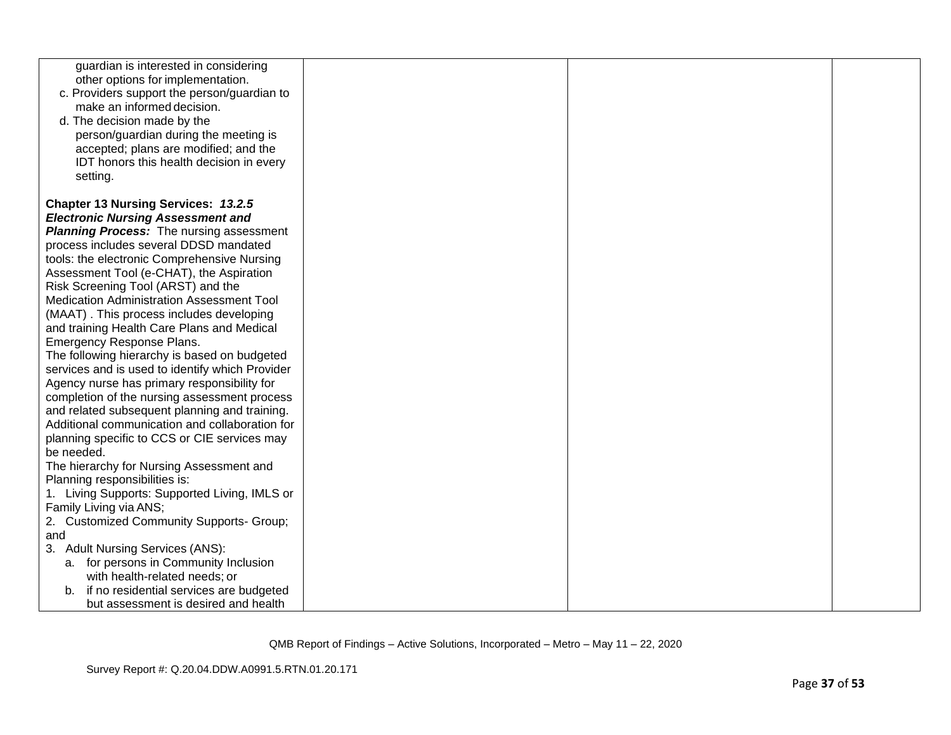| guardian is interested in considering           |  |  |
|-------------------------------------------------|--|--|
| other options for implementation.               |  |  |
| c. Providers support the person/guardian to     |  |  |
| make an informed decision.                      |  |  |
| d. The decision made by the                     |  |  |
| person/guardian during the meeting is           |  |  |
| accepted; plans are modified; and the           |  |  |
| IDT honors this health decision in every        |  |  |
| setting.                                        |  |  |
|                                                 |  |  |
| <b>Chapter 13 Nursing Services: 13.2.5</b>      |  |  |
| <b>Electronic Nursing Assessment and</b>        |  |  |
| <b>Planning Process:</b> The nursing assessment |  |  |
| process includes several DDSD mandated          |  |  |
| tools: the electronic Comprehensive Nursing     |  |  |
| Assessment Tool (e-CHAT), the Aspiration        |  |  |
| Risk Screening Tool (ARST) and the              |  |  |
| Medication Administration Assessment Tool       |  |  |
| (MAAT). This process includes developing        |  |  |
| and training Health Care Plans and Medical      |  |  |
| <b>Emergency Response Plans.</b>                |  |  |
| The following hierarchy is based on budgeted    |  |  |
| services and is used to identify which Provider |  |  |
| Agency nurse has primary responsibility for     |  |  |
| completion of the nursing assessment process    |  |  |
| and related subsequent planning and training.   |  |  |
| Additional communication and collaboration for  |  |  |
| planning specific to CCS or CIE services may    |  |  |
| be needed.                                      |  |  |
| The hierarchy for Nursing Assessment and        |  |  |
| Planning responsibilities is:                   |  |  |
| 1. Living Supports: Supported Living, IMLS or   |  |  |
| Family Living via ANS;                          |  |  |
| 2. Customized Community Supports- Group;        |  |  |
| and                                             |  |  |
| 3. Adult Nursing Services (ANS):                |  |  |
| a. for persons in Community Inclusion           |  |  |
| with health-related needs; or                   |  |  |
| if no residential services are budgeted         |  |  |
| but assessment is desired and health            |  |  |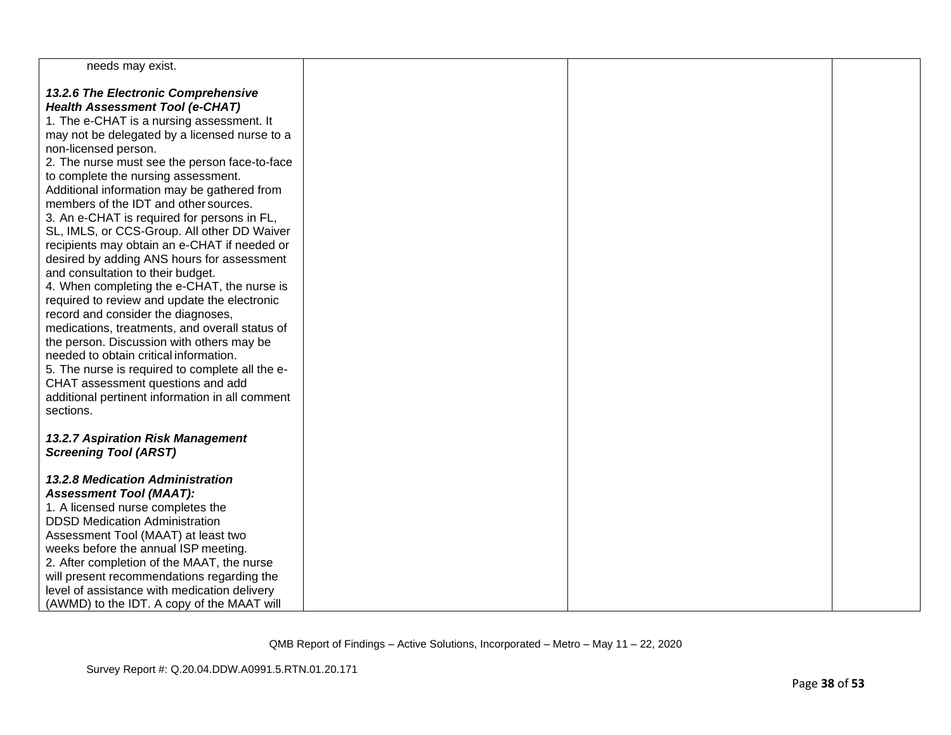| needs may exist.                                                                    |  |  |
|-------------------------------------------------------------------------------------|--|--|
| 13.2.6 The Electronic Comprehensive                                                 |  |  |
| Health Assessment Tool (e-CHAT)                                                     |  |  |
| 1. The e-CHAT is a nursing assessment. It                                           |  |  |
| may not be delegated by a licensed nurse to a                                       |  |  |
| non-licensed person.                                                                |  |  |
| 2. The nurse must see the person face-to-face                                       |  |  |
| to complete the nursing assessment.                                                 |  |  |
| Additional information may be gathered from                                         |  |  |
| members of the IDT and other sources.                                               |  |  |
| 3. An e-CHAT is required for persons in FL,                                         |  |  |
| SL, IMLS, or CCS-Group. All other DD Waiver                                         |  |  |
| recipients may obtain an e-CHAT if needed or                                        |  |  |
| desired by adding ANS hours for assessment                                          |  |  |
| and consultation to their budget.                                                   |  |  |
| 4. When completing the e-CHAT, the nurse is                                         |  |  |
| required to review and update the electronic                                        |  |  |
| record and consider the diagnoses,                                                  |  |  |
| medications, treatments, and overall status of                                      |  |  |
| the person. Discussion with others may be<br>needed to obtain critical information. |  |  |
| 5. The nurse is required to complete all the e-                                     |  |  |
| CHAT assessment questions and add                                                   |  |  |
| additional pertinent information in all comment                                     |  |  |
| sections.                                                                           |  |  |
|                                                                                     |  |  |
| 13.2.7 Aspiration Risk Management                                                   |  |  |
| <b>Screening Tool (ARST)</b>                                                        |  |  |
|                                                                                     |  |  |
| <b>13.2.8 Medication Administration</b>                                             |  |  |
| <b>Assessment Tool (MAAT):</b>                                                      |  |  |
| 1. A licensed nurse completes the                                                   |  |  |
| <b>DDSD Medication Administration</b>                                               |  |  |
| Assessment Tool (MAAT) at least two                                                 |  |  |
| weeks before the annual ISP meeting.                                                |  |  |
| 2. After completion of the MAAT, the nurse                                          |  |  |
| will present recommendations regarding the                                          |  |  |
| level of assistance with medication delivery                                        |  |  |
| (AWMD) to the IDT. A copy of the MAAT will                                          |  |  |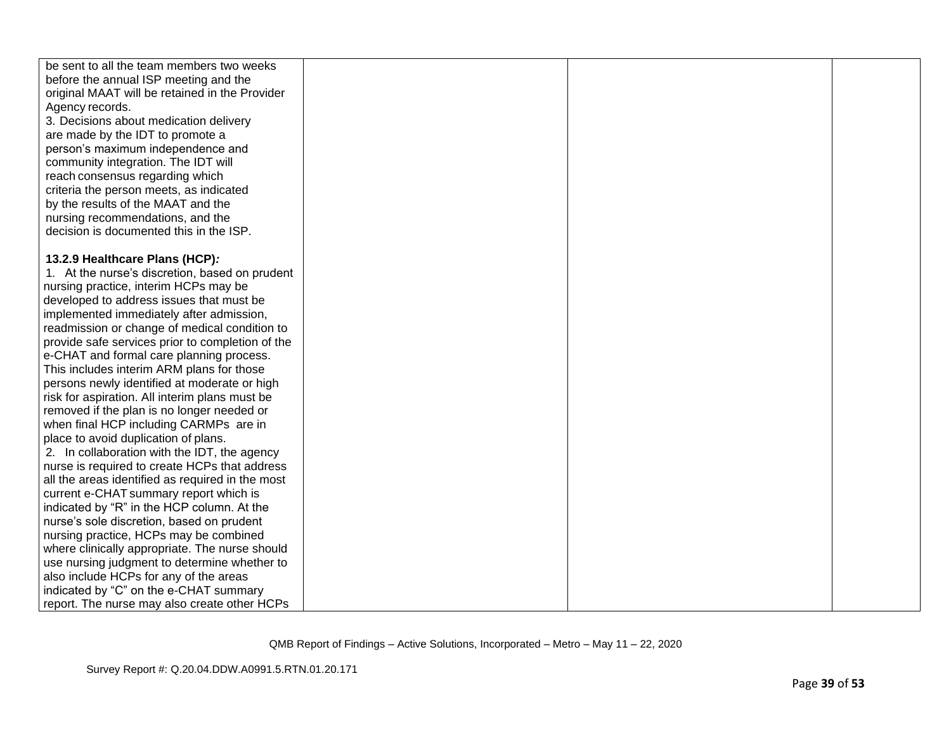| be sent to all the team members two weeks        |  |  |
|--------------------------------------------------|--|--|
| before the annual ISP meeting and the            |  |  |
| original MAAT will be retained in the Provider   |  |  |
| Agency records.                                  |  |  |
| 3. Decisions about medication delivery           |  |  |
| are made by the IDT to promote a                 |  |  |
| person's maximum independence and                |  |  |
| community integration. The IDT will              |  |  |
| reach consensus regarding which                  |  |  |
| criteria the person meets, as indicated          |  |  |
| by the results of the MAAT and the               |  |  |
| nursing recommendations, and the                 |  |  |
| decision is documented this in the ISP.          |  |  |
|                                                  |  |  |
| 13.2.9 Healthcare Plans (HCP):                   |  |  |
| 1. At the nurse's discretion, based on prudent   |  |  |
| nursing practice, interim HCPs may be            |  |  |
| developed to address issues that must be         |  |  |
| implemented immediately after admission,         |  |  |
| readmission or change of medical condition to    |  |  |
| provide safe services prior to completion of the |  |  |
| e-CHAT and formal care planning process.         |  |  |
| This includes interim ARM plans for those        |  |  |
| persons newly identified at moderate or high     |  |  |
| risk for aspiration. All interim plans must be   |  |  |
| removed if the plan is no longer needed or       |  |  |
| when final HCP including CARMPs are in           |  |  |
| place to avoid duplication of plans.             |  |  |
| 2. In collaboration with the IDT, the agency     |  |  |
| nurse is required to create HCPs that address    |  |  |
| all the areas identified as required in the most |  |  |
| current e-CHAT summary report which is           |  |  |
| indicated by "R" in the HCP column. At the       |  |  |
| nurse's sole discretion, based on prudent        |  |  |
| nursing practice, HCPs may be combined           |  |  |
| where clinically appropriate. The nurse should   |  |  |
| use nursing judgment to determine whether to     |  |  |
| also include HCPs for any of the areas           |  |  |
| indicated by "C" on the e-CHAT summary           |  |  |
| report. The nurse may also create other HCPs     |  |  |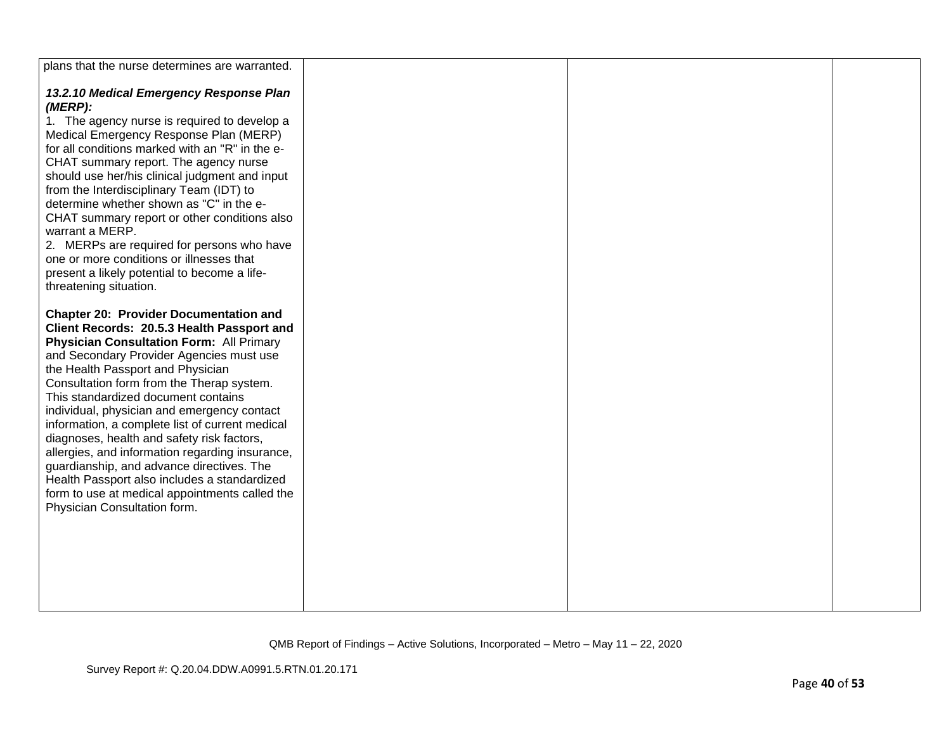| plans that the nurse determines are warranted.                                            |  |  |
|-------------------------------------------------------------------------------------------|--|--|
| 13.2.10 Medical Emergency Response Plan<br>(MERP):                                        |  |  |
| 1. The agency nurse is required to develop a                                              |  |  |
| Medical Emergency Response Plan (MERP)                                                    |  |  |
| for all conditions marked with an "R" in the e-                                           |  |  |
| CHAT summary report. The agency nurse                                                     |  |  |
| should use her/his clinical judgment and input                                            |  |  |
| from the Interdisciplinary Team (IDT) to<br>determine whether shown as "C" in the e-      |  |  |
| CHAT summary report or other conditions also                                              |  |  |
| warrant a MERP.                                                                           |  |  |
| 2. MERPs are required for persons who have                                                |  |  |
| one or more conditions or illnesses that                                                  |  |  |
| present a likely potential to become a life-                                              |  |  |
| threatening situation.                                                                    |  |  |
| <b>Chapter 20: Provider Documentation and</b>                                             |  |  |
| Client Records: 20.5.3 Health Passport and                                                |  |  |
| <b>Physician Consultation Form: All Primary</b>                                           |  |  |
| and Secondary Provider Agencies must use                                                  |  |  |
| the Health Passport and Physician<br>Consultation form from the Therap system.            |  |  |
| This standardized document contains                                                       |  |  |
| individual, physician and emergency contact                                               |  |  |
| information, a complete list of current medical                                           |  |  |
| diagnoses, health and safety risk factors,                                                |  |  |
| allergies, and information regarding insurance,                                           |  |  |
| guardianship, and advance directives. The<br>Health Passport also includes a standardized |  |  |
| form to use at medical appointments called the                                            |  |  |
| Physician Consultation form.                                                              |  |  |
|                                                                                           |  |  |
|                                                                                           |  |  |
|                                                                                           |  |  |
|                                                                                           |  |  |
|                                                                                           |  |  |
|                                                                                           |  |  |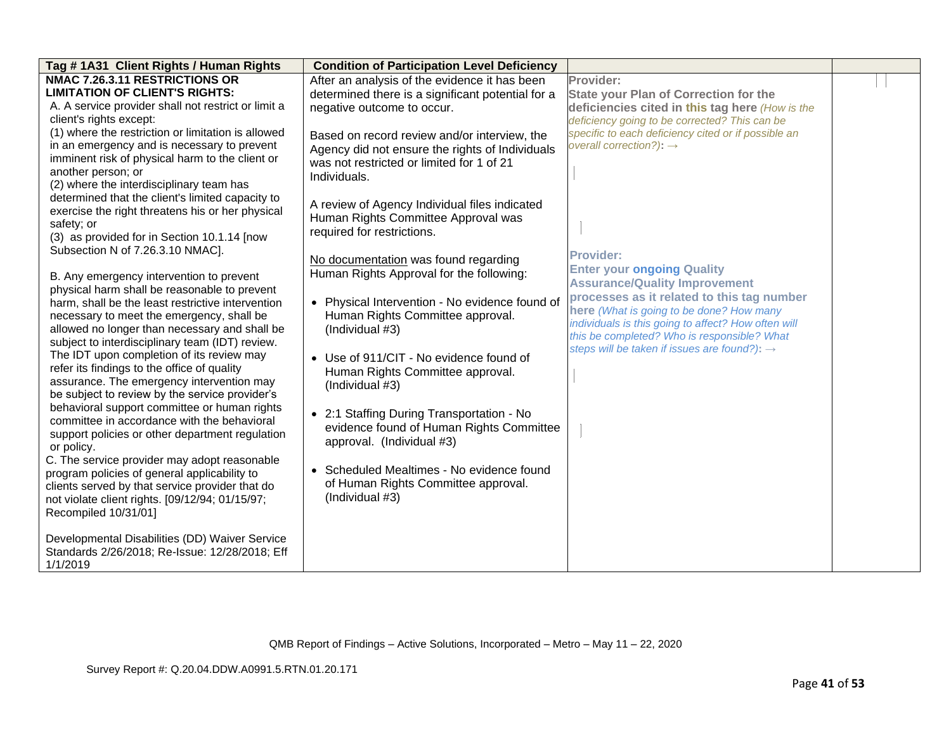| Tag # 1A31 Client Rights / Human Rights                                                    | <b>Condition of Participation Level Deficiency</b> |                                                          |  |
|--------------------------------------------------------------------------------------------|----------------------------------------------------|----------------------------------------------------------|--|
| <b>NMAC 7.26.3.11 RESTRICTIONS OR</b>                                                      | After an analysis of the evidence it has been      | Provider:                                                |  |
| <b>LIMITATION OF CLIENT'S RIGHTS:</b>                                                      | determined there is a significant potential for a  | <b>State your Plan of Correction for the</b>             |  |
| A. A service provider shall not restrict or limit a                                        | negative outcome to occur.                         | deficiencies cited in this tag here (How is the          |  |
| client's rights except:                                                                    |                                                    | deficiency going to be corrected? This can be            |  |
| (1) where the restriction or limitation is allowed                                         | Based on record review and/or interview, the       | specific to each deficiency cited or if possible an      |  |
| in an emergency and is necessary to prevent                                                | Agency did not ensure the rights of Individuals    | overall correction?): $\rightarrow$                      |  |
| imminent risk of physical harm to the client or                                            | was not restricted or limited for 1 of 21          |                                                          |  |
| another person; or                                                                         | Individuals.                                       |                                                          |  |
| (2) where the interdisciplinary team has                                                   |                                                    |                                                          |  |
| determined that the client's limited capacity to                                           | A review of Agency Individual files indicated      |                                                          |  |
| exercise the right threatens his or her physical                                           | Human Rights Committee Approval was                |                                                          |  |
| safety; or                                                                                 | required for restrictions.                         |                                                          |  |
| (3) as provided for in Section 10.1.14 [now                                                |                                                    |                                                          |  |
| Subsection N of 7.26.3.10 NMAC].                                                           | No documentation was found regarding               | <b>Provider:</b>                                         |  |
|                                                                                            | Human Rights Approval for the following:           | <b>Enter your ongoing Quality</b>                        |  |
| B. Any emergency intervention to prevent                                                   |                                                    | <b>Assurance/Quality Improvement</b>                     |  |
| physical harm shall be reasonable to prevent                                               |                                                    | processes as it related to this tag number               |  |
| harm, shall be the least restrictive intervention                                          | • Physical Intervention - No evidence found of     | here (What is going to be done? How many                 |  |
| necessary to meet the emergency, shall be<br>allowed no longer than necessary and shall be | Human Rights Committee approval.                   | individuals is this going to affect? How often will      |  |
| subject to interdisciplinary team (IDT) review.                                            | (Individual #3)                                    | this be completed? Who is responsible? What              |  |
| The IDT upon completion of its review may                                                  |                                                    | steps will be taken if issues are found?): $\rightarrow$ |  |
| refer its findings to the office of quality                                                | • Use of 911/CIT - No evidence found of            |                                                          |  |
| assurance. The emergency intervention may                                                  | Human Rights Committee approval.                   |                                                          |  |
| be subject to review by the service provider's                                             | (Individual #3)                                    |                                                          |  |
| behavioral support committee or human rights                                               |                                                    |                                                          |  |
| committee in accordance with the behavioral                                                | • 2:1 Staffing During Transportation - No          |                                                          |  |
| support policies or other department regulation                                            | evidence found of Human Rights Committee           |                                                          |  |
| or policy.                                                                                 | approval. (Individual #3)                          |                                                          |  |
| C. The service provider may adopt reasonable                                               |                                                    |                                                          |  |
| program policies of general applicability to                                               | • Scheduled Mealtimes - No evidence found          |                                                          |  |
| clients served by that service provider that do                                            | of Human Rights Committee approval.                |                                                          |  |
| not violate client rights. [09/12/94; 01/15/97;                                            | (Individual #3)                                    |                                                          |  |
| Recompiled 10/31/01]                                                                       |                                                    |                                                          |  |
|                                                                                            |                                                    |                                                          |  |
| Developmental Disabilities (DD) Waiver Service                                             |                                                    |                                                          |  |
| Standards 2/26/2018; Re-Issue: 12/28/2018; Eff                                             |                                                    |                                                          |  |
| 1/1/2019                                                                                   |                                                    |                                                          |  |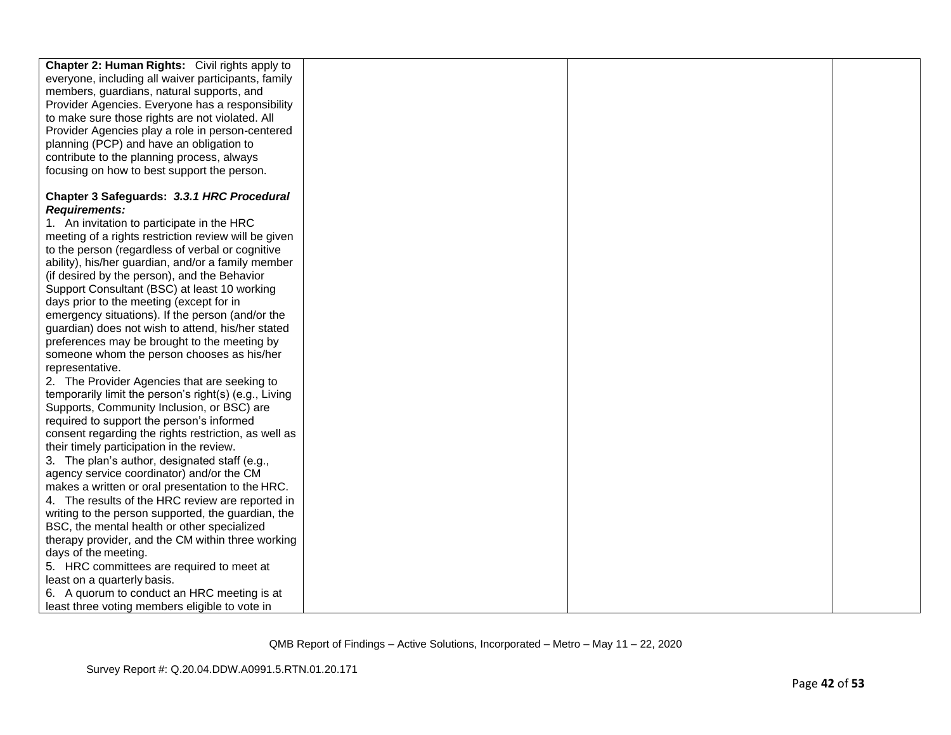| <b>Chapter 2: Human Rights:</b> Civil rights apply to |  |  |
|-------------------------------------------------------|--|--|
| everyone, including all waiver participants, family   |  |  |
| members, guardians, natural supports, and             |  |  |
| Provider Agencies. Everyone has a responsibility      |  |  |
| to make sure those rights are not violated. All       |  |  |
| Provider Agencies play a role in person-centered      |  |  |
| planning (PCP) and have an obligation to              |  |  |
| contribute to the planning process, always            |  |  |
| focusing on how to best support the person.           |  |  |
| Chapter 3 Safeguards: 3.3.1 HRC Procedural            |  |  |
| <b>Requirements:</b>                                  |  |  |
| 1. An invitation to participate in the HRC            |  |  |
| meeting of a rights restriction review will be given  |  |  |
| to the person (regardless of verbal or cognitive      |  |  |
| ability), his/her guardian, and/or a family member    |  |  |
| (if desired by the person), and the Behavior          |  |  |
| Support Consultant (BSC) at least 10 working          |  |  |
| days prior to the meeting (except for in              |  |  |
| emergency situations). If the person (and/or the      |  |  |
| guardian) does not wish to attend, his/her stated     |  |  |
| preferences may be brought to the meeting by          |  |  |
| someone whom the person chooses as his/her            |  |  |
| representative.                                       |  |  |
| 2. The Provider Agencies that are seeking to          |  |  |
| temporarily limit the person's right(s) (e.g., Living |  |  |
| Supports, Community Inclusion, or BSC) are            |  |  |
| required to support the person's informed             |  |  |
| consent regarding the rights restriction, as well as  |  |  |
| their timely participation in the review.             |  |  |
| 3. The plan's author, designated staff (e.g.,         |  |  |
| agency service coordinator) and/or the CM             |  |  |
| makes a written or oral presentation to the HRC.      |  |  |
| 4. The results of the HRC review are reported in      |  |  |
| writing to the person supported, the guardian, the    |  |  |
| BSC, the mental health or other specialized           |  |  |
| therapy provider, and the CM within three working     |  |  |
| days of the meeting.                                  |  |  |
| 5. HRC committees are required to meet at             |  |  |
| least on a quarterly basis.                           |  |  |
| 6. A quorum to conduct an HRC meeting is at           |  |  |
| least three voting members eligible to vote in        |  |  |
|                                                       |  |  |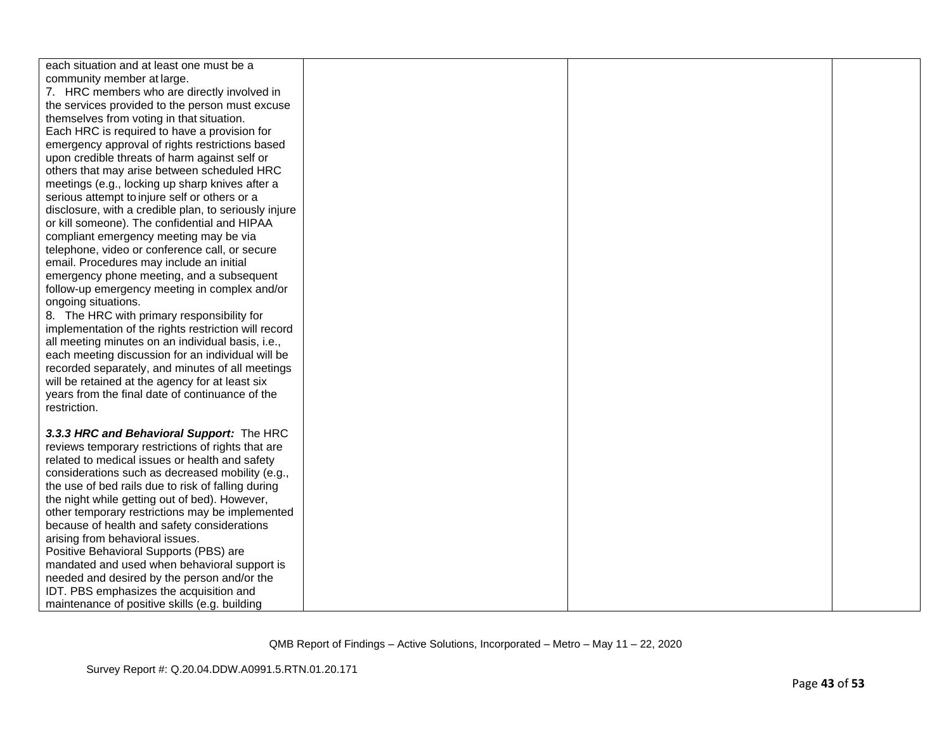| each situation and at least one must be a             |  |  |
|-------------------------------------------------------|--|--|
| community member at large.                            |  |  |
| 7. HRC members who are directly involved in           |  |  |
| the services provided to the person must excuse       |  |  |
| themselves from voting in that situation.             |  |  |
| Each HRC is required to have a provision for          |  |  |
| emergency approval of rights restrictions based       |  |  |
| upon credible threats of harm against self or         |  |  |
| others that may arise between scheduled HRC           |  |  |
| meetings (e.g., locking up sharp knives after a       |  |  |
| serious attempt to injure self or others or a         |  |  |
| disclosure, with a credible plan, to seriously injure |  |  |
| or kill someone). The confidential and HIPAA          |  |  |
| compliant emergency meeting may be via                |  |  |
| telephone, video or conference call, or secure        |  |  |
| email. Procedures may include an initial              |  |  |
| emergency phone meeting, and a subsequent             |  |  |
| follow-up emergency meeting in complex and/or         |  |  |
| ongoing situations.                                   |  |  |
| 8. The HRC with primary responsibility for            |  |  |
| implementation of the rights restriction will record  |  |  |
| all meeting minutes on an individual basis, i.e.,     |  |  |
| each meeting discussion for an individual will be     |  |  |
| recorded separately, and minutes of all meetings      |  |  |
| will be retained at the agency for at least six       |  |  |
| years from the final date of continuance of the       |  |  |
| restriction.                                          |  |  |
|                                                       |  |  |
| 3.3.3 HRC and Behavioral Support: The HRC             |  |  |
| reviews temporary restrictions of rights that are     |  |  |
| related to medical issues or health and safety        |  |  |
| considerations such as decreased mobility (e.g.,      |  |  |
| the use of bed rails due to risk of falling during    |  |  |
| the night while getting out of bed). However,         |  |  |
| other temporary restrictions may be implemented       |  |  |
| because of health and safety considerations           |  |  |
| arising from behavioral issues.                       |  |  |
| Positive Behavioral Supports (PBS) are                |  |  |
| mandated and used when behavioral support is          |  |  |
| needed and desired by the person and/or the           |  |  |
| IDT. PBS emphasizes the acquisition and               |  |  |
| maintenance of positive skills (e.g. building         |  |  |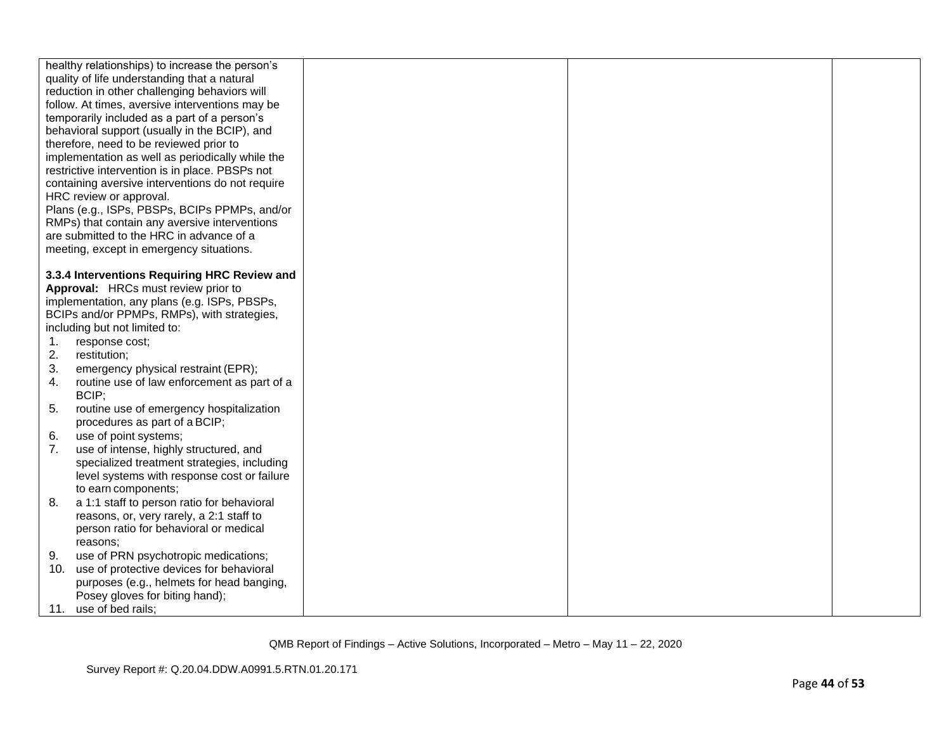|     | healthy relationships) to increase the person's  |  |  |
|-----|--------------------------------------------------|--|--|
|     | quality of life understanding that a natural     |  |  |
|     | reduction in other challenging behaviors will    |  |  |
|     | follow. At times, aversive interventions may be  |  |  |
|     | temporarily included as a part of a person's     |  |  |
|     | behavioral support (usually in the BCIP), and    |  |  |
|     | therefore, need to be reviewed prior to          |  |  |
|     | implementation as well as periodically while the |  |  |
|     | restrictive intervention is in place. PBSPs not  |  |  |
|     | containing aversive interventions do not require |  |  |
|     | HRC review or approval.                          |  |  |
|     | Plans (e.g., ISPs, PBSPs, BCIPs PPMPs, and/or    |  |  |
|     | RMPs) that contain any aversive interventions    |  |  |
|     | are submitted to the HRC in advance of a         |  |  |
|     | meeting, except in emergency situations.         |  |  |
|     |                                                  |  |  |
|     | 3.3.4 Interventions Requiring HRC Review and     |  |  |
|     | Approval: HRCs must review prior to              |  |  |
|     | implementation, any plans (e.g. ISPs, PBSPs,     |  |  |
|     | BCIPs and/or PPMPs, RMPs), with strategies,      |  |  |
|     | including but not limited to:                    |  |  |
| 1.  | response cost;                                   |  |  |
| 2.  | restitution;                                     |  |  |
| 3.  | emergency physical restraint (EPR);              |  |  |
| 4.  | routine use of law enforcement as part of a      |  |  |
|     | BCIP;                                            |  |  |
| 5.  | routine use of emergency hospitalization         |  |  |
|     | procedures as part of a BCIP;                    |  |  |
| 6.  | use of point systems;                            |  |  |
| 7.  | use of intense, highly structured, and           |  |  |
|     | specialized treatment strategies, including      |  |  |
|     | level systems with response cost or failure      |  |  |
|     | to earn components;                              |  |  |
| 8.  | a 1:1 staff to person ratio for behavioral       |  |  |
|     | reasons, or, very rarely, a 2:1 staff to         |  |  |
|     | person ratio for behavioral or medical           |  |  |
|     | reasons:                                         |  |  |
| 9.  | use of PRN psychotropic medications;             |  |  |
| 10. | use of protective devices for behavioral         |  |  |
|     | purposes (e.g., helmets for head banging,        |  |  |
|     | Posey gloves for biting hand);                   |  |  |
|     | 11. use of bed rails;                            |  |  |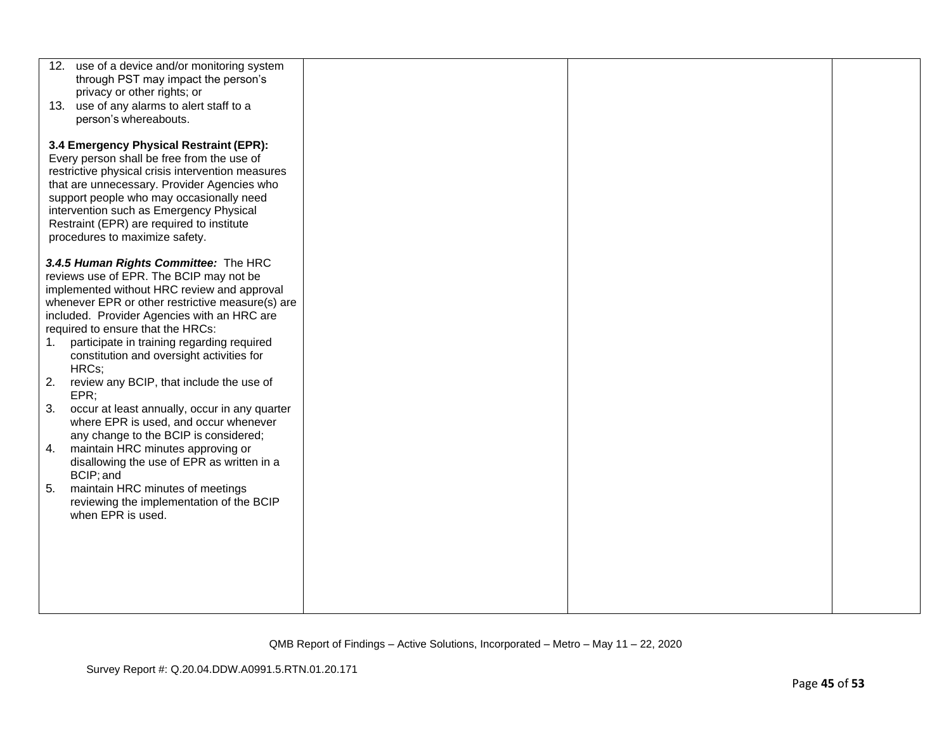| 12. use of a device and/or monitoring system                                                     |  |  |
|--------------------------------------------------------------------------------------------------|--|--|
| through PST may impact the person's<br>privacy or other rights; or                               |  |  |
| 13. use of any alarms to alert staff to a                                                        |  |  |
| person's whereabouts.                                                                            |  |  |
| 3.4 Emergency Physical Restraint (EPR):                                                          |  |  |
| Every person shall be free from the use of                                                       |  |  |
| restrictive physical crisis intervention measures<br>that are unnecessary. Provider Agencies who |  |  |
| support people who may occasionally need                                                         |  |  |
| intervention such as Emergency Physical                                                          |  |  |
| Restraint (EPR) are required to institute<br>procedures to maximize safety.                      |  |  |
|                                                                                                  |  |  |
| 3.4.5 Human Rights Committee: The HRC                                                            |  |  |
| reviews use of EPR. The BCIP may not be<br>implemented without HRC review and approval           |  |  |
| whenever EPR or other restrictive measure(s) are                                                 |  |  |
| included. Provider Agencies with an HRC are                                                      |  |  |
| required to ensure that the HRCs:<br>participate in training regarding required<br>1.            |  |  |
| constitution and oversight activities for                                                        |  |  |
| HRCs;                                                                                            |  |  |
| 2.<br>review any BCIP, that include the use of<br>EPR;                                           |  |  |
| 3.<br>occur at least annually, occur in any quarter                                              |  |  |
| where EPR is used, and occur whenever                                                            |  |  |
| any change to the BCIP is considered;                                                            |  |  |
| 4.<br>maintain HRC minutes approving or<br>disallowing the use of EPR as written in a            |  |  |
| BCIP; and                                                                                        |  |  |
| maintain HRC minutes of meetings<br>5.                                                           |  |  |
| reviewing the implementation of the BCIP<br>when EPR is used.                                    |  |  |
|                                                                                                  |  |  |
|                                                                                                  |  |  |
|                                                                                                  |  |  |
|                                                                                                  |  |  |
|                                                                                                  |  |  |
|                                                                                                  |  |  |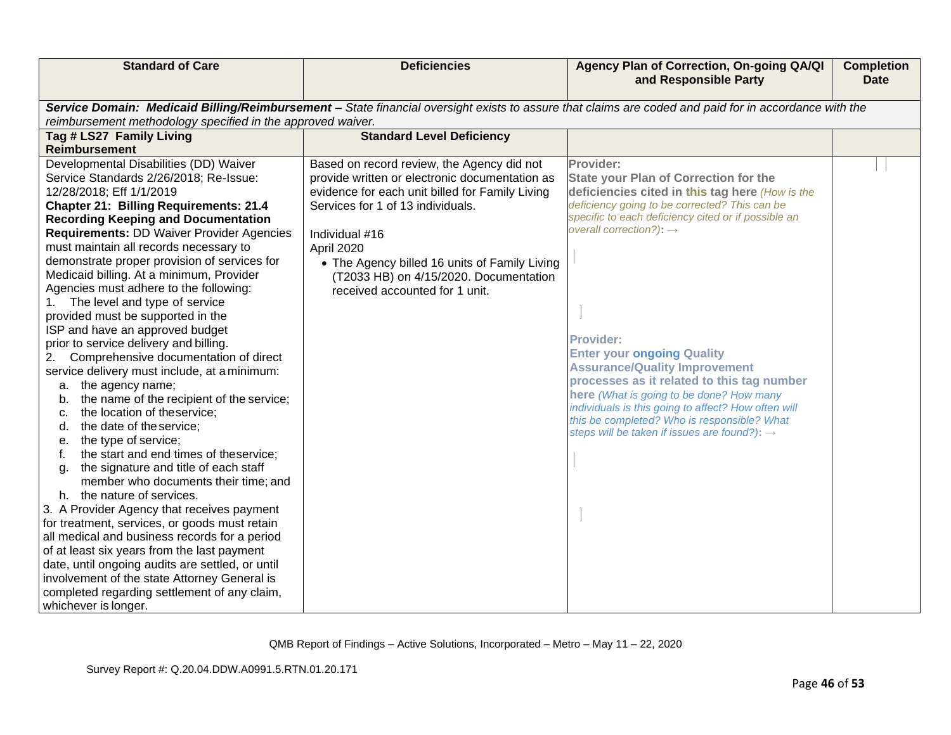| Service Domain: Medicaid Billing/Reimbursement - State financial oversight exists to assure that claims are coded and paid for in accordance with the<br>reimbursement methodology specified in the approved waiver.<br>Tag # LS27 Family Living<br><b>Standard Level Deficiency</b><br>Reimbursement                                                                                                                                                                                                                                                                                                                                                                                                                                                                                                                                                                                                                                                                                                                                                                                                                                                                                                                                                                                                                                                                                                                                                                                                                                                                                                                                                                                                                                                                                                                                                         |                                                                                                                                                                                                                                                                                                                                                                                                                                                                                                                                                  |  |
|---------------------------------------------------------------------------------------------------------------------------------------------------------------------------------------------------------------------------------------------------------------------------------------------------------------------------------------------------------------------------------------------------------------------------------------------------------------------------------------------------------------------------------------------------------------------------------------------------------------------------------------------------------------------------------------------------------------------------------------------------------------------------------------------------------------------------------------------------------------------------------------------------------------------------------------------------------------------------------------------------------------------------------------------------------------------------------------------------------------------------------------------------------------------------------------------------------------------------------------------------------------------------------------------------------------------------------------------------------------------------------------------------------------------------------------------------------------------------------------------------------------------------------------------------------------------------------------------------------------------------------------------------------------------------------------------------------------------------------------------------------------------------------------------------------------------------------------------------------------|--------------------------------------------------------------------------------------------------------------------------------------------------------------------------------------------------------------------------------------------------------------------------------------------------------------------------------------------------------------------------------------------------------------------------------------------------------------------------------------------------------------------------------------------------|--|
|                                                                                                                                                                                                                                                                                                                                                                                                                                                                                                                                                                                                                                                                                                                                                                                                                                                                                                                                                                                                                                                                                                                                                                                                                                                                                                                                                                                                                                                                                                                                                                                                                                                                                                                                                                                                                                                               |                                                                                                                                                                                                                                                                                                                                                                                                                                                                                                                                                  |  |
|                                                                                                                                                                                                                                                                                                                                                                                                                                                                                                                                                                                                                                                                                                                                                                                                                                                                                                                                                                                                                                                                                                                                                                                                                                                                                                                                                                                                                                                                                                                                                                                                                                                                                                                                                                                                                                                               |                                                                                                                                                                                                                                                                                                                                                                                                                                                                                                                                                  |  |
|                                                                                                                                                                                                                                                                                                                                                                                                                                                                                                                                                                                                                                                                                                                                                                                                                                                                                                                                                                                                                                                                                                                                                                                                                                                                                                                                                                                                                                                                                                                                                                                                                                                                                                                                                                                                                                                               |                                                                                                                                                                                                                                                                                                                                                                                                                                                                                                                                                  |  |
| Developmental Disabilities (DD) Waiver<br>Based on record review, the Agency did not<br>Provider:<br>Service Standards 2/26/2018; Re-Issue:<br>provide written or electronic documentation as<br>evidence for each unit billed for Family Living<br>12/28/2018; Eff 1/1/2019<br>Services for 1 of 13 individuals.<br><b>Chapter 21: Billing Requirements: 21.4</b><br><b>Recording Keeping and Documentation</b><br>overall correction?): $\rightarrow$<br><b>Requirements: DD Waiver Provider Agencies</b><br>Individual #16<br>must maintain all records necessary to<br>April 2020<br>demonstrate proper provision of services for<br>• The Agency billed 16 units of Family Living<br>Medicaid billing. At a minimum, Provider<br>(T2033 HB) on 4/15/2020. Documentation<br>Agencies must adhere to the following:<br>received accounted for 1 unit.<br>The level and type of service<br>provided must be supported in the<br>ISP and have an approved budget<br><b>Provider:</b><br>prior to service delivery and billing.<br>Comprehensive documentation of direct<br>2.<br>service delivery must include, at a minimum:<br>the agency name;<br>а.<br>the name of the recipient of the service;<br>b.<br>the location of theservice;<br>C.<br>the date of the service;<br>d.<br>the type of service;<br>е.<br>the start and end times of theservice;<br>the signature and title of each staff<br>q.<br>member who documents their time; and<br>the nature of services.<br>h.<br>3. A Provider Agency that receives payment<br>for treatment, services, or goods must retain<br>all medical and business records for a period<br>of at least six years from the last payment<br>date, until ongoing audits are settled, or until<br>involvement of the state Attorney General is<br>completed regarding settlement of any claim,<br>whichever is longer. | <b>State your Plan of Correction for the</b><br>deficiencies cited in this tag here (How is the<br>deficiency going to be corrected? This can be<br>specific to each deficiency cited or if possible an<br><b>Enter your ongoing Quality</b><br><b>Assurance/Quality Improvement</b><br>processes as it related to this tag number<br>here (What is going to be done? How many<br>individuals is this going to affect? How often will<br>this be completed? Who is responsible? What<br>steps will be taken if issues are found?): $\rightarrow$ |  |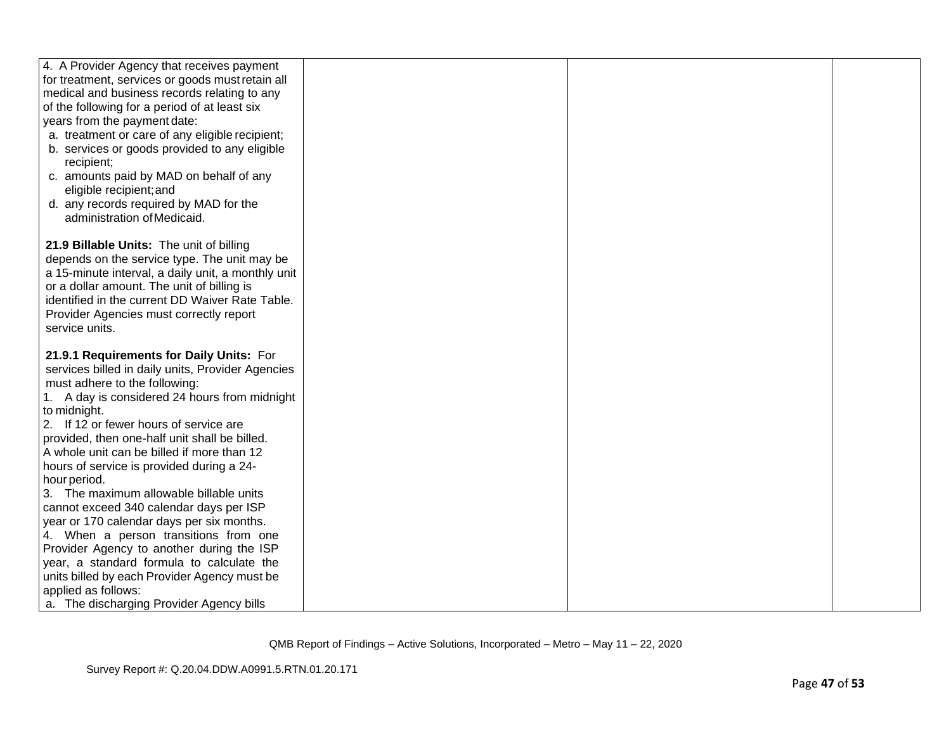| for treatment, services or goods must retain all<br>medical and business records relating to any<br>of the following for a period of at least six<br>years from the payment date:<br>a. treatment or care of any eligible recipient;<br>b. services or goods provided to any eligible<br>recipient;<br>c. amounts paid by MAD on behalf of any<br>eligible recipient; and<br>d. any records required by MAD for the<br>administration of Medicaid.<br>21.9 Billable Units: The unit of billing<br>depends on the service type. The unit may be<br>a 15-minute interval, a daily unit, a monthly unit<br>or a dollar amount. The unit of billing is<br>identified in the current DD Waiver Rate Table.<br>Provider Agencies must correctly report<br>service units.<br>21.9.1 Requirements for Daily Units: For<br>services billed in daily units, Provider Agencies<br>must adhere to the following:<br>1. A day is considered 24 hours from midnight<br>to midnight.<br>2. If 12 or fewer hours of service are<br>provided, then one-half unit shall be billed.<br>A whole unit can be billed if more than 12<br>hours of service is provided during a 24-<br>hour period.<br>3. The maximum allowable billable units<br>cannot exceed 340 calendar days per ISP<br>year or 170 calendar days per six months.<br>4. When a person transitions from one<br>Provider Agency to another during the ISP<br>year, a standard formula to calculate the<br>units billed by each Provider Agency must be<br>applied as follows: |                                            |  |  |
|--------------------------------------------------------------------------------------------------------------------------------------------------------------------------------------------------------------------------------------------------------------------------------------------------------------------------------------------------------------------------------------------------------------------------------------------------------------------------------------------------------------------------------------------------------------------------------------------------------------------------------------------------------------------------------------------------------------------------------------------------------------------------------------------------------------------------------------------------------------------------------------------------------------------------------------------------------------------------------------------------------------------------------------------------------------------------------------------------------------------------------------------------------------------------------------------------------------------------------------------------------------------------------------------------------------------------------------------------------------------------------------------------------------------------------------------------------------------------------------------------------------------------|--------------------------------------------|--|--|
|                                                                                                                                                                                                                                                                                                                                                                                                                                                                                                                                                                                                                                                                                                                                                                                                                                                                                                                                                                                                                                                                                                                                                                                                                                                                                                                                                                                                                                                                                                                          | 4. A Provider Agency that receives payment |  |  |
|                                                                                                                                                                                                                                                                                                                                                                                                                                                                                                                                                                                                                                                                                                                                                                                                                                                                                                                                                                                                                                                                                                                                                                                                                                                                                                                                                                                                                                                                                                                          |                                            |  |  |
|                                                                                                                                                                                                                                                                                                                                                                                                                                                                                                                                                                                                                                                                                                                                                                                                                                                                                                                                                                                                                                                                                                                                                                                                                                                                                                                                                                                                                                                                                                                          |                                            |  |  |
|                                                                                                                                                                                                                                                                                                                                                                                                                                                                                                                                                                                                                                                                                                                                                                                                                                                                                                                                                                                                                                                                                                                                                                                                                                                                                                                                                                                                                                                                                                                          |                                            |  |  |
|                                                                                                                                                                                                                                                                                                                                                                                                                                                                                                                                                                                                                                                                                                                                                                                                                                                                                                                                                                                                                                                                                                                                                                                                                                                                                                                                                                                                                                                                                                                          |                                            |  |  |
|                                                                                                                                                                                                                                                                                                                                                                                                                                                                                                                                                                                                                                                                                                                                                                                                                                                                                                                                                                                                                                                                                                                                                                                                                                                                                                                                                                                                                                                                                                                          |                                            |  |  |
|                                                                                                                                                                                                                                                                                                                                                                                                                                                                                                                                                                                                                                                                                                                                                                                                                                                                                                                                                                                                                                                                                                                                                                                                                                                                                                                                                                                                                                                                                                                          |                                            |  |  |
|                                                                                                                                                                                                                                                                                                                                                                                                                                                                                                                                                                                                                                                                                                                                                                                                                                                                                                                                                                                                                                                                                                                                                                                                                                                                                                                                                                                                                                                                                                                          |                                            |  |  |
|                                                                                                                                                                                                                                                                                                                                                                                                                                                                                                                                                                                                                                                                                                                                                                                                                                                                                                                                                                                                                                                                                                                                                                                                                                                                                                                                                                                                                                                                                                                          |                                            |  |  |
|                                                                                                                                                                                                                                                                                                                                                                                                                                                                                                                                                                                                                                                                                                                                                                                                                                                                                                                                                                                                                                                                                                                                                                                                                                                                                                                                                                                                                                                                                                                          |                                            |  |  |
|                                                                                                                                                                                                                                                                                                                                                                                                                                                                                                                                                                                                                                                                                                                                                                                                                                                                                                                                                                                                                                                                                                                                                                                                                                                                                                                                                                                                                                                                                                                          |                                            |  |  |
|                                                                                                                                                                                                                                                                                                                                                                                                                                                                                                                                                                                                                                                                                                                                                                                                                                                                                                                                                                                                                                                                                                                                                                                                                                                                                                                                                                                                                                                                                                                          |                                            |  |  |
|                                                                                                                                                                                                                                                                                                                                                                                                                                                                                                                                                                                                                                                                                                                                                                                                                                                                                                                                                                                                                                                                                                                                                                                                                                                                                                                                                                                                                                                                                                                          |                                            |  |  |
|                                                                                                                                                                                                                                                                                                                                                                                                                                                                                                                                                                                                                                                                                                                                                                                                                                                                                                                                                                                                                                                                                                                                                                                                                                                                                                                                                                                                                                                                                                                          |                                            |  |  |
|                                                                                                                                                                                                                                                                                                                                                                                                                                                                                                                                                                                                                                                                                                                                                                                                                                                                                                                                                                                                                                                                                                                                                                                                                                                                                                                                                                                                                                                                                                                          |                                            |  |  |
|                                                                                                                                                                                                                                                                                                                                                                                                                                                                                                                                                                                                                                                                                                                                                                                                                                                                                                                                                                                                                                                                                                                                                                                                                                                                                                                                                                                                                                                                                                                          |                                            |  |  |
|                                                                                                                                                                                                                                                                                                                                                                                                                                                                                                                                                                                                                                                                                                                                                                                                                                                                                                                                                                                                                                                                                                                                                                                                                                                                                                                                                                                                                                                                                                                          |                                            |  |  |
|                                                                                                                                                                                                                                                                                                                                                                                                                                                                                                                                                                                                                                                                                                                                                                                                                                                                                                                                                                                                                                                                                                                                                                                                                                                                                                                                                                                                                                                                                                                          |                                            |  |  |
|                                                                                                                                                                                                                                                                                                                                                                                                                                                                                                                                                                                                                                                                                                                                                                                                                                                                                                                                                                                                                                                                                                                                                                                                                                                                                                                                                                                                                                                                                                                          |                                            |  |  |
|                                                                                                                                                                                                                                                                                                                                                                                                                                                                                                                                                                                                                                                                                                                                                                                                                                                                                                                                                                                                                                                                                                                                                                                                                                                                                                                                                                                                                                                                                                                          |                                            |  |  |
|                                                                                                                                                                                                                                                                                                                                                                                                                                                                                                                                                                                                                                                                                                                                                                                                                                                                                                                                                                                                                                                                                                                                                                                                                                                                                                                                                                                                                                                                                                                          |                                            |  |  |
|                                                                                                                                                                                                                                                                                                                                                                                                                                                                                                                                                                                                                                                                                                                                                                                                                                                                                                                                                                                                                                                                                                                                                                                                                                                                                                                                                                                                                                                                                                                          |                                            |  |  |
|                                                                                                                                                                                                                                                                                                                                                                                                                                                                                                                                                                                                                                                                                                                                                                                                                                                                                                                                                                                                                                                                                                                                                                                                                                                                                                                                                                                                                                                                                                                          |                                            |  |  |
|                                                                                                                                                                                                                                                                                                                                                                                                                                                                                                                                                                                                                                                                                                                                                                                                                                                                                                                                                                                                                                                                                                                                                                                                                                                                                                                                                                                                                                                                                                                          |                                            |  |  |
|                                                                                                                                                                                                                                                                                                                                                                                                                                                                                                                                                                                                                                                                                                                                                                                                                                                                                                                                                                                                                                                                                                                                                                                                                                                                                                                                                                                                                                                                                                                          |                                            |  |  |
|                                                                                                                                                                                                                                                                                                                                                                                                                                                                                                                                                                                                                                                                                                                                                                                                                                                                                                                                                                                                                                                                                                                                                                                                                                                                                                                                                                                                                                                                                                                          |                                            |  |  |
|                                                                                                                                                                                                                                                                                                                                                                                                                                                                                                                                                                                                                                                                                                                                                                                                                                                                                                                                                                                                                                                                                                                                                                                                                                                                                                                                                                                                                                                                                                                          |                                            |  |  |
|                                                                                                                                                                                                                                                                                                                                                                                                                                                                                                                                                                                                                                                                                                                                                                                                                                                                                                                                                                                                                                                                                                                                                                                                                                                                                                                                                                                                                                                                                                                          |                                            |  |  |
|                                                                                                                                                                                                                                                                                                                                                                                                                                                                                                                                                                                                                                                                                                                                                                                                                                                                                                                                                                                                                                                                                                                                                                                                                                                                                                                                                                                                                                                                                                                          |                                            |  |  |
|                                                                                                                                                                                                                                                                                                                                                                                                                                                                                                                                                                                                                                                                                                                                                                                                                                                                                                                                                                                                                                                                                                                                                                                                                                                                                                                                                                                                                                                                                                                          |                                            |  |  |
|                                                                                                                                                                                                                                                                                                                                                                                                                                                                                                                                                                                                                                                                                                                                                                                                                                                                                                                                                                                                                                                                                                                                                                                                                                                                                                                                                                                                                                                                                                                          |                                            |  |  |
|                                                                                                                                                                                                                                                                                                                                                                                                                                                                                                                                                                                                                                                                                                                                                                                                                                                                                                                                                                                                                                                                                                                                                                                                                                                                                                                                                                                                                                                                                                                          |                                            |  |  |
|                                                                                                                                                                                                                                                                                                                                                                                                                                                                                                                                                                                                                                                                                                                                                                                                                                                                                                                                                                                                                                                                                                                                                                                                                                                                                                                                                                                                                                                                                                                          |                                            |  |  |
|                                                                                                                                                                                                                                                                                                                                                                                                                                                                                                                                                                                                                                                                                                                                                                                                                                                                                                                                                                                                                                                                                                                                                                                                                                                                                                                                                                                                                                                                                                                          |                                            |  |  |
|                                                                                                                                                                                                                                                                                                                                                                                                                                                                                                                                                                                                                                                                                                                                                                                                                                                                                                                                                                                                                                                                                                                                                                                                                                                                                                                                                                                                                                                                                                                          |                                            |  |  |
|                                                                                                                                                                                                                                                                                                                                                                                                                                                                                                                                                                                                                                                                                                                                                                                                                                                                                                                                                                                                                                                                                                                                                                                                                                                                                                                                                                                                                                                                                                                          |                                            |  |  |
|                                                                                                                                                                                                                                                                                                                                                                                                                                                                                                                                                                                                                                                                                                                                                                                                                                                                                                                                                                                                                                                                                                                                                                                                                                                                                                                                                                                                                                                                                                                          |                                            |  |  |
|                                                                                                                                                                                                                                                                                                                                                                                                                                                                                                                                                                                                                                                                                                                                                                                                                                                                                                                                                                                                                                                                                                                                                                                                                                                                                                                                                                                                                                                                                                                          | a. The discharging Provider Agency bills   |  |  |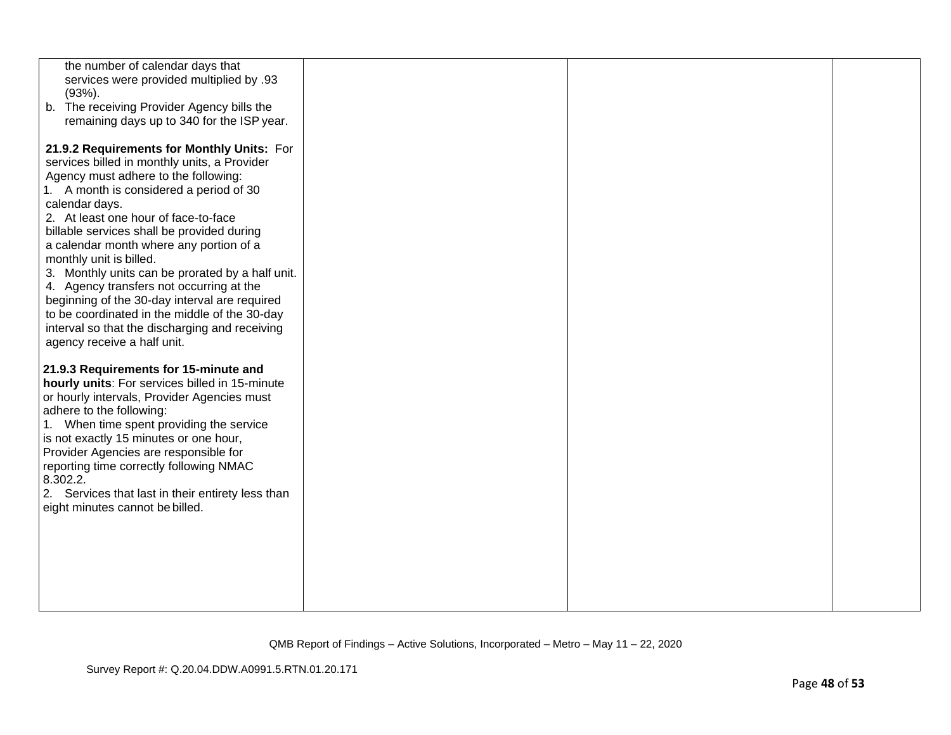| the number of calendar days that                  |  |  |
|---------------------------------------------------|--|--|
| services were provided multiplied by .93          |  |  |
| $(93%)$ .                                         |  |  |
| b. The receiving Provider Agency bills the        |  |  |
| remaining days up to 340 for the ISP year.        |  |  |
|                                                   |  |  |
| 21.9.2 Requirements for Monthly Units: For        |  |  |
| services billed in monthly units, a Provider      |  |  |
| Agency must adhere to the following:              |  |  |
| 1. A month is considered a period of 30           |  |  |
| calendar days.                                    |  |  |
| 2. At least one hour of face-to-face              |  |  |
| billable services shall be provided during        |  |  |
| a calendar month where any portion of a           |  |  |
| monthly unit is billed.                           |  |  |
| 3. Monthly units can be prorated by a half unit.  |  |  |
| 4. Agency transfers not occurring at the          |  |  |
| beginning of the 30-day interval are required     |  |  |
| to be coordinated in the middle of the 30-day     |  |  |
| interval so that the discharging and receiving    |  |  |
| agency receive a half unit.                       |  |  |
|                                                   |  |  |
| 21.9.3 Requirements for 15-minute and             |  |  |
| hourly units: For services billed in 15-minute    |  |  |
| or hourly intervals, Provider Agencies must       |  |  |
| adhere to the following:                          |  |  |
| 1. When time spent providing the service          |  |  |
| is not exactly 15 minutes or one hour,            |  |  |
| Provider Agencies are responsible for             |  |  |
| reporting time correctly following NMAC           |  |  |
| 8.302.2.                                          |  |  |
| 2. Services that last in their entirety less than |  |  |
| eight minutes cannot be billed.                   |  |  |
|                                                   |  |  |
|                                                   |  |  |
|                                                   |  |  |
|                                                   |  |  |
|                                                   |  |  |
|                                                   |  |  |
|                                                   |  |  |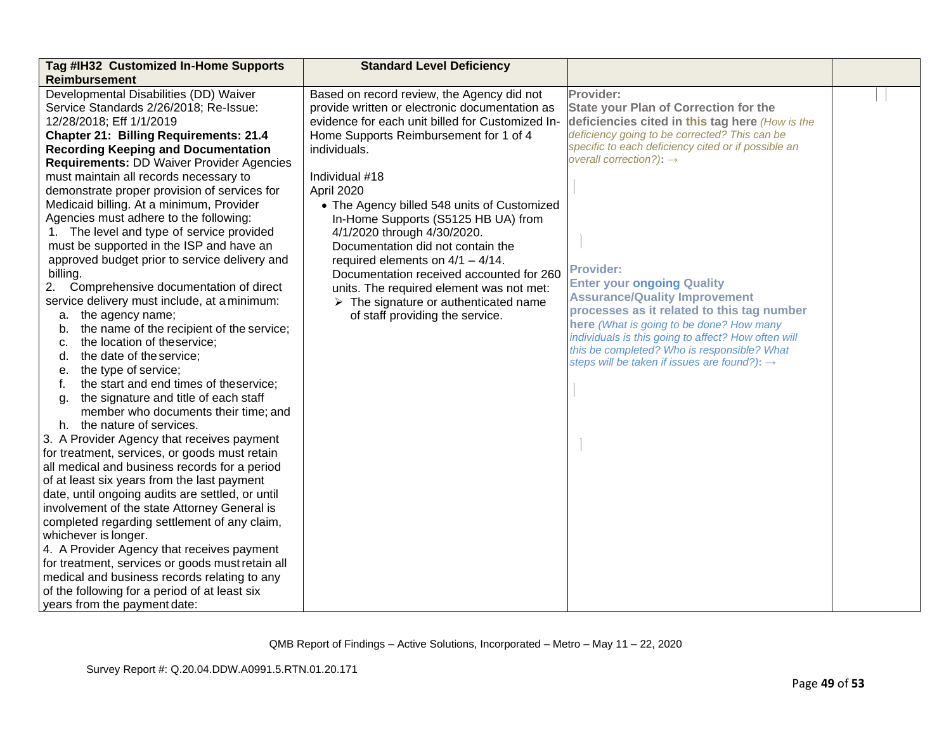| Tag #IH32 Customized In-Home Supports            | <b>Standard Level Deficiency</b>                     |                                                                                        |  |
|--------------------------------------------------|------------------------------------------------------|----------------------------------------------------------------------------------------|--|
| Reimbursement                                    |                                                      |                                                                                        |  |
| Developmental Disabilities (DD) Waiver           | Based on record review, the Agency did not           | Provider:                                                                              |  |
| Service Standards 2/26/2018; Re-Issue:           | provide written or electronic documentation as       | <b>State your Plan of Correction for the</b>                                           |  |
| 12/28/2018; Eff 1/1/2019                         | evidence for each unit billed for Customized In-     | deficiencies cited in this tag here (How is the                                        |  |
| <b>Chapter 21: Billing Requirements: 21.4</b>    | Home Supports Reimbursement for 1 of 4               | deficiency going to be corrected? This can be                                          |  |
| <b>Recording Keeping and Documentation</b>       | individuals.                                         | specific to each deficiency cited or if possible an                                    |  |
| <b>Requirements: DD Waiver Provider Agencies</b> |                                                      | overall correction?): $\rightarrow$                                                    |  |
| must maintain all records necessary to           | Individual #18                                       |                                                                                        |  |
| demonstrate proper provision of services for     | April 2020                                           |                                                                                        |  |
| Medicaid billing. At a minimum, Provider         | • The Agency billed 548 units of Customized          |                                                                                        |  |
| Agencies must adhere to the following:           | In-Home Supports (S5125 HB UA) from                  |                                                                                        |  |
| 1. The level and type of service provided        | 4/1/2020 through 4/30/2020.                          |                                                                                        |  |
| must be supported in the ISP and have an         | Documentation did not contain the                    |                                                                                        |  |
| approved budget prior to service delivery and    | required elements on $4/1 - 4/14$ .                  |                                                                                        |  |
| billing.                                         | Documentation received accounted for 260             | <b>Provider:</b>                                                                       |  |
| 2.<br>Comprehensive documentation of direct      | units. The required element was not met:             | <b>Enter your ongoing Quality</b>                                                      |  |
| service delivery must include, at a minimum:     | $\triangleright$ The signature or authenticated name | <b>Assurance/Quality Improvement</b>                                                   |  |
| the agency name;<br>а.                           | of staff providing the service.                      | processes as it related to this tag number<br>here (What is going to be done? How many |  |
| the name of the recipient of the service;<br>b.  |                                                      | individuals is this going to affect? How often will                                    |  |
| the location of theservice;<br>c.                |                                                      | this be completed? Who is responsible? What                                            |  |
| the date of the service;<br>d.                   |                                                      | steps will be taken if issues are found?): $\rightarrow$                               |  |
| the type of service;<br>е.                       |                                                      |                                                                                        |  |
| the start and end times of theservice;<br>f.     |                                                      |                                                                                        |  |
| the signature and title of each staff<br>q.      |                                                      |                                                                                        |  |
| member who documents their time; and             |                                                      |                                                                                        |  |
| h. the nature of services.                       |                                                      |                                                                                        |  |
| 3. A Provider Agency that receives payment       |                                                      |                                                                                        |  |
| for treatment, services, or goods must retain    |                                                      |                                                                                        |  |
| all medical and business records for a period    |                                                      |                                                                                        |  |
| of at least six years from the last payment      |                                                      |                                                                                        |  |
| date, until ongoing audits are settled, or until |                                                      |                                                                                        |  |
| involvement of the state Attorney General is     |                                                      |                                                                                        |  |
| completed regarding settlement of any claim,     |                                                      |                                                                                        |  |
| whichever is longer.                             |                                                      |                                                                                        |  |
| 4. A Provider Agency that receives payment       |                                                      |                                                                                        |  |
| for treatment, services or goods must retain all |                                                      |                                                                                        |  |
| medical and business records relating to any     |                                                      |                                                                                        |  |
| of the following for a period of at least six    |                                                      |                                                                                        |  |
| years from the payment date:                     |                                                      |                                                                                        |  |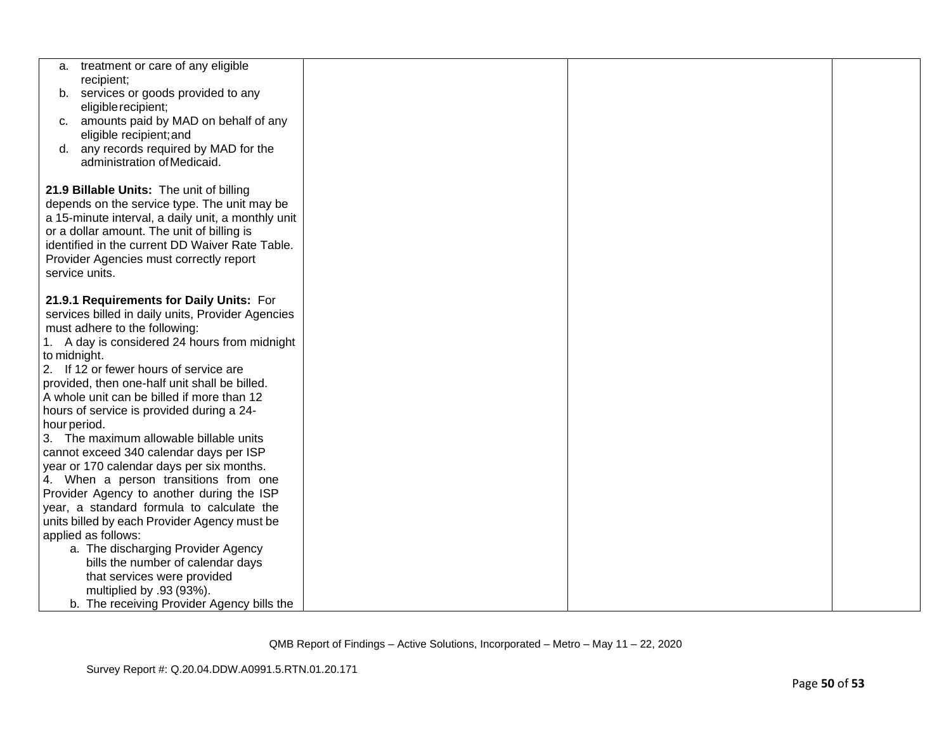|              | a. treatment or care of any eligible                                                     |  |  |
|--------------|------------------------------------------------------------------------------------------|--|--|
| b.           | recipient;<br>services or goods provided to any                                          |  |  |
|              | eligible recipient;                                                                      |  |  |
|              | c. amounts paid by MAD on behalf of any                                                  |  |  |
|              | eligible recipient; and                                                                  |  |  |
|              | d. any records required by MAD for the                                                   |  |  |
|              | administration of Medicaid.                                                              |  |  |
|              |                                                                                          |  |  |
|              | 21.9 Billable Units: The unit of billing<br>depends on the service type. The unit may be |  |  |
|              | a 15-minute interval, a daily unit, a monthly unit                                       |  |  |
|              | or a dollar amount. The unit of billing is                                               |  |  |
|              | identified in the current DD Waiver Rate Table.                                          |  |  |
|              | Provider Agencies must correctly report                                                  |  |  |
|              | service units.                                                                           |  |  |
|              |                                                                                          |  |  |
|              | 21.9.1 Requirements for Daily Units: For                                                 |  |  |
|              | services billed in daily units, Provider Agencies<br>must adhere to the following:       |  |  |
|              | 1. A day is considered 24 hours from midnight                                            |  |  |
| to midnight. |                                                                                          |  |  |
|              | 2. If 12 or fewer hours of service are                                                   |  |  |
|              | provided, then one-half unit shall be billed.                                            |  |  |
|              | A whole unit can be billed if more than 12                                               |  |  |
|              | hours of service is provided during a 24-                                                |  |  |
| hour period. |                                                                                          |  |  |
|              | 3. The maximum allowable billable units                                                  |  |  |
|              | cannot exceed 340 calendar days per ISP                                                  |  |  |
|              | year or 170 calendar days per six months.                                                |  |  |
|              | 4. When a person transitions from one<br>Provider Agency to another during the ISP       |  |  |
|              | year, a standard formula to calculate the                                                |  |  |
|              | units billed by each Provider Agency must be                                             |  |  |
|              | applied as follows:                                                                      |  |  |
|              | a. The discharging Provider Agency                                                       |  |  |
|              | bills the number of calendar days                                                        |  |  |
|              | that services were provided                                                              |  |  |
|              | multiplied by .93 (93%).                                                                 |  |  |
|              | b. The receiving Provider Agency bills the                                               |  |  |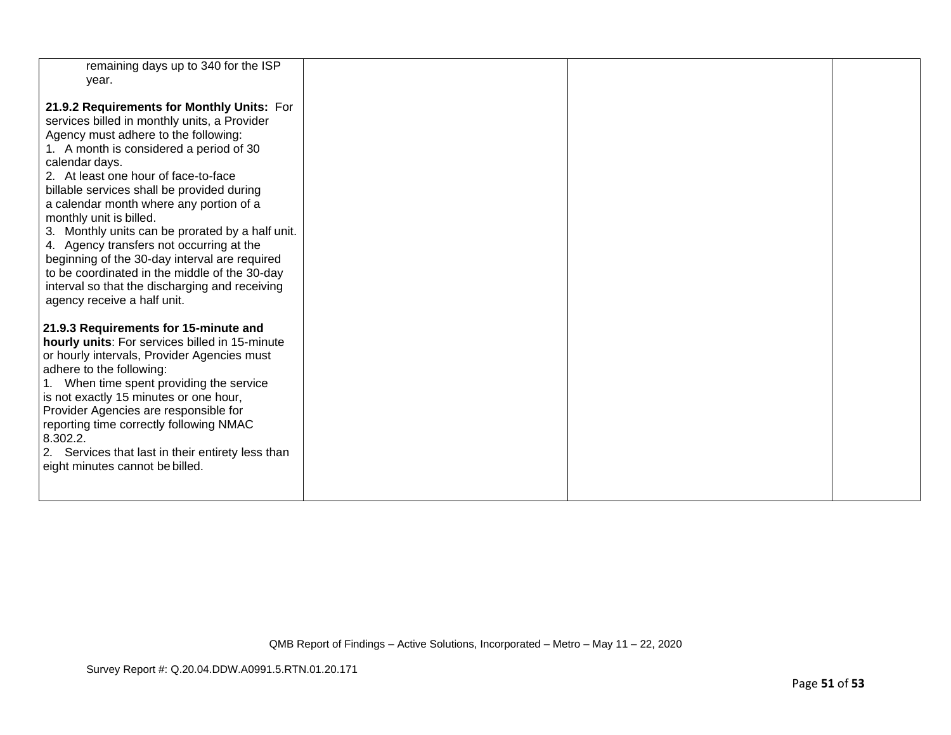| remaining days up to 340 for the ISP<br>year.                                                                                                                                                                                                                                                                                                                                                                                                                                                                                                                                                                                                  |  |  |
|------------------------------------------------------------------------------------------------------------------------------------------------------------------------------------------------------------------------------------------------------------------------------------------------------------------------------------------------------------------------------------------------------------------------------------------------------------------------------------------------------------------------------------------------------------------------------------------------------------------------------------------------|--|--|
| 21.9.2 Requirements for Monthly Units: For<br>services billed in monthly units, a Provider<br>Agency must adhere to the following:<br>1. A month is considered a period of 30<br>calendar days.<br>2. At least one hour of face-to-face<br>billable services shall be provided during<br>a calendar month where any portion of a<br>monthly unit is billed.<br>3. Monthly units can be prorated by a half unit.<br>4. Agency transfers not occurring at the<br>beginning of the 30-day interval are required<br>to be coordinated in the middle of the 30-day<br>interval so that the discharging and receiving<br>agency receive a half unit. |  |  |
| 21.9.3 Requirements for 15-minute and<br>hourly units: For services billed in 15-minute<br>or hourly intervals, Provider Agencies must<br>adhere to the following:<br>1. When time spent providing the service<br>is not exactly 15 minutes or one hour,<br>Provider Agencies are responsible for<br>reporting time correctly following NMAC<br>8.302.2.<br>2. Services that last in their entirety less than<br>eight minutes cannot be billed.                                                                                                                                                                                               |  |  |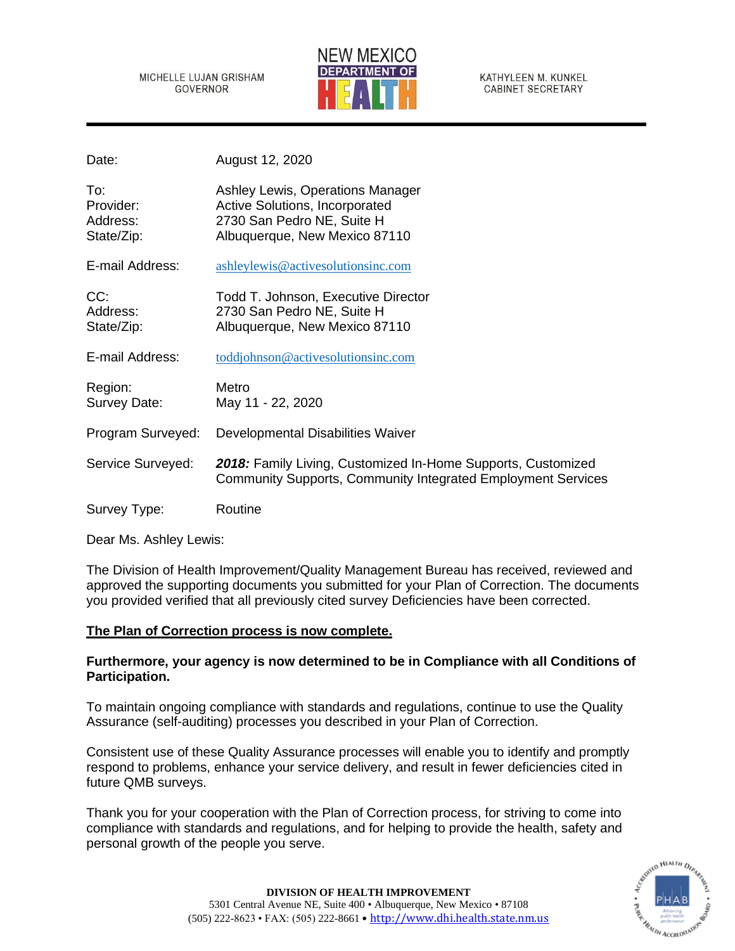MICHELLE LUJAN GRISHAM **GOVERNOR** 



KATHYLEEN M. KUNKEL **CABINET SECRETARY** 

| Date:                                      | August 12, 2020                                                                                                                     |
|--------------------------------------------|-------------------------------------------------------------------------------------------------------------------------------------|
| To:<br>Provider:<br>Address:<br>State/Zip: | Ashley Lewis, Operations Manager<br>Active Solutions, Incorporated<br>2730 San Pedro NE, Suite H<br>Albuquerque, New Mexico 87110   |
| E-mail Address:                            | ashleylewis@activesolutionsinc.com                                                                                                  |
| CC:<br>Address:<br>State/Zip:              | Todd T. Johnson, Executive Director<br>2730 San Pedro NE, Suite H<br>Albuquerque, New Mexico 87110                                  |
| E-mail Address:                            | toddjohnson@activesolutionsinc.com                                                                                                  |
| Region:<br>Survey Date:                    | Metro<br>May 11 - 22, 2020                                                                                                          |
| Program Surveyed:                          | Developmental Disabilities Waiver                                                                                                   |
| Service Surveyed:                          | 2018: Family Living, Customized In-Home Supports, Customized<br><b>Community Supports, Community Integrated Employment Services</b> |
| Survey Type:                               | Routine                                                                                                                             |

Dear Ms. Ashley Lewis:

The Division of Health Improvement/Quality Management Bureau has received, reviewed and approved the supporting documents you submitted for your Plan of Correction. The documents you provided verified that all previously cited survey Deficiencies have been corrected.

### **The Plan of Correction process is now complete.**

## **Furthermore, your agency is now determined to be in Compliance with all Conditions of Participation.**

To maintain ongoing compliance with standards and regulations, continue to use the Quality Assurance (self-auditing) processes you described in your Plan of Correction.

Consistent use of these Quality Assurance processes will enable you to identify and promptly respond to problems, enhance your service delivery, and result in fewer deficiencies cited in future QMB surveys.

Thank you for your cooperation with the Plan of Correction process, for striving to come into compliance with standards and regulations, and for helping to provide the health, safety and personal growth of the people you serve.